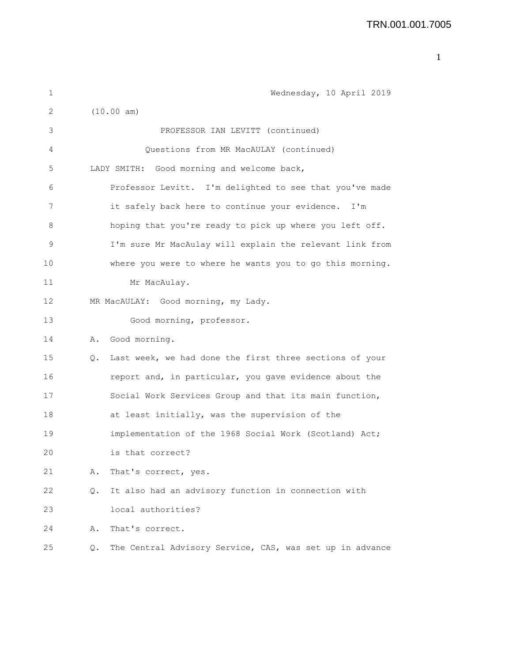| 1  |    | Wednesday, 10 April 2019                                 |
|----|----|----------------------------------------------------------|
| 2  |    | (10.00 am)                                               |
| 3  |    | PROFESSOR IAN LEVITT (continued)                         |
| 4  |    | Questions from MR MacAULAY (continued)                   |
| 5  |    | LADY SMITH: Good morning and welcome back,               |
| 6  |    | Professor Levitt. I'm delighted to see that you've made  |
| 7  |    | it safely back here to continue your evidence. I'm       |
| 8  |    | hoping that you're ready to pick up where you left off.  |
| 9  |    | I'm sure Mr MacAulay will explain the relevant link from |
| 10 |    | where you were to where he wants you to go this morning. |
| 11 |    | Mr MacAulay.                                             |
| 12 |    | MR MacAULAY: Good morning, my Lady.                      |
| 13 |    | Good morning, professor.                                 |
| 14 | Α. | Good morning.                                            |
| 15 | Q. | Last week, we had done the first three sections of your  |
| 16 |    | report and, in particular, you gave evidence about the   |
| 17 |    | Social Work Services Group and that its main function,   |
| 18 |    | at least initially, was the supervision of the           |
| 19 |    | implementation of the 1968 Social Work (Scotland) Act;   |
| 20 |    | is that correct?                                         |
| 21 | Α. | That's correct, yes.                                     |
| 22 | Q. | It also had an advisory function in connection with      |
| 23 |    | local authorities?                                       |
| 24 | Α. | That's correct.                                          |
| 25 | Q. | The Central Advisory Service, CAS, was set up in advance |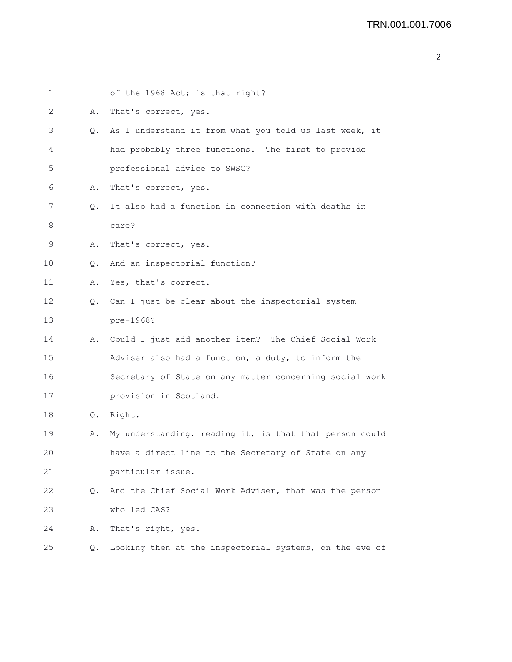| × | i      |  |
|---|--------|--|
|   | I<br>I |  |
|   |        |  |
|   |        |  |

| 1  |    | of the 1968 Act; is that right?                         |
|----|----|---------------------------------------------------------|
| 2  | Α. | That's correct, yes.                                    |
| 3  | Q. | As I understand it from what you told us last week, it  |
| 4  |    | had probably three functions. The first to provide      |
| 5  |    | professional advice to SWSG?                            |
| 6  | Α. | That's correct, yes.                                    |
| 7  | Q. | It also had a function in connection with deaths in     |
| 8  |    | care?                                                   |
| 9  | Α. | That's correct, yes.                                    |
| 10 | О. | And an inspectorial function?                           |
| 11 | Α. | Yes, that's correct.                                    |
| 12 | Q. | Can I just be clear about the inspectorial system       |
| 13 |    | pre-1968?                                               |
| 14 | Α. | Could I just add another item? The Chief Social Work    |
| 15 |    | Adviser also had a function, a duty, to inform the      |
| 16 |    | Secretary of State on any matter concerning social work |
| 17 |    | provision in Scotland.                                  |
| 18 |    | Q. Right.                                               |
| 19 | Α. | My understanding, reading it, is that that person could |
| 20 |    | have a direct line to the Secretary of State on any     |
| 21 |    | particular issue.                                       |
| 22 | Q. | And the Chief Social Work Adviser, that was the person  |
| 23 |    | who led CAS?                                            |
| 24 | Α. | That's right, yes.                                      |
| 25 | Q. | Looking then at the inspectorial systems, on the eve of |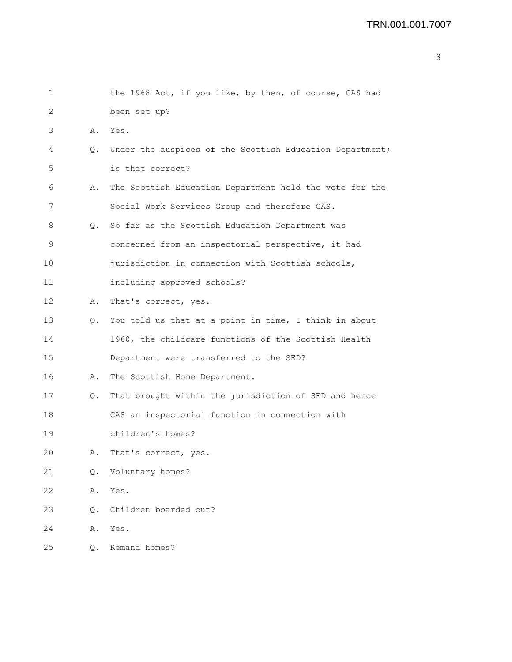| 1  |    | the 1968 Act, if you like, by then, of course, CAS had   |
|----|----|----------------------------------------------------------|
| 2  |    | been set up?                                             |
| 3  | Α. | Yes.                                                     |
| 4  | О. | Under the auspices of the Scottish Education Department; |
| 5  |    | is that correct?                                         |
| 6  | Α. | The Scottish Education Department held the vote for the  |
| 7  |    | Social Work Services Group and therefore CAS.            |
| 8  | Q. | So far as the Scottish Education Department was          |
| 9  |    | concerned from an inspectorial perspective, it had       |
| 10 |    | jurisdiction in connection with Scottish schools,        |
| 11 |    | including approved schools?                              |
| 12 | Α. | That's correct, yes.                                     |
| 13 | Q. | You told us that at a point in time, I think in about    |
| 14 |    | 1960, the childcare functions of the Scottish Health     |
| 15 |    | Department were transferred to the SED?                  |
| 16 | Α. | The Scottish Home Department.                            |
| 17 | Q. | That brought within the jurisdiction of SED and hence    |
| 18 |    | CAS an inspectorial function in connection with          |
| 19 |    | children's homes?                                        |
| 20 | Α. | That's correct, yes.                                     |
| 21 | Q. | Voluntary homes?                                         |
| 22 | Α. | Yes.                                                     |
| 23 | Q. | Children boarded out?                                    |
| 24 | Α. | Yes.                                                     |
| 25 | Q. | Remand homes?                                            |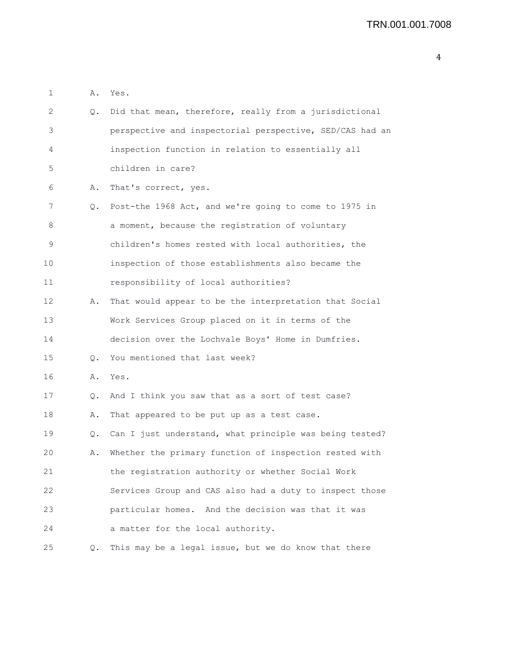| 2  | Q. | Did that mean, therefore, really from a jurisdictional   |
|----|----|----------------------------------------------------------|
| 3  |    | perspective and inspectorial perspective, SED/CAS had an |
| 4  |    | inspection function in relation to essentially all       |
| 5  |    | children in care?                                        |
| 6  | Α. | That's correct, yes.                                     |
| 7  | Q. | Post-the 1968 Act, and we're going to come to 1975 in    |
| 8  |    | a moment, because the registration of voluntary          |
| 9  |    | children's homes rested with local authorities, the      |
| 10 |    | inspection of those establishments also became the       |
| 11 |    | responsibility of local authorities?                     |
| 12 | Α. | That would appear to be the interpretation that Social   |
| 13 |    | Work Services Group placed on it in terms of the         |
| 14 |    | decision over the Lochvale Boys' Home in Dumfries.       |
| 15 | О. | You mentioned that last week?                            |
| 16 | Α. | Yes.                                                     |
| 17 | Q. | And I think you saw that as a sort of test case?         |
| 18 | Α. | That appeared to be put up as a test case.               |
| 19 | Q. | Can I just understand, what principle was being tested?  |
| 20 | Α. | Whether the primary function of inspection rested with   |
| 21 |    | the registration authority or whether Social Work        |
| 22 |    | Services Group and CAS also had a duty to inspect those  |
| 23 |    | particular homes. And the decision was that it was       |
| 24 |    | a matter for the local authority.                        |
| 25 | Q. | This may be a legal issue, but we do know that there     |

1 A. Yes.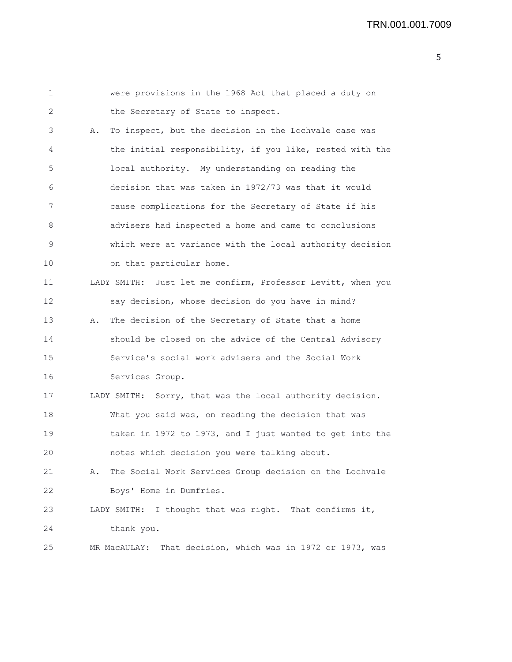| 1  | were provisions in the 1968 Act that placed a duty on         |
|----|---------------------------------------------------------------|
| 2  | the Secretary of State to inspect.                            |
| 3  | To inspect, but the decision in the Lochvale case was<br>Α.   |
| 4  | the initial responsibility, if you like, rested with the      |
| 5  | local authority. My understanding on reading the              |
| 6  | decision that was taken in 1972/73 was that it would          |
| 7  | cause complications for the Secretary of State if his         |
| 8  | advisers had inspected a home and came to conclusions         |
| 9  | which were at variance with the local authority decision      |
| 10 | on that particular home.                                      |
| 11 | LADY SMITH: Just let me confirm, Professor Levitt, when you   |
| 12 | say decision, whose decision do you have in mind?             |
| 13 | The decision of the Secretary of State that a home<br>Α.      |
| 14 | should be closed on the advice of the Central Advisory        |
| 15 | Service's social work advisers and the Social Work            |
| 16 | Services Group.                                               |
| 17 | LADY SMITH: Sorry, that was the local authority decision.     |
| 18 | What you said was, on reading the decision that was           |
| 19 | taken in 1972 to 1973, and I just wanted to get into the      |
| 20 | notes which decision you were talking about.                  |
| 21 | The Social Work Services Group decision on the Lochvale<br>Α. |
| 22 | Boys' Home in Dumfries.                                       |
| 23 | I thought that was right. That confirms it,<br>LADY SMITH:    |
| 24 | thank you.                                                    |
| 25 | That decision, which was in 1972 or 1973, was<br>MR MacAULAY: |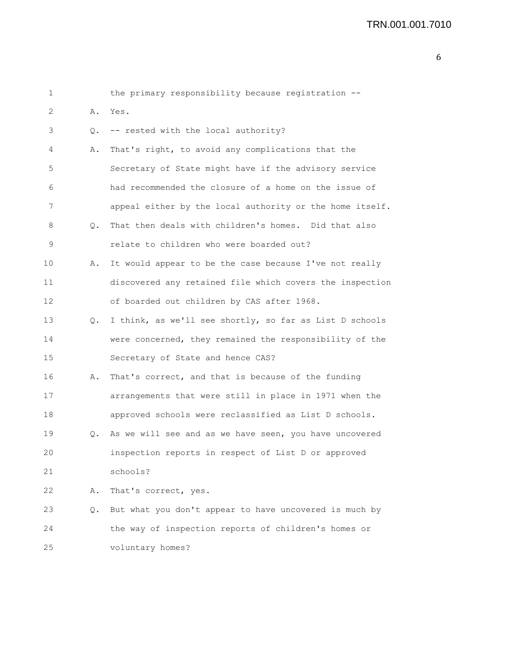## TRN.001.001.7010

| 6 |
|---|
|---|

| 1  |    | the primary responsibility because registration --       |
|----|----|----------------------------------------------------------|
| 2  | Α. | Yes.                                                     |
| 3  | Q. | -- rested with the local authority?                      |
| 4  | Α. | That's right, to avoid any complications that the        |
| 5  |    | Secretary of State might have if the advisory service    |
| 6  |    | had recommended the closure of a home on the issue of    |
| 7  |    | appeal either by the local authority or the home itself. |
| 8  | Q. | That then deals with children's homes. Did that also     |
| 9  |    | relate to children who were boarded out?                 |
| 10 | Α. | It would appear to be the case because I've not really   |
| 11 |    | discovered any retained file which covers the inspection |
| 12 |    | of boarded out children by CAS after 1968.               |
| 13 | Q. | I think, as we'll see shortly, so far as List D schools  |
| 14 |    | were concerned, they remained the responsibility of the  |
| 15 |    | Secretary of State and hence CAS?                        |
| 16 | Α. | That's correct, and that is because of the funding       |
| 17 |    | arrangements that were still in place in 1971 when the   |
| 18 |    | approved schools were reclassified as List D schools.    |
| 19 | Q. | As we will see and as we have seen, you have uncovered   |
| 20 |    | inspection reports in respect of List D or approved      |
| 21 |    | schools?                                                 |
| 22 | Α. | That's correct, yes.                                     |
| 23 | Q. | But what you don't appear to have uncovered is much by   |
| 24 |    | the way of inspection reports of children's homes or     |
| 25 |    | voluntary homes?                                         |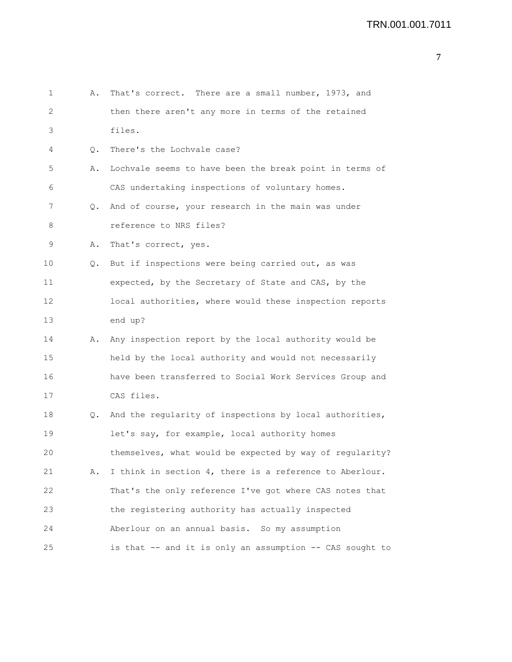```
7
```

```
1 A. That's correct. There are a small number, 1973, and
2 then there aren't any more in terms of the retained
3 files.
4 Q. There's the Lochvale case?
5 A. Lochvale seems to have been the break point in terms of
6 CAS undertaking inspections of voluntary homes.
7 Q. And of course, your research in the main was under
8 8 reference to NRS files?
9 A. That's correct, yes.
10 Q. But if inspections were being carried out, as was
11 expected, by the Secretary of State and CAS, by the
12 local authorities, where would these inspection reports
13 end up?
14 A. Any inspection report by the local authority would be
15 held by the local authority and would not necessarily
16 have been transferred to Social Work Services Group and
17 CAS files.
18 Q. And the regularity of inspections by local authorities,
19 let's say, for example, local authority homes
20 themselves, what would be expected by way of regularity?
21 A. I think in section 4, there is a reference to Aberlour.
22 That's the only reference I've got where CAS notes that
23 the registering authority has actually inspected
24 Aberlour on an annual basis. So my assumption
25 is that -- and it is only an assumption -- CAS sought to
```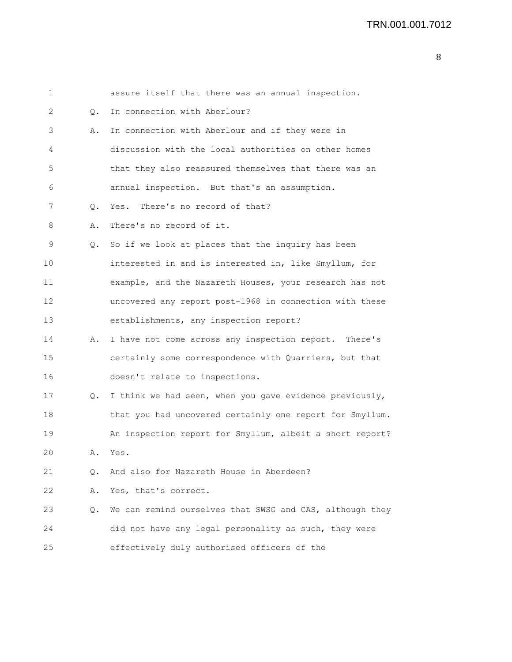| 1  |           | assure itself that there was an annual inspection.       |
|----|-----------|----------------------------------------------------------|
| 2  | Q.        | In connection with Aberlour?                             |
| 3  | Α.        | In connection with Aberlour and if they were in          |
| 4  |           | discussion with the local authorities on other homes     |
| 5  |           | that they also reassured themselves that there was an    |
| 6  |           | annual inspection. But that's an assumption.             |
| 7  | $\circ$ . | Yes. There's no record of that?                          |
| 8  | Α.        | There's no record of it.                                 |
| 9  | $\circ$ . | So if we look at places that the inquiry has been        |
| 10 |           | interested in and is interested in, like Smyllum, for    |
| 11 |           | example, and the Nazareth Houses, your research has not  |
| 12 |           | uncovered any report post-1968 in connection with these  |
| 13 |           | establishments, any inspection report?                   |
| 14 | Α.        | I have not come across any inspection report. There's    |
| 15 |           | certainly some correspondence with Quarriers, but that   |
| 16 |           | doesn't relate to inspections.                           |
| 17 | Q.        | I think we had seen, when you gave evidence previously,  |
| 18 |           | that you had uncovered certainly one report for Smyllum. |
| 19 |           | An inspection report for Smyllum, albeit a short report? |
| 20 | Α.        | Yes.                                                     |
| 21 | Q.        | And also for Nazareth House in Aberdeen?                 |
| 22 | Α.        | Yes, that's correct.                                     |
| 23 | Q.        | We can remind ourselves that SWSG and CAS, although they |
| 24 |           | did not have any legal personality as such, they were    |
| 25 |           | effectively duly authorised officers of the              |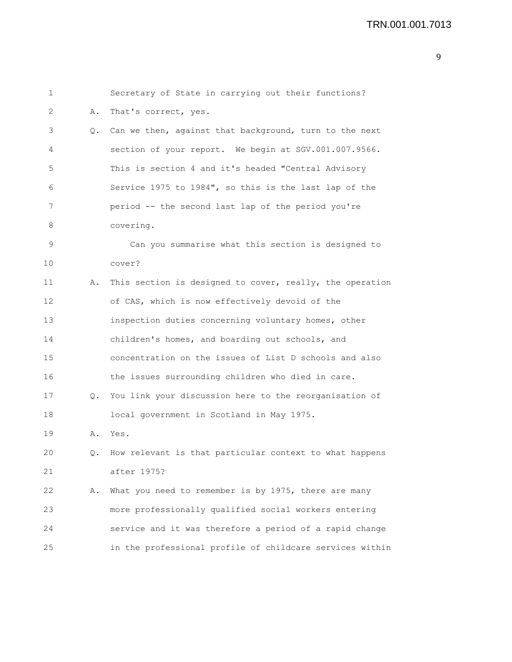| 1  |    | Secretary of State in carrying out their functions?      |
|----|----|----------------------------------------------------------|
| 2  | Α. | That's correct, yes.                                     |
| 3  | Q. | Can we then, against that background, turn to the next   |
| 4  |    | section of your report. We begin at SGV.001.007.9566.    |
| 5  |    | This is section 4 and it's headed "Central Advisory      |
| 6  |    | Service 1975 to 1984", so this is the last lap of the    |
| 7  |    | period -- the second last lap of the period you're       |
| 8  |    | covering.                                                |
| 9  |    | Can you summarise what this section is designed to       |
| 10 |    | cover?                                                   |
| 11 | Α. | This section is designed to cover, really, the operation |
| 12 |    | of CAS, which is now effectively devoid of the           |
| 13 |    | inspection duties concerning voluntary homes, other      |
| 14 |    | children's homes, and boarding out schools, and          |
| 15 |    | concentration on the issues of List D schools and also   |
| 16 |    | the issues surrounding children who died in care.        |
| 17 | Q. | You link your discussion here to the reorganisation of   |
| 18 |    | local government in Scotland in May 1975.                |
| 19 | Α. | Yes.                                                     |
| 20 | Q. | How relevant is that particular context to what happens  |
| 21 |    | after 1975?                                              |
| 22 | Α. | What you need to remember is by 1975, there are many     |
| 23 |    | more professionally qualified social workers entering    |
| 24 |    | service and it was therefore a period of a rapid change  |
| 25 |    | in the professional profile of childcare services within |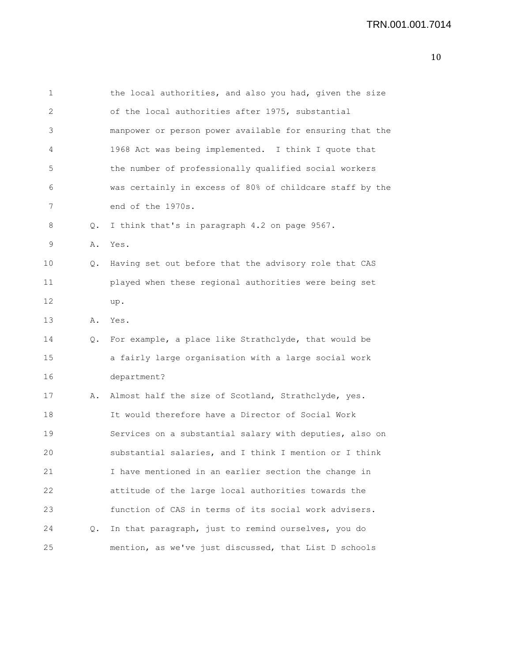| 1            |    | the local authorities, and also you had, given the size  |
|--------------|----|----------------------------------------------------------|
| $\mathbf{2}$ |    | of the local authorities after 1975, substantial         |
| 3            |    | manpower or person power available for ensuring that the |
| 4            |    | 1968 Act was being implemented. I think I quote that     |
| 5            |    | the number of professionally qualified social workers    |
| 6            |    | was certainly in excess of 80% of childcare staff by the |
| 7            |    | end of the 1970s.                                        |
| 8            | Q. | I think that's in paragraph 4.2 on page 9567.            |
| 9            | Α. | Yes.                                                     |
| 10           | Q. | Having set out before that the advisory role that CAS    |
| 11           |    | played when these regional authorities were being set    |
| 12           |    | up.                                                      |
| 13           | Α. | Yes.                                                     |
| 14           | Q. | For example, a place like Strathclyde, that would be     |
| 15           |    | a fairly large organisation with a large social work     |
| 16           |    | department?                                              |
| 17           | Α. | Almost half the size of Scotland, Strathclyde, yes.      |
| 18           |    | It would therefore have a Director of Social Work        |
| 19           |    | Services on a substantial salary with deputies, also on  |
| 20           |    | substantial salaries, and I think I mention or I think   |
| 21           |    | I have mentioned in an earlier section the change in     |
| 22           |    | attitude of the large local authorities towards the      |
| 23           |    | function of CAS in terms of its social work advisers.    |
| 24           | Q. | In that paragraph, just to remind ourselves, you do      |
| 25           |    | mention, as we've just discussed, that List D schools    |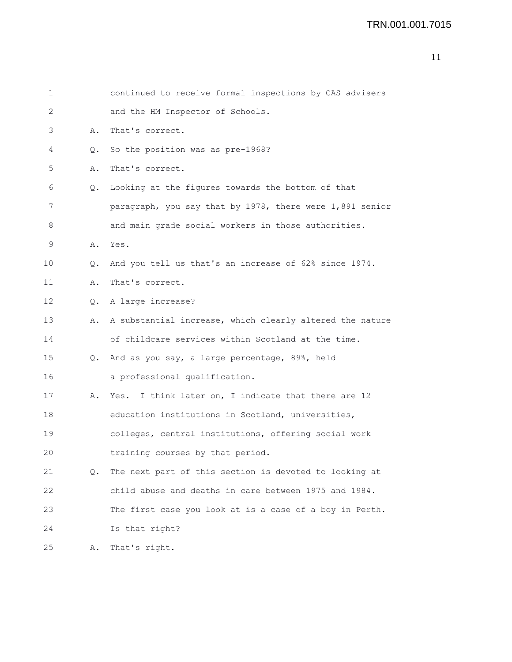| $\mathbf 1$ |               | continued to receive formal inspections by CAS advisers  |
|-------------|---------------|----------------------------------------------------------|
| 2           |               | and the HM Inspector of Schools.                         |
| 3           | Α.            | That's correct.                                          |
| 4           | Q.            | So the position was as pre-1968?                         |
| 5           | Α.            | That's correct.                                          |
| 6           | Q.            | Looking at the figures towards the bottom of that        |
| 7           |               | paragraph, you say that by 1978, there were 1,891 senior |
| 8           |               | and main grade social workers in those authorities.      |
| 9           | Α.            | Yes.                                                     |
| 10          | О.            | And you tell us that's an increase of 62% since 1974.    |
| 11          | Α.            | That's correct.                                          |
| 12          | $Q_{\bullet}$ | A large increase?                                        |
| 13          | Α.            | A substantial increase, which clearly altered the nature |
| 14          |               | of childcare services within Scotland at the time.       |
| 15          |               | Q. And as you say, a large percentage, 89%, held         |
| 16          |               | a professional qualification.                            |
| 17          | Α.            | Yes. I think later on, I indicate that there are 12      |
| 18          |               | education institutions in Scotland, universities,        |
| 19          |               | colleges, central institutions, offering social work     |
| 20          |               | training courses by that period.                         |
| 21          | Q.            | The next part of this section is devoted to looking at   |
| 22          |               | child abuse and deaths in care between 1975 and 1984.    |
| 23          |               | The first case you look at is a case of a boy in Perth.  |
| 24          |               | Is that right?                                           |
| 25          | Α.            | That's right.                                            |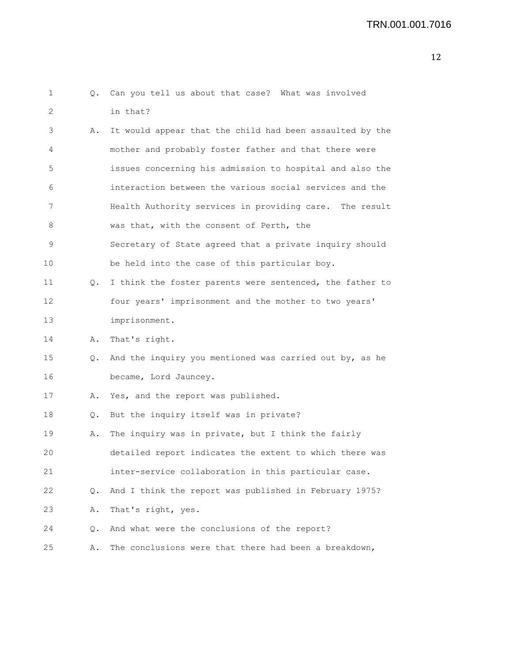| $\mathbf 1$ |           | Q. Can you tell us about that case? What was involved    |
|-------------|-----------|----------------------------------------------------------|
| 2           |           | in that?                                                 |
| 3           | Α.        | It would appear that the child had been assaulted by the |
| 4           |           | mother and probably foster father and that there were    |
| 5           |           | issues concerning his admission to hospital and also the |
| 6           |           | interaction between the various social services and the  |
| 7           |           | Health Authority services in providing care. The result  |
| 8           |           | was that, with the consent of Perth, the                 |
| 9           |           | Secretary of State agreed that a private inquiry should  |
| 10          |           | be held into the case of this particular boy.            |
| 11          | $\circ$ . | I think the foster parents were sentenced, the father to |
| 12          |           | four years' imprisonment and the mother to two years'    |
| 13          |           | imprisonment.                                            |
| 14          | Α.        | That's right.                                            |
| 15          | Q.        | And the inquiry you mentioned was carried out by, as he  |
| 16          |           | became, Lord Jauncey.                                    |
| 17          | Α.        | Yes, and the report was published.                       |
| 18          |           | Q. But the inquiry itself was in private?                |
| 19          | Α.        | The inquiry was in private, but I think the fairly       |
| 20          |           | detailed report indicates the extent to which there was  |
| 21          |           | inter-service collaboration in this particular case.     |
| 22          | Q.        | And I think the report was published in February 1975?   |
| 23          | Α.        | That's right, yes.                                       |
| 24          | Q.        | And what were the conclusions of the report?             |
| 25          | Α.        | The conclusions were that there had been a breakdown,    |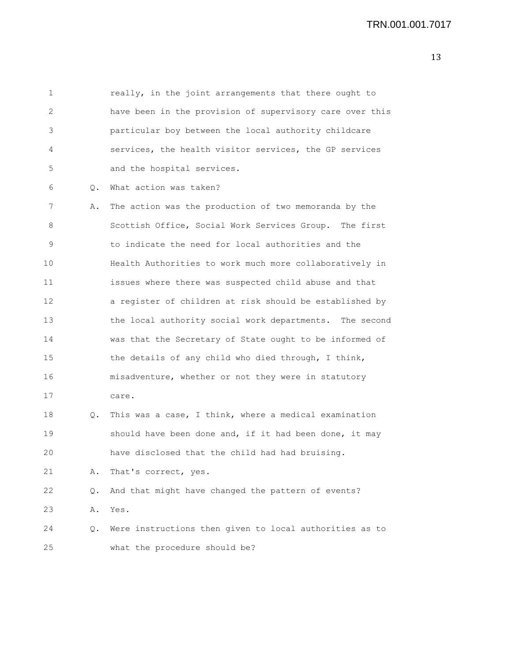1 really, in the joint arrangements that there ought to 2 have been in the provision of supervisory care over this 3 particular boy between the local authority childcare 4 services, the health visitor services, the GP services 5 and the hospital services. 6 Q. What action was taken? 7 A. The action was the production of two memoranda by the 8 Scottish Office, Social Work Services Group. The first 9 to indicate the need for local authorities and the 10 Health Authorities to work much more collaboratively in 11 issues where there was suspected child abuse and that 12 a register of children at risk should be established by 13 the local authority social work departments. The second 14 was that the Secretary of State ought to be informed of 15 the details of any child who died through, I think, 16 misadventure, whether or not they were in statutory 17 care. 18 Q. This was a case, I think, where a medical examination 19 should have been done and, if it had been done, it may 20 have disclosed that the child had had bruising. 21 A. That's correct, yes. 22 Q. And that might have changed the pattern of events? 23 A. Yes.

24 Q. Were instructions then given to local authorities as to 25 what the procedure should be?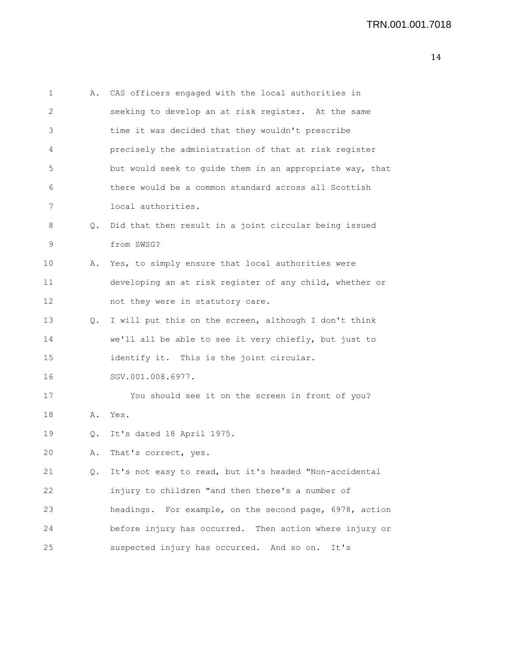```
1 A. CAS officers engaged with the local authorities in
2 seeking to develop an at risk register. At the same
3 time it was decided that they wouldn't prescribe
4 precisely the administration of that at risk register
5 but would seek to guide them in an appropriate way, that
6 there would be a common standard across all Scottish
7 local authorities.
8 Q. Did that then result in a joint circular being issued
9 from SWSG?
10 A. Yes, to simply ensure that local authorities were
11 developing an at risk register of any child, whether or
12 not they were in statutory care.
13 Q. I will put this on the screen, although I don't think
14 we'll all be able to see it very chiefly, but just to
15 identify it. This is the joint circular.
16 SGV.001.008.6977.
17 You should see it on the screen in front of you?
18 A. Yes.
19 Q. It's dated 18 April 1975.
20 A. That's correct, yes.
21 Q. It's not easy to read, but it's headed "Non-accidental
22 injury to children "and then there's a number of
23 headings. For example, on the second page, 6978, action
24 before injury has occurred. Then action where injury or
25 suspected injury has occurred. And so on. It's
```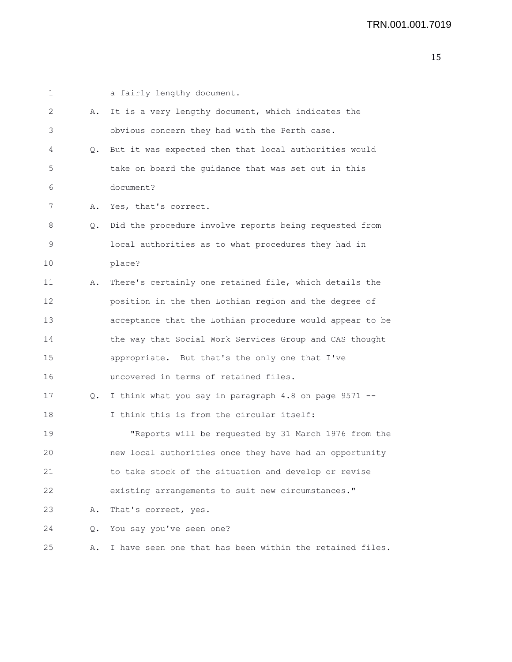| 1  |           | a fairly lengthy document.                               |
|----|-----------|----------------------------------------------------------|
| 2  | Α.        | It is a very lengthy document, which indicates the       |
| 3  |           | obvious concern they had with the Perth case.            |
| 4  | Q.        | But it was expected then that local authorities would    |
| 5  |           | take on board the guidance that was set out in this      |
| 6  |           | document?                                                |
| 7  | Α.        | Yes, that's correct.                                     |
| 8  | $\circ$ . | Did the procedure involve reports being requested from   |
| 9  |           | local authorities as to what procedures they had in      |
| 10 |           | place?                                                   |
| 11 | Α.        | There's certainly one retained file, which details the   |
| 12 |           | position in the then Lothian region and the degree of    |
| 13 |           | acceptance that the Lothian procedure would appear to be |
| 14 |           | the way that Social Work Services Group and CAS thought  |
| 15 |           | appropriate. But that's the only one that I've           |
| 16 |           | uncovered in terms of retained files.                    |
| 17 | $\circ$ . | I think what you say in paragraph 4.8 on page 9571 --    |
| 18 |           | I think this is from the circular itself:                |
| 19 |           | "Reports will be requested by 31 March 1976 from the     |
| 20 |           | new local authorities once they have had an opportunity  |
| 21 |           | to take stock of the situation and develop or revise     |
| 22 |           | existing arrangements to suit new circumstances."        |
| 23 | Α.        | That's correct, yes.                                     |
| 24 | Q.        | You say you've seen one?                                 |
| 25 | Α.        | I have seen one that has been within the retained files. |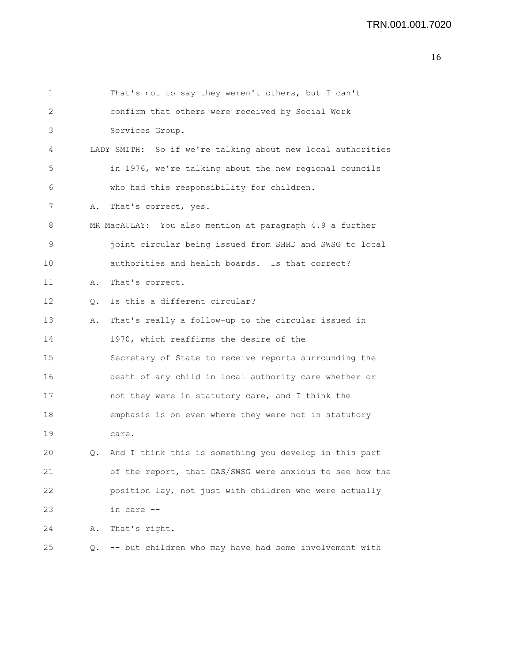| 1  |               | That's not to say they weren't others, but I can't          |
|----|---------------|-------------------------------------------------------------|
| 2  |               | confirm that others were received by Social Work            |
| 3  |               | Services Group.                                             |
| 4  |               | LADY SMITH: So if we're talking about new local authorities |
| 5  |               | in 1976, we're talking about the new regional councils      |
| 6  |               | who had this responsibility for children.                   |
| 7  | Α.            | That's correct, yes.                                        |
| 8  |               | MR MacAULAY: You also mention at paragraph 4.9 a further    |
| 9  |               | joint circular being issued from SHHD and SWSG to local     |
| 10 |               | authorities and health boards. Is that correct?             |
| 11 | Α.            | That's correct.                                             |
| 12 | $Q_{\bullet}$ | Is this a different circular?                               |
| 13 | Α.            | That's really a follow-up to the circular issued in         |
| 14 |               | 1970, which reaffirms the desire of the                     |
| 15 |               | Secretary of State to receive reports surrounding the       |
| 16 |               | death of any child in local authority care whether or       |
| 17 |               | not they were in statutory care, and I think the            |
| 18 |               | emphasis is on even where they were not in statutory        |
| 19 |               | care.                                                       |
| 20 |               | Q. And I think this is something you develop in this part   |
| 21 |               | of the report, that CAS/SWSG were anxious to see how the    |
| 22 |               | position lay, not just with children who were actually      |
| 23 |               | in care --                                                  |
| 24 | Α.            | That's right.                                               |
| 25 | Q.            | -- but children who may have had some involvement with      |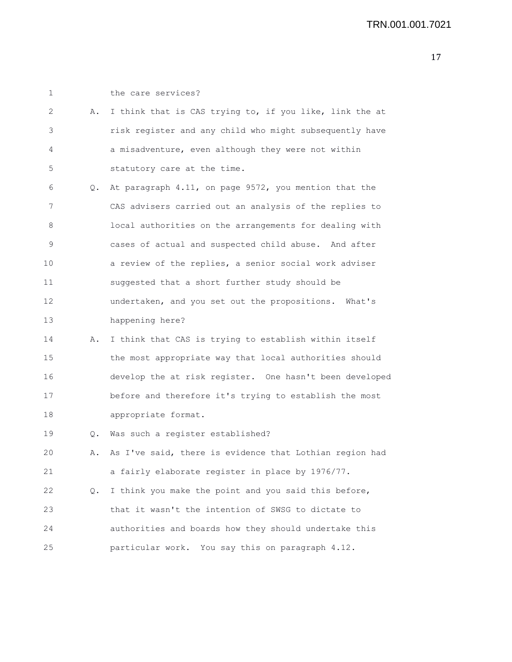| 1  |    | the care services?                                      |
|----|----|---------------------------------------------------------|
| 2  | Α. | I think that is CAS trying to, if you like, link the at |
| 3  |    | risk register and any child who might subsequently have |
| 4  |    | a misadventure, even although they were not within      |
| 5  |    | statutory care at the time.                             |
| 6  | Q. | At paragraph 4.11, on page 9572, you mention that the   |
| 7  |    | CAS advisers carried out an analysis of the replies to  |
| 8  |    | local authorities on the arrangements for dealing with  |
| 9  |    | cases of actual and suspected child abuse. And after    |
| 10 |    | a review of the replies, a senior social work adviser   |
| 11 |    | suggested that a short further study should be          |
| 12 |    | undertaken, and you set out the propositions. What's    |
| 13 |    | happening here?                                         |
| 14 | Α. | I think that CAS is trying to establish within itself   |
| 15 |    | the most appropriate way that local authorities should  |
| 16 |    | develop the at risk register. One hasn't been developed |
| 17 |    | before and therefore it's trying to establish the most  |
| 18 |    | appropriate format.                                     |
| 19 | Q. | Was such a register established?                        |
| 20 | Α. | As I've said, there is evidence that Lothian region had |
| 21 |    | a fairly elaborate register in place by 1976/77.        |
| 22 | Q. | I think you make the point and you said this before,    |
| 23 |    | that it wasn't the intention of SWSG to dictate to      |
| 24 |    | authorities and boards how they should undertake this   |
| 25 |    | particular work. You say this on paragraph 4.12.        |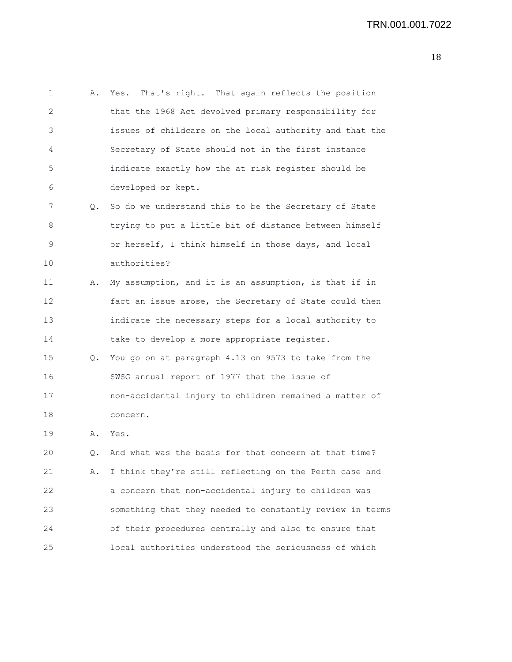1 A. Yes. That's right. That again reflects the position 2 that the 1968 Act devolved primary responsibility for 3 issues of childcare on the local authority and that the 4 Secretary of State should not in the first instance 5 indicate exactly how the at risk register should be 6 developed or kept. 7 Q. So do we understand this to be the Secretary of State 8 trying to put a little bit of distance between himself 9 or herself, I think himself in those days, and local 10 authorities? 11 A. My assumption, and it is an assumption, is that if in 12 fact an issue arose, the Secretary of State could then 13 indicate the necessary steps for a local authority to 14 take to develop a more appropriate register. 15 Q. You go on at paragraph 4.13 on 9573 to take from the 16 SWSG annual report of 1977 that the issue of 17 non-accidental injury to children remained a matter of 18 concern. 19 A. Yes. 20 Q. And what was the basis for that concern at that time? 21 A. I think they're still reflecting on the Perth case and 22 a concern that non-accidental injury to children was 23 something that they needed to constantly review in terms 24 of their procedures centrally and also to ensure that 25 local authorities understood the seriousness of which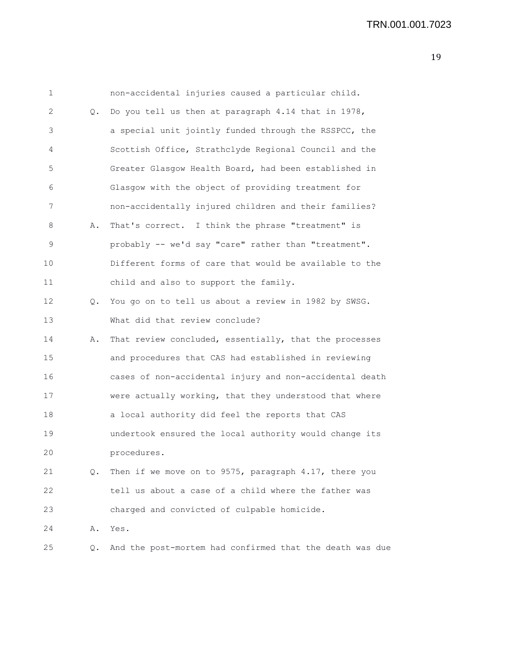1 non-accidental injuries caused a particular child. 2 Q. Do you tell us then at paragraph 4.14 that in 1978, 3 a special unit jointly funded through the RSSPCC, the 4 Scottish Office, Strathclyde Regional Council and the 5 Greater Glasgow Health Board, had been established in 6 Glasgow with the object of providing treatment for 7 non-accidentally injured children and their families? 8 A. That's correct. I think the phrase "treatment" is 9 probably -- we'd say "care" rather than "treatment". 10 Different forms of care that would be available to the 11 child and also to support the family. 12 Q. You go on to tell us about a review in 1982 by SWSG. 13 What did that review conclude? 14 A. That review concluded, essentially, that the processes 15 and procedures that CAS had established in reviewing 16 cases of non-accidental injury and non-accidental death 17 were actually working, that they understood that where 18 a local authority did feel the reports that CAS 19 undertook ensured the local authority would change its 20 procedures. 21 Q. Then if we move on to 9575, paragraph 4.17, there you 22 tell us about a case of a child where the father was 23 charged and convicted of culpable homicide. 24 A. Yes. 25 Q. And the post-mortem had confirmed that the death was due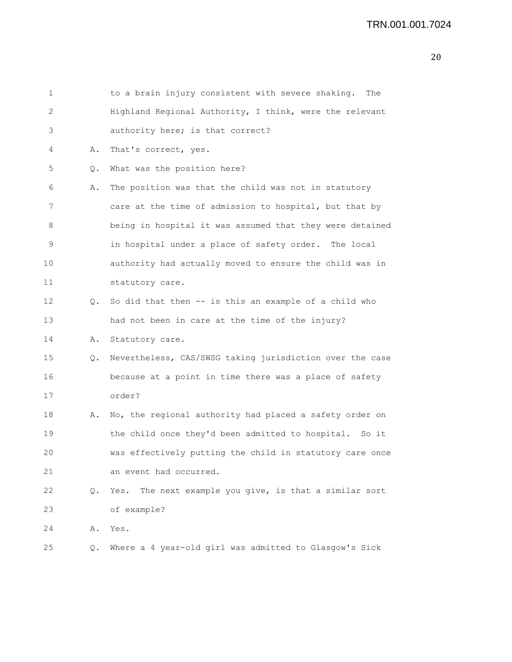| 1  |    | to a brain injury consistent with severe shaking. The     |
|----|----|-----------------------------------------------------------|
| 2  |    | Highland Regional Authority, I think, were the relevant   |
| 3  |    | authority here; is that correct?                          |
| 4  | Α. | That's correct, yes.                                      |
| 5  | Q. | What was the position here?                               |
| 6  | Α. | The position was that the child was not in statutory      |
| 7  |    | care at the time of admission to hospital, but that by    |
| 8  |    | being in hospital it was assumed that they were detained  |
| 9  |    | in hospital under a place of safety order. The local      |
| 10 |    | authority had actually moved to ensure the child was in   |
| 11 |    | statutory care.                                           |
| 12 | Q. | So did that then -- is this an example of a child who     |
| 13 |    | had not been in care at the time of the injury?           |
| 14 | Α. | Statutory care.                                           |
| 15 | Q. | Nevertheless, CAS/SWSG taking jurisdiction over the case  |
| 16 |    | because at a point in time there was a place of safety    |
| 17 |    | order?                                                    |
| 18 | Α. | No, the regional authority had placed a safety order on   |
| 19 |    | the child once they'd been admitted to hospital. So it    |
| 20 |    | was effectively putting the child in statutory care once  |
| 21 |    | an event had occurred.                                    |
| 22 | Q. | The next example you give, is that a similar sort<br>Yes. |
| 23 |    | of example?                                               |
| 24 | Α. | Yes.                                                      |
| 25 | Q. | Where a 4 year-old girl was admitted to Glasgow's Sick    |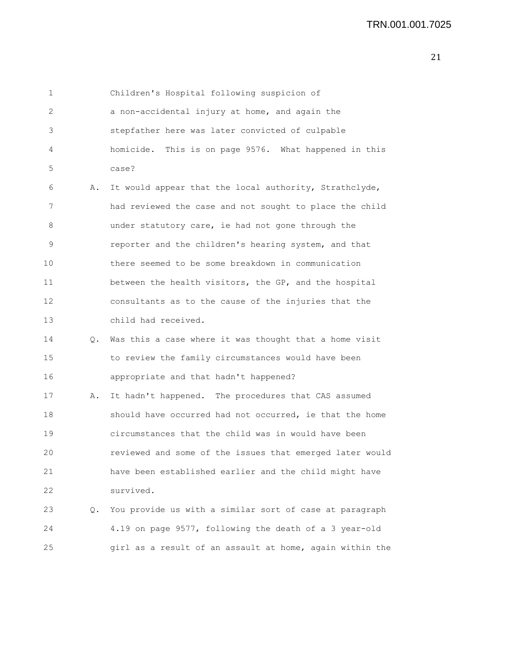1 Children's Hospital following suspicion of 2 a non-accidental injury at home, and again the 3 stepfather here was later convicted of culpable 4 homicide. This is on page 9576. What happened in this 5 case? 6 A. It would appear that the local authority, Strathclyde, 7 had reviewed the case and not sought to place the child 8 under statutory care, ie had not gone through the 9 reporter and the children's hearing system, and that 10 there seemed to be some breakdown in communication 11 between the health visitors, the GP, and the hospital 12 consultants as to the cause of the injuries that the 13 child had received. 14 Q. Was this a case where it was thought that a home visit 15 to review the family circumstances would have been 16 appropriate and that hadn't happened?

17 A. It hadn't happened. The procedures that CAS assumed 18 should have occurred had not occurred, ie that the home 19 circumstances that the child was in would have been 20 reviewed and some of the issues that emerged later would 21 have been established earlier and the child might have 22 survived.

23 Q. You provide us with a similar sort of case at paragraph 24 4.19 on page 9577, following the death of a 3 year-old 25 girl as a result of an assault at home, again within the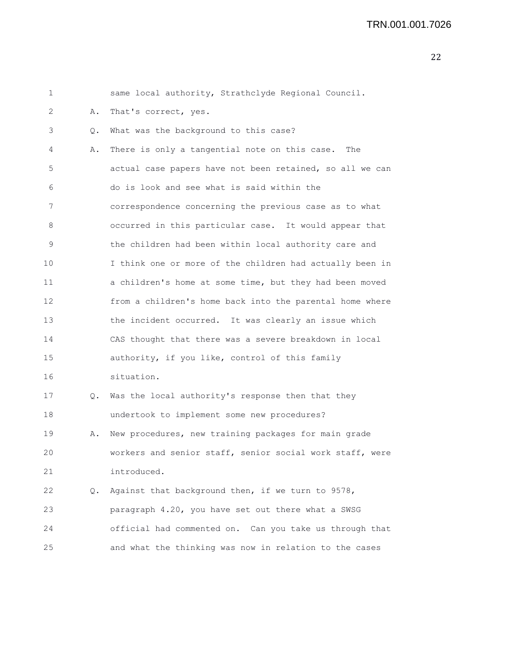| 1  |               | same local authority, Strathclyde Regional Council.      |
|----|---------------|----------------------------------------------------------|
| 2  | Α.            | That's correct, yes.                                     |
| 3  | Q.            | What was the background to this case?                    |
| 4  | Α.            | There is only a tangential note on this case.<br>The     |
| 5  |               | actual case papers have not been retained, so all we can |
| 6  |               | do is look and see what is said within the               |
| 7  |               | correspondence concerning the previous case as to what   |
| 8  |               | occurred in this particular case. It would appear that   |
| 9  |               | the children had been within local authority care and    |
| 10 |               | I think one or more of the children had actually been in |
| 11 |               | a children's home at some time, but they had been moved  |
| 12 |               | from a children's home back into the parental home where |
| 13 |               | the incident occurred. It was clearly an issue which     |
| 14 |               | CAS thought that there was a severe breakdown in local   |
| 15 |               | authority, if you like, control of this family           |
| 16 |               | situation.                                               |
| 17 | Q.            | Was the local authority's response then that they        |
| 18 |               | undertook to implement some new procedures?              |
| 19 | Α.            | New procedures, new training packages for main grade     |
| 20 |               | workers and senior staff, senior social work staff, were |
| 21 |               | introduced.                                              |
| 22 | $Q_{\bullet}$ | Against that background then, if we turn to 9578,        |
| 23 |               | paragraph 4.20, you have set out there what a SWSG       |
| 24 |               | official had commented on. Can you take us through that  |
| 25 |               | and what the thinking was now in relation to the cases   |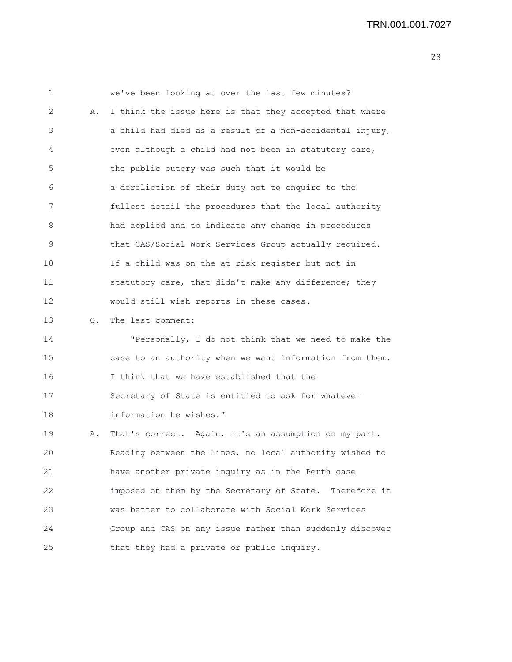| 1  |    | we've been looking at over the last few minutes?         |
|----|----|----------------------------------------------------------|
| 2  | Α. | I think the issue here is that they accepted that where  |
| 3  |    | a child had died as a result of a non-accidental injury, |
| 4  |    | even although a child had not been in statutory care,    |
| 5  |    | the public outcry was such that it would be              |
| 6  |    | a dereliction of their duty not to enquire to the        |
| 7  |    | fullest detail the procedures that the local authority   |
| 8  |    | had applied and to indicate any change in procedures     |
| 9  |    | that CAS/Social Work Services Group actually required.   |
| 10 |    | If a child was on the at risk register but not in        |
| 11 |    | statutory care, that didn't make any difference; they    |
| 12 |    | would still wish reports in these cases.                 |
| 13 | Q. | The last comment:                                        |
| 14 |    | "Personally, I do not think that we need to make the     |
| 15 |    | case to an authority when we want information from them. |
| 16 |    | I think that we have established that the                |
| 17 |    | Secretary of State is entitled to ask for whatever       |
| 18 |    | information he wishes."                                  |
| 19 | Α. | That's correct. Again, it's an assumption on my part.    |
| 20 |    | Reading between the lines, no local authority wished to  |
| 21 |    | have another private inquiry as in the Perth case        |
| 22 |    | imposed on them by the Secretary of State. Therefore it  |
| 23 |    | was better to collaborate with Social Work Services      |
| 24 |    | Group and CAS on any issue rather than suddenly discover |
| 25 |    | that they had a private or public inquiry.               |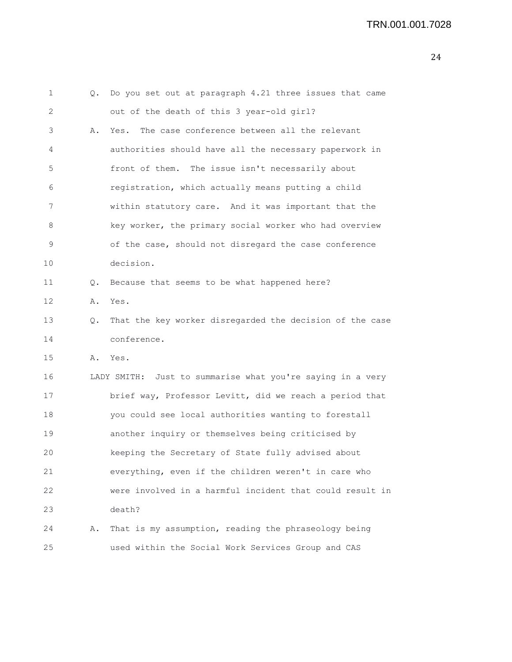```
1 Q. Do you set out at paragraph 4.21 three issues that came
2 out of the death of this 3 year-old girl?
3 A. Yes. The case conference between all the relevant
4 authorities should have all the necessary paperwork in
5 front of them. The issue isn't necessarily about
6 registration, which actually means putting a child
7 within statutory care. And it was important that the
8 key worker, the primary social worker who had overview
9 of the case, should not disregard the case conference
10 decision.
11 Q. Because that seems to be what happened here?
12 A. Yes.
13 Q. That the key worker disregarded the decision of the case
14 conference.
15 A. Yes.
16 LADY SMITH: Just to summarise what you're saying in a very
17 brief way, Professor Levitt, did we reach a period that
18 you could see local authorities wanting to forestall
19 another inquiry or themselves being criticised by
20 keeping the Secretary of State fully advised about
21 everything, even if the children weren't in care who
22 were involved in a harmful incident that could result in
23 death?
24 A. That is my assumption, reading the phraseology being
25 used within the Social Work Services Group and CAS
```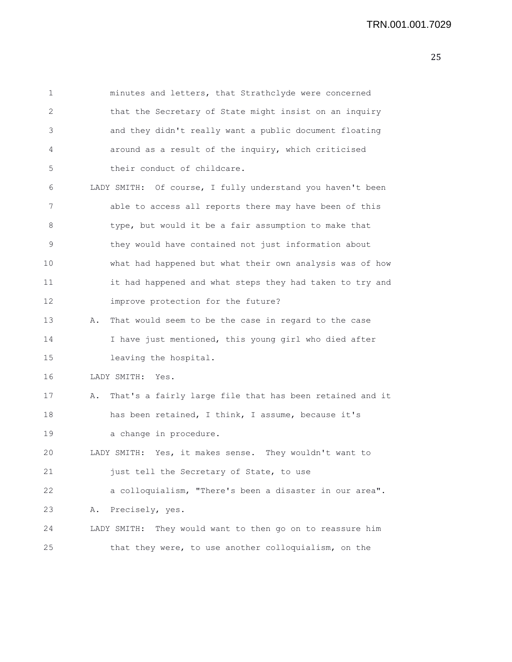| 1  |    | minutes and letters, that Strathclyde were concerned         |
|----|----|--------------------------------------------------------------|
| 2  |    | that the Secretary of State might insist on an inquiry       |
| 3  |    | and they didn't really want a public document floating       |
| 4  |    | around as a result of the inquiry, which criticised          |
| 5  |    | their conduct of childcare.                                  |
| 6  |    | LADY SMITH: Of course, I fully understand you haven't been   |
| 7  |    | able to access all reports there may have been of this       |
| 8  |    | type, but would it be a fair assumption to make that         |
| 9  |    | they would have contained not just information about         |
| 10 |    | what had happened but what their own analysis was of how     |
| 11 |    | it had happened and what steps they had taken to try and     |
| 12 |    | improve protection for the future?                           |
| 13 | Α. | That would seem to be the case in regard to the case         |
| 14 |    | I have just mentioned, this young girl who died after        |
| 15 |    | leaving the hospital.                                        |
| 16 |    | LADY SMITH:<br>Yes.                                          |
| 17 | Α. | That's a fairly large file that has been retained and it     |
| 18 |    | has been retained, I think, I assume, because it's           |
| 19 |    | a change in procedure.                                       |
| 20 |    | LADY SMITH: Yes, it makes sense. They wouldn't want to       |
| 21 |    | just tell the Secretary of State, to use                     |
| 22 |    | a colloquialism, "There's been a disaster in our area".      |
| 23 | Α. | Precisely, yes.                                              |
| 24 |    | They would want to then go on to reassure him<br>LADY SMITH: |
| 25 |    | that they were, to use another colloquialism, on the         |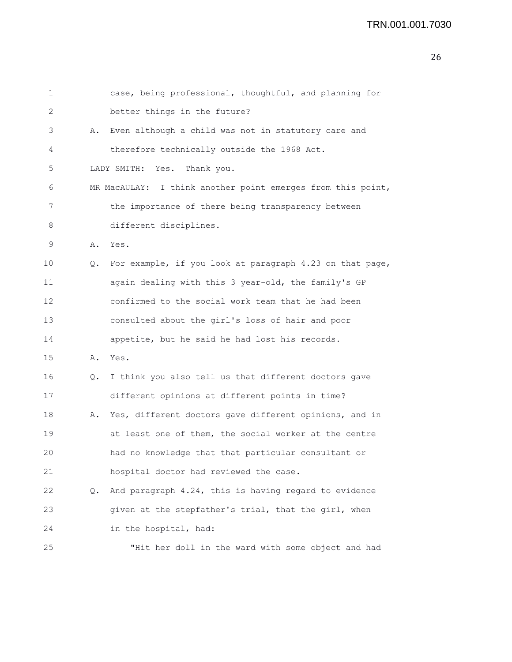```
1 case, being professional, thoughtful, and planning for
2 better things in the future?
3 A. Even although a child was not in statutory care and
4 therefore technically outside the 1968 Act.
5 LADY SMITH: Yes. Thank you.
6 MR MacAULAY: I think another point emerges from this point,
7 the importance of there being transparency between
8 different disciplines.
9 A. Yes.
10 Q. For example, if you look at paragraph 4.23 on that page,
11 again dealing with this 3 year-old, the family's GP
12 confirmed to the social work team that he had been
13 consulted about the girl's loss of hair and poor
14 appetite, but he said he had lost his records.
15 A. Yes.
16 Q. I think you also tell us that different doctors gave
17 different opinions at different points in time?
18 A. Yes, different doctors gave different opinions, and in
19 at least one of them, the social worker at the centre
20 had no knowledge that that particular consultant or
21 hospital doctor had reviewed the case.
22 Q. And paragraph 4.24, this is having regard to evidence
23 given at the stepfather's trial, that the girl, when
24 in the hospital, had:
25 "Hit her doll in the ward with some object and had
```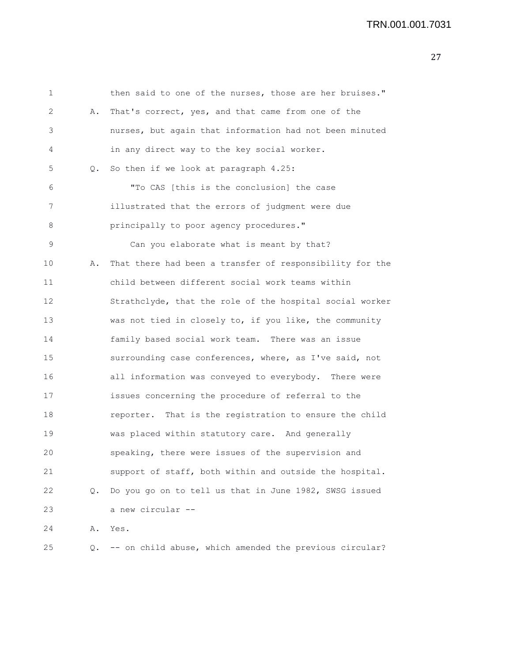| 1  |    | then said to one of the nurses, those are her bruises."  |
|----|----|----------------------------------------------------------|
| 2  | Α. | That's correct, yes, and that came from one of the       |
| 3  |    | nurses, but again that information had not been minuted  |
| 4  |    | in any direct way to the key social worker.              |
| 5  | Q. | So then if we look at paragraph 4.25:                    |
| 6  |    | "To CAS [this is the conclusion] the case                |
| 7  |    | illustrated that the errors of judgment were due         |
| 8  |    | principally to poor agency procedures."                  |
| 9  |    | Can you elaborate what is meant by that?                 |
| 10 | Α. | That there had been a transfer of responsibility for the |
| 11 |    | child between different social work teams within         |
| 12 |    | Strathclyde, that the role of the hospital social worker |
| 13 |    | was not tied in closely to, if you like, the community   |
| 14 |    | family based social work team. There was an issue        |
| 15 |    | surrounding case conferences, where, as I've said, not   |
| 16 |    | all information was conveyed to everybody. There were    |
| 17 |    | issues concerning the procedure of referral to the       |
| 18 |    | reporter. That is the registration to ensure the child   |
| 19 |    | was placed within statutory care. And generally          |
| 20 |    | speaking, there were issues of the supervision and       |
| 21 |    | support of staff, both within and outside the hospital.  |
| 22 | Q. | Do you go on to tell us that in June 1982, SWSG issued   |
| 23 |    | a new circular --                                        |
| 24 | Α. | Yes.                                                     |
| 25 | Q. | -- on child abuse, which amended the previous circular?  |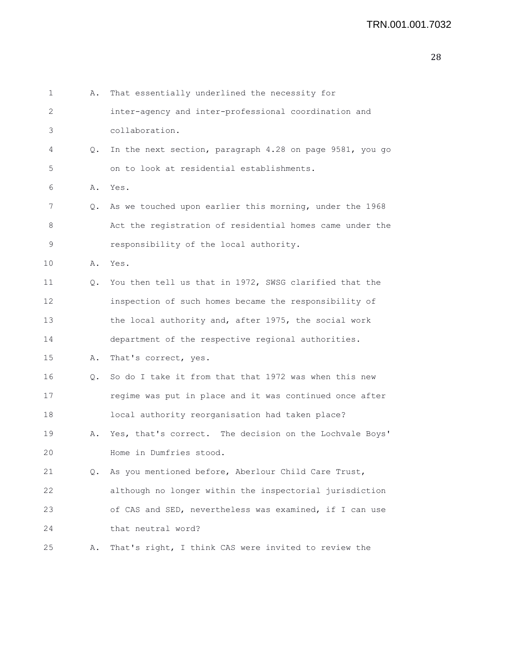| 1  | Α. | That essentially underlined the necessity for            |
|----|----|----------------------------------------------------------|
| 2  |    | inter-agency and inter-professional coordination and     |
| 3  |    | collaboration.                                           |
| 4  | Q. | In the next section, paragraph 4.28 on page 9581, you go |
| 5  |    | on to look at residential establishments.                |
| 6  | Α. | Yes.                                                     |
| 7  | Q. | As we touched upon earlier this morning, under the 1968  |
| 8  |    | Act the registration of residential homes came under the |
| 9  |    | responsibility of the local authority.                   |
| 10 | Α. | Yes.                                                     |
| 11 | Q. | You then tell us that in 1972, SWSG clarified that the   |
| 12 |    | inspection of such homes became the responsibility of    |
| 13 |    | the local authority and, after 1975, the social work     |
| 14 |    | department of the respective regional authorities.       |
| 15 | Α. | That's correct, yes.                                     |
| 16 | Q. | So do I take it from that that 1972 was when this new    |
| 17 |    | regime was put in place and it was continued once after  |
| 18 |    | local authority reorganisation had taken place?          |
| 19 | Α. | Yes, that's correct. The decision on the Lochvale Boys'  |
| 20 |    | Home in Dumfries stood.                                  |
| 21 | Q. | As you mentioned before, Aberlour Child Care Trust,      |
| 22 |    | although no longer within the inspectorial jurisdiction  |
| 23 |    | of CAS and SED, nevertheless was examined, if I can use  |
| 24 |    | that neutral word?                                       |
| 25 | Α. | That's right, I think CAS were invited to review the     |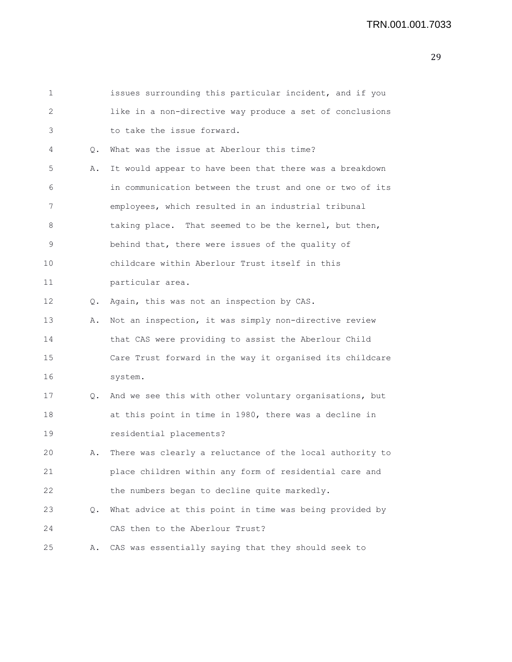| 1  |           | issues surrounding this particular incident, and if you  |
|----|-----------|----------------------------------------------------------|
| 2  |           | like in a non-directive way produce a set of conclusions |
| 3  |           | to take the issue forward.                               |
| 4  | $\circ$ . | What was the issue at Aberlour this time?                |
| 5  | Α.        | It would appear to have been that there was a breakdown  |
| 6  |           | in communication between the trust and one or two of its |
| 7  |           | employees, which resulted in an industrial tribunal      |
| 8  |           | taking place. That seemed to be the kernel, but then,    |
| 9  |           | behind that, there were issues of the quality of         |
| 10 |           | childcare within Aberlour Trust itself in this           |
| 11 |           | particular area.                                         |
| 12 | Q.        | Again, this was not an inspection by CAS.                |
| 13 | Α.        | Not an inspection, it was simply non-directive review    |
| 14 |           | that CAS were providing to assist the Aberlour Child     |
| 15 |           | Care Trust forward in the way it organised its childcare |
| 16 |           | system.                                                  |
| 17 | $\circ$ . | And we see this with other voluntary organisations, but  |
| 18 |           | at this point in time in 1980, there was a decline in    |
| 19 |           | residential placements?                                  |
| 20 | Α.        | There was clearly a reluctance of the local authority to |
| 21 |           | place children within any form of residential care and   |
| 22 |           | the numbers began to decline quite markedly.             |
| 23 | Q.        | What advice at this point in time was being provided by  |
| 24 |           | CAS then to the Aberlour Trust?                          |
| 25 | Α.        | CAS was essentially saying that they should seek to      |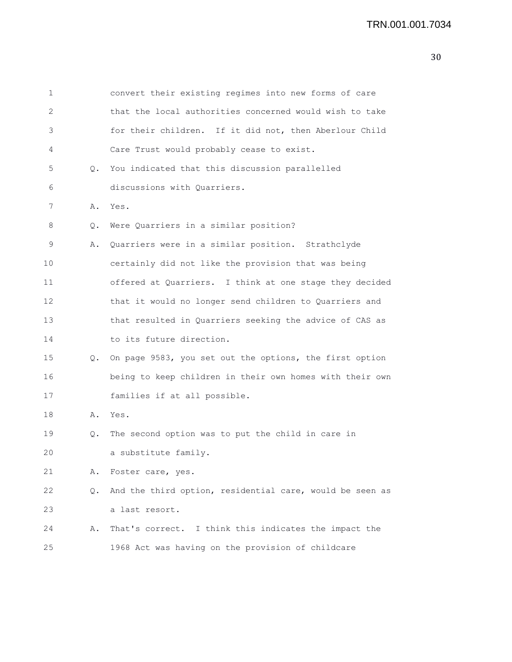| 1  |    | convert their existing regimes into new forms of care    |
|----|----|----------------------------------------------------------|
| 2  |    | that the local authorities concerned would wish to take  |
| 3  |    | for their children. If it did not, then Aberlour Child   |
| 4  |    | Care Trust would probably cease to exist.                |
| 5  | Q. | You indicated that this discussion parallelled           |
| 6  |    | discussions with Quarriers.                              |
| 7  | Α. | Yes.                                                     |
| 8  | Q. | Were Quarriers in a similar position?                    |
| 9  | Α. | Quarriers were in a similar position. Strathclyde        |
| 10 |    | certainly did not like the provision that was being      |
| 11 |    | offered at Quarriers. I think at one stage they decided  |
| 12 |    | that it would no longer send children to Quarriers and   |
| 13 |    | that resulted in Quarriers seeking the advice of CAS as  |
| 14 |    | to its future direction.                                 |
| 15 | Q. | On page 9583, you set out the options, the first option  |
| 16 |    | being to keep children in their own homes with their own |
| 17 |    | families if at all possible.                             |
| 18 | Α. | Yes.                                                     |
| 19 | Q. | The second option was to put the child in care in        |
| 20 |    | a substitute family.                                     |
| 21 | Α. | Foster care, yes.                                        |
| 22 | Q. | And the third option, residential care, would be seen as |
| 23 |    | a last resort.                                           |
| 24 | Α. | That's correct. I think this indicates the impact the    |

25 1968 Act was having on the provision of childcare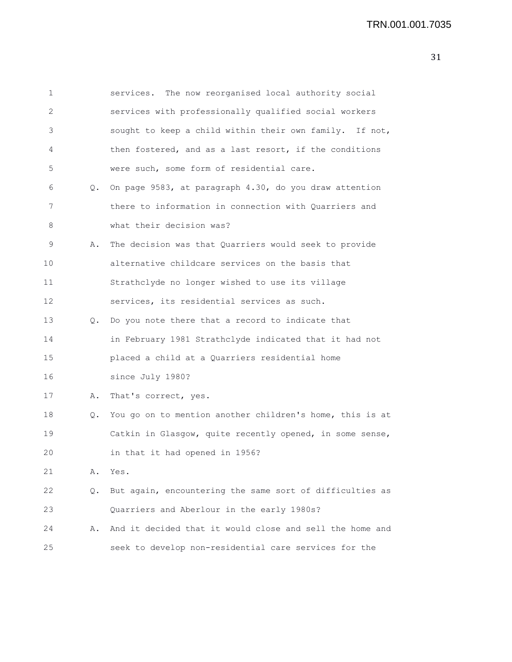| 1  |    | services. The now reorganised local authority social     |
|----|----|----------------------------------------------------------|
| 2  |    | services with professionally qualified social workers    |
| 3  |    | sought to keep a child within their own family. If not,  |
| 4  |    | then fostered, and as a last resort, if the conditions   |
| 5  |    | were such, some form of residential care.                |
| 6  | Q. | On page 9583, at paragraph 4.30, do you draw attention   |
| 7  |    | there to information in connection with Quarriers and    |
| 8  |    | what their decision was?                                 |
| 9  | Α. | The decision was that Quarriers would seek to provide    |
| 10 |    | alternative childcare services on the basis that         |
| 11 |    | Strathclyde no longer wished to use its village          |
| 12 |    | services, its residential services as such.              |
| 13 | Q. | Do you note there that a record to indicate that         |
| 14 |    | in February 1981 Strathclyde indicated that it had not   |
| 15 |    | placed a child at a Quarriers residential home           |
| 16 |    | since July 1980?                                         |
| 17 | Α. | That's correct, yes.                                     |
| 18 | Q. | You go on to mention another children's home, this is at |
| 19 |    | Catkin in Glasgow, quite recently opened, in some sense, |
| 20 |    | in that it had opened in 1956?                           |
| 21 | Α. | Yes.                                                     |
| 22 | Q. | But again, encountering the same sort of difficulties as |
| 23 |    | Quarriers and Aberlour in the early 1980s?               |
| 24 | Α. | And it decided that it would close and sell the home and |
| 25 |    | seek to develop non-residential care services for the    |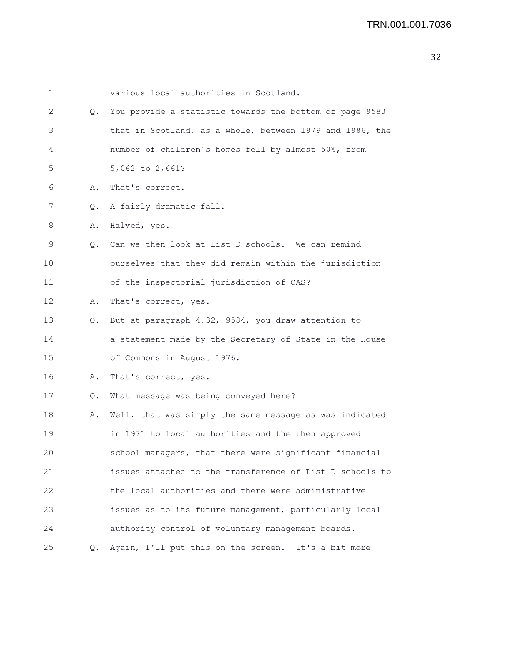| 1  |    | various local authorities in Scotland.                   |
|----|----|----------------------------------------------------------|
| 2  | Q. | You provide a statistic towards the bottom of page 9583  |
| 3  |    | that in Scotland, as a whole, between 1979 and 1986, the |
| 4  |    | number of children's homes fell by almost 50%, from      |
| 5  |    | 5,062 to 2,661?                                          |
| 6  | Α. | That's correct.                                          |
| 7  | Q. | A fairly dramatic fall.                                  |
| 8  | Α. | Halved, yes.                                             |
| 9  | Q. | Can we then look at List D schools. We can remind        |
| 10 |    | ourselves that they did remain within the jurisdiction   |
| 11 |    | of the inspectorial jurisdiction of CAS?                 |
| 12 | Α. | That's correct, yes.                                     |
| 13 | Q. | But at paragraph 4.32, 9584, you draw attention to       |
| 14 |    | a statement made by the Secretary of State in the House  |
| 15 |    | of Commons in August 1976.                               |
| 16 | Α. | That's correct, yes.                                     |
| 17 | Q. | What message was being conveyed here?                    |
| 18 | Α. | Well, that was simply the same message as was indicated  |
| 19 |    | in 1971 to local authorities and the then approved       |
| 20 |    | school managers, that there were significant financial   |
| 21 |    | issues attached to the transference of List D schools to |
| 22 |    | the local authorities and there were administrative      |
| 23 |    | issues as to its future management, particularly local   |
| 24 |    | authority control of voluntary management boards.        |
| 25 | Q. | Again, I'll put this on the screen. It's a bit more      |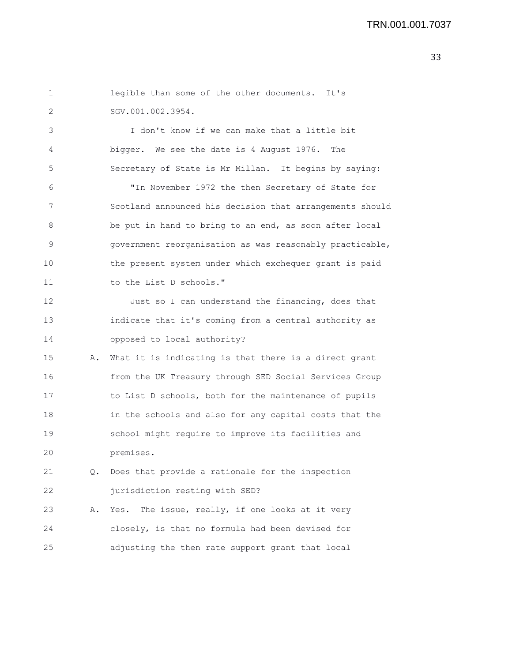| 1  |    | legible than some of the other documents. It's           |
|----|----|----------------------------------------------------------|
| 2  |    | SGV.001.002.3954.                                        |
| 3  |    | I don't know if we can make that a little bit            |
| 4  |    | bigger. We see the date is 4 August 1976. The            |
| 5  |    | Secretary of State is Mr Millan. It begins by saying:    |
| 6  |    | "In November 1972 the then Secretary of State for        |
| 7  |    | Scotland announced his decision that arrangements should |
| 8  |    | be put in hand to bring to an end, as soon after local   |
| 9  |    | government reorganisation as was reasonably practicable, |
| 10 |    | the present system under which exchequer grant is paid   |
| 11 |    | to the List D schools."                                  |
| 12 |    | Just so I can understand the financing, does that        |
| 13 |    | indicate that it's coming from a central authority as    |
| 14 |    | opposed to local authority?                              |
| 15 | Α. | What it is indicating is that there is a direct grant    |
| 16 |    | from the UK Treasury through SED Social Services Group   |
| 17 |    | to List D schools, both for the maintenance of pupils    |
| 18 |    | in the schools and also for any capital costs that the   |
| 19 |    | school might require to improve its facilities and       |
| 20 |    | premises.                                                |
| 21 | Q. | Does that provide a rationale for the inspection         |
| 22 |    | jurisdiction resting with SED?                           |
| 23 | Α. | The issue, really, if one looks at it very<br>Yes.       |
| 24 |    | closely, is that no formula had been devised for         |
| 25 |    | adjusting the then rate support grant that local         |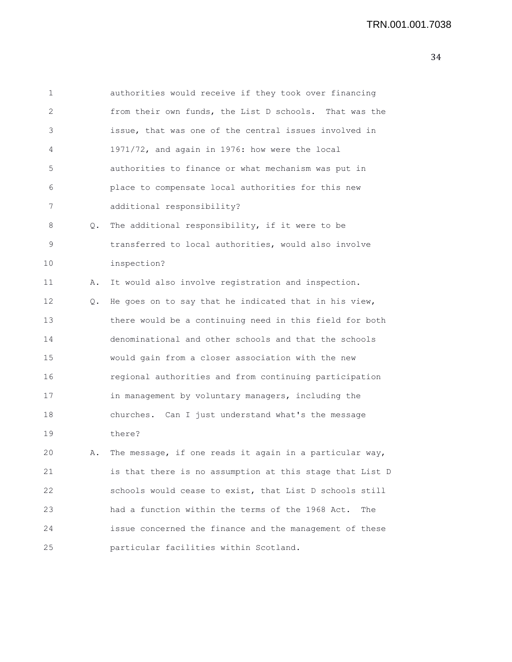```
1 authorities would receive if they took over financing
2 from their own funds, the List D schools. That was the
3 issue, that was one of the central issues involved in
4 1971/72, and again in 1976: how were the local
5 authorities to finance or what mechanism was put in
6 place to compensate local authorities for this new
7 additional responsibility?
8 Q. The additional responsibility, if it were to be
9 transferred to local authorities, would also involve
10 inspection?
11 A. It would also involve registration and inspection.
12 Q. He goes on to say that he indicated that in his view,
13 there would be a continuing need in this field for both
14 denominational and other schools and that the schools
15 would gain from a closer association with the new
16 regional authorities and from continuing participation
17 in management by voluntary managers, including the
18 churches. Can I just understand what's the message
19 there?
20 A. The message, if one reads it again in a particular way,
21 is that there is no assumption at this stage that List D
```
22 schools would cease to exist, that List D schools still 23 had a function within the terms of the 1968 Act. The 24 issue concerned the finance and the management of these 25 particular facilities within Scotland.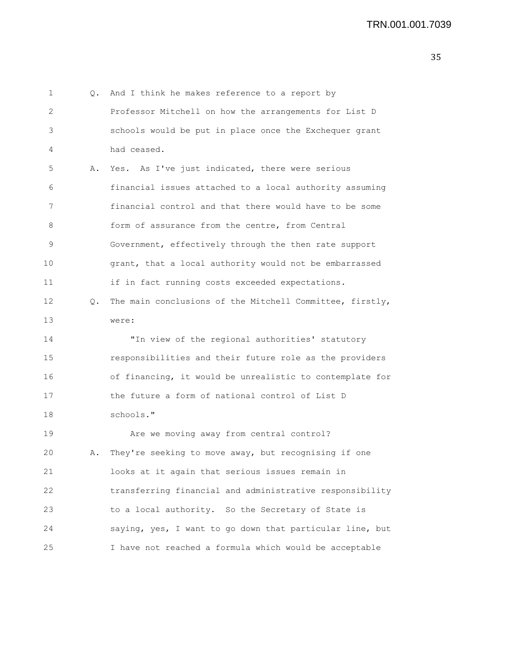1 Q. And I think he makes reference to a report by 2 Professor Mitchell on how the arrangements for List D 3 schools would be put in place once the Exchequer grant 4 had ceased. 5 A. Yes. As I've just indicated, there were serious 6 financial issues attached to a local authority assuming 7 financial control and that there would have to be some 8 form of assurance from the centre, from Central 9 Government, effectively through the then rate support 10 grant, that a local authority would not be embarrassed 11 if in fact running costs exceeded expectations. 12 Q. The main conclusions of the Mitchell Committee, firstly, 13 were: 14 "In view of the regional authorities' statutory 15 responsibilities and their future role as the providers 16 of financing, it would be unrealistic to contemplate for 17 the future a form of national control of List D 18 schools." 19 Are we moving away from central control? 20 A. They're seeking to move away, but recognising if one 21 looks at it again that serious issues remain in 22 transferring financial and administrative responsibility 23 to a local authority. So the Secretary of State is 24 saying, yes, I want to go down that particular line, but 25 I have not reached a formula which would be acceptable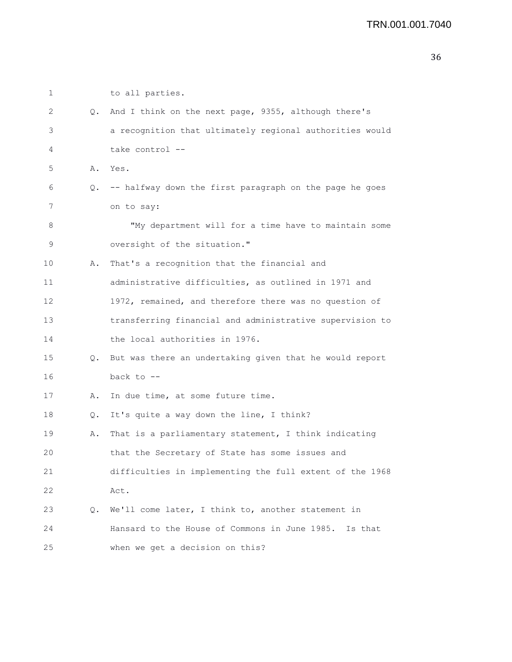| 1  |    | to all parties.                                            |
|----|----|------------------------------------------------------------|
| 2  | Q. | And I think on the next page, 9355, although there's       |
| 3  |    | a recognition that ultimately regional authorities would   |
| 4  |    | take control --                                            |
| 5  | Α. | Yes.                                                       |
| 6  |    | Q. -- halfway down the first paragraph on the page he goes |
| 7  |    | on to say:                                                 |
| 8  |    | "My department will for a time have to maintain some       |
| 9  |    | oversight of the situation."                               |
| 10 | Α. | That's a recognition that the financial and                |
| 11 |    | administrative difficulties, as outlined in 1971 and       |
| 12 |    | 1972, remained, and therefore there was no question of     |
| 13 |    | transferring financial and administrative supervision to   |
| 14 |    | the local authorities in 1976.                             |
| 15 | Q. | But was there an undertaking given that he would report    |
| 16 |    | back to $-$ -                                              |
| 17 | Α. | In due time, at some future time.                          |
| 18 | Q. | It's quite a way down the line, I think?                   |
| 19 | Α. | That is a parliamentary statement, I think indicating      |
| 20 |    | that the Secretary of State has some issues and            |
| 21 |    | difficulties in implementing the full extent of the 1968   |
| 22 |    | Act.                                                       |
| 23 | Q. | We'll come later, I think to, another statement in         |
| 24 |    | Hansard to the House of Commons in June 1985.<br>Is that   |
| 25 |    | when we get a decision on this?                            |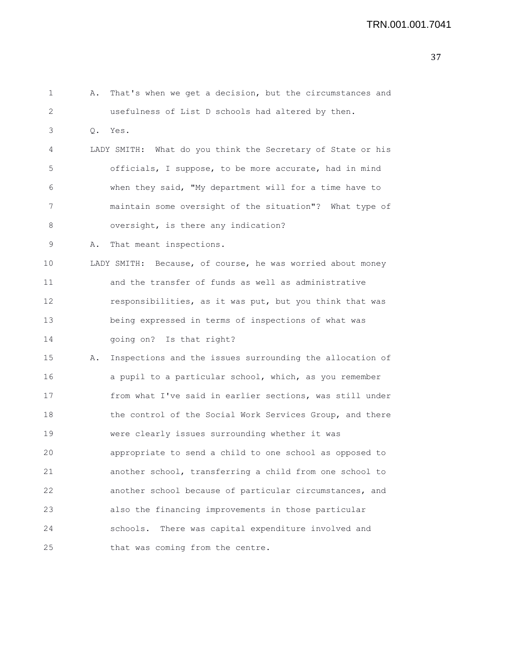1 A. That's when we get a decision, but the circumstances and 2 usefulness of List D schools had altered by then. 3 Q. Yes. 4 LADY SMITH: What do you think the Secretary of State or his 5 officials, I suppose, to be more accurate, had in mind 6 when they said, "My department will for a time have to 7 maintain some oversight of the situation"? What type of 8 oversight, is there any indication? 9 A. That meant inspections. 10 LADY SMITH: Because, of course, he was worried about money 11 and the transfer of funds as well as administrative 12 responsibilities, as it was put, but you think that was 13 being expressed in terms of inspections of what was 14 going on? Is that right? 15 A. Inspections and the issues surrounding the allocation of 16 a pupil to a particular school, which, as you remember 17 from what I've said in earlier sections, was still under 18 the control of the Social Work Services Group, and there 19 were clearly issues surrounding whether it was 20 appropriate to send a child to one school as opposed to 21 another school, transferring a child from one school to 22 another school because of particular circumstances, and 23 also the financing improvements in those particular 24 schools. There was capital expenditure involved and 25 that was coming from the centre.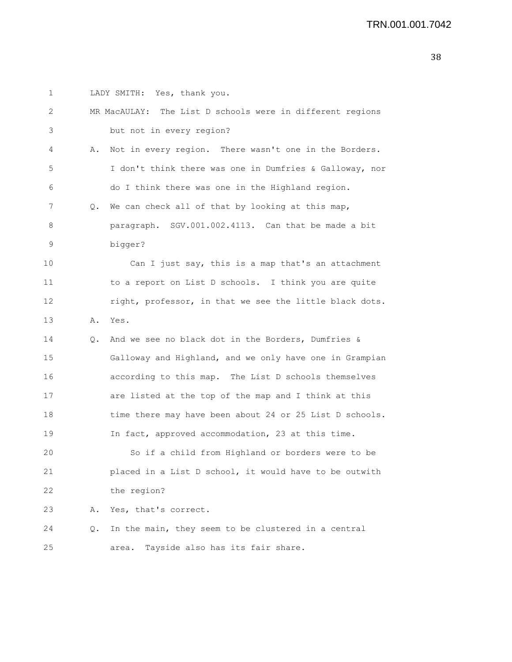1 LADY SMITH: Yes, thank you. 2 MR MacAULAY: The List D schools were in different regions 3 but not in every region? 4 A. Not in every region. There wasn't one in the Borders. 5 I don't think there was one in Dumfries & Galloway, nor 6 do I think there was one in the Highland region. 7 Q. We can check all of that by looking at this map, 8 paragraph. SGV.001.002.4113. Can that be made a bit 9 bigger? 10 Can I just say, this is a map that's an attachment 11 to a report on List D schools. I think you are quite 12 right, professor, in that we see the little black dots. 13 A. Yes. 14 Q. And we see no black dot in the Borders, Dumfries & 15 Galloway and Highland, and we only have one in Grampian 16 according to this map. The List D schools themselves 17 are listed at the top of the map and I think at this 18 time there may have been about 24 or 25 List D schools. 19 In fact, approved accommodation, 23 at this time. 20 So if a child from Highland or borders were to be 21 placed in a List D school, it would have to be outwith 22 the region? 23 A. Yes, that's correct. 24 Q. In the main, they seem to be clustered in a central 25 area. Tayside also has its fair share.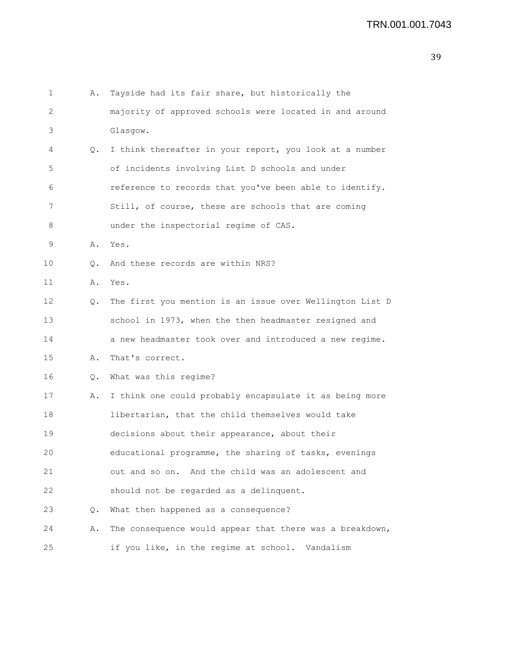```
1 A. Tayside had its fair share, but historically the
2 majority of approved schools were located in and around
3 Glasgow.
4 Q. I think thereafter in your report, you look at a number
5 of incidents involving List D schools and under
6 reference to records that you've been able to identify.
7 Still, of course, these are schools that are coming
8 under the inspectorial regime of CAS.
9 A. Yes.
10 Q. And these records are within NRS?
11 A. Yes.
12 Q. The first you mention is an issue over Wellington List D
13 school in 1973, when the then headmaster resigned and
14 a new headmaster took over and introduced a new regime.
15 A. That's correct.
16 Q. What was this regime?
17 A. I think one could probably encapsulate it as being more
18 libertarian, that the child themselves would take
19 decisions about their appearance, about their
20 educational programme, the sharing of tasks, evenings
21 out and so on. And the child was an adolescent and
22 should not be regarded as a delinquent.
23 Q. What then happened as a consequence?
24 A. The consequence would appear that there was a breakdown,
25 if you like, in the regime at school. Vandalism
```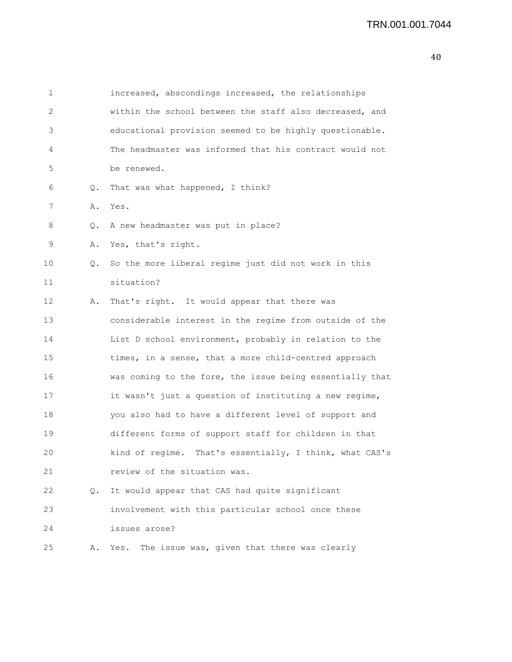| 1  |    | increased, abscondings increased, the relationships      |
|----|----|----------------------------------------------------------|
| 2  |    | within the school between the staff also decreased, and  |
| 3  |    | educational provision seemed to be highly questionable.  |
| 4  |    | The headmaster was informed that his contract would not  |
| 5  |    | be renewed.                                              |
| 6  | Q. | That was what happened, I think?                         |
| 7  | Α. | Yes.                                                     |
| 8  | Q. | A new headmaster was put in place?                       |
| 9  | Α. | Yes, that's right.                                       |
| 10 | Q. | So the more liberal regime just did not work in this     |
| 11 |    | situation?                                               |
| 12 | Α. | That's right. It would appear that there was             |
| 13 |    | considerable interest in the regime from outside of the  |
| 14 |    | List D school environment, probably in relation to the   |
| 15 |    | times, in a sense, that a more child-centred approach    |
| 16 |    | was coming to the fore, the issue being essentially that |
| 17 |    | it wasn't just a question of instituting a new regime,   |
| 18 |    | you also had to have a different level of support and    |
| 19 |    | different forms of support staff for children in that    |
| 20 |    | kind of regime. That's essentially, I think, what CAS's  |
| 21 |    | review of the situation was.                             |
| 22 | Q. | It would appear that CAS had quite significant           |
| 23 |    | involvement with this particular school once these       |
| 24 |    | issues arose?                                            |

25 A. Yes. The issue was, given that there was clearly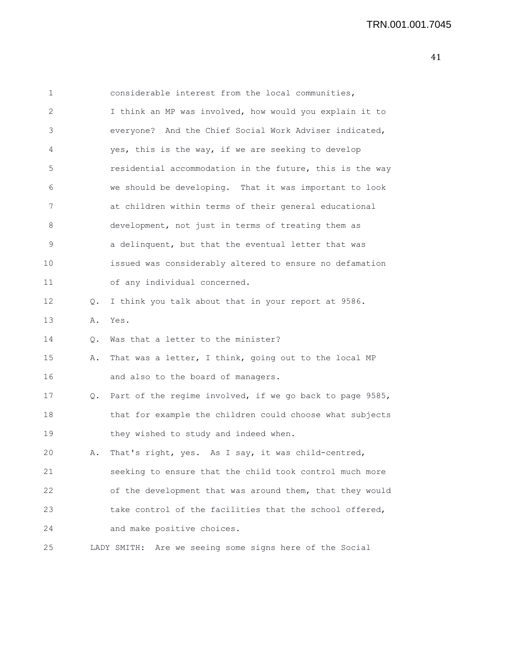1 considerable interest from the local communities, 2 I think an MP was involved, how would you explain it to 3 everyone? And the Chief Social Work Adviser indicated, 4 yes, this is the way, if we are seeking to develop 5 residential accommodation in the future, this is the way 6 we should be developing. That it was important to look 7 at children within terms of their general educational 8 development, not just in terms of treating them as 9 a delinquent, but that the eventual letter that was 10 issued was considerably altered to ensure no defamation 11 of any individual concerned. 12 Q. I think you talk about that in your report at 9586. 13 A. Yes. 14 Q. Was that a letter to the minister? 15 A. That was a letter, I think, going out to the local MP 16 and also to the board of managers. 17 Q. Part of the regime involved, if we go back to page 9585, 18 that for example the children could choose what subjects 19 they wished to study and indeed when. 20 A. That's right, yes. As I say, it was child-centred, 21 seeking to ensure that the child took control much more 22 of the development that was around them, that they would 23 take control of the facilities that the school offered, 24 and make positive choices. 25 LADY SMITH: Are we seeing some signs here of the Social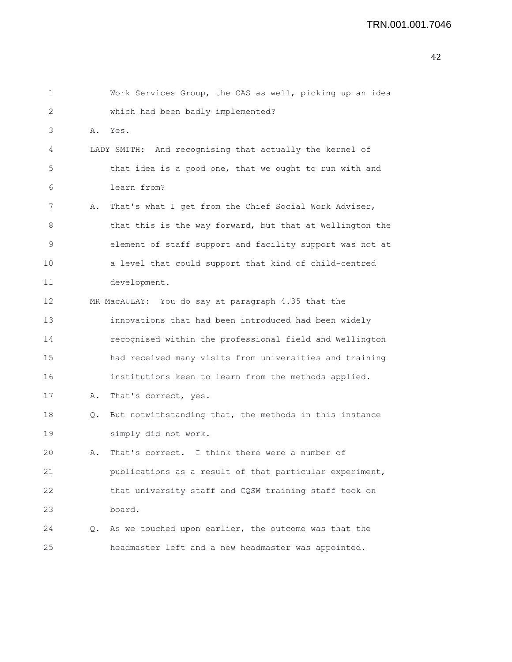| 1  |    | Work Services Group, the CAS as well, picking up an idea |
|----|----|----------------------------------------------------------|
| 2  |    | which had been badly implemented?                        |
| 3  | Α. | Yes.                                                     |
| 4  |    | LADY SMITH: And recognising that actually the kernel of  |
| 5  |    | that idea is a good one, that we ought to run with and   |
| 6  |    | learn from?                                              |
| 7  | Α. | That's what I get from the Chief Social Work Adviser,    |
| 8  |    | that this is the way forward, but that at Wellington the |
| 9  |    | element of staff support and facility support was not at |
| 10 |    | a level that could support that kind of child-centred    |
| 11 |    | development.                                             |
| 12 |    | MR MacAULAY: You do say at paragraph 4.35 that the       |
| 13 |    | innovations that had been introduced had been widely     |
| 14 |    | recognised within the professional field and Wellington  |
| 15 |    | had received many visits from universities and training  |
| 16 |    | institutions keen to learn from the methods applied.     |
| 17 | Α. | That's correct, yes.                                     |
| 18 | Q. | But notwithstanding that, the methods in this instance   |
| 19 |    | simply did not work.                                     |
| 20 | Α. | That's correct. I think there were a number of           |
| 21 |    | publications as a result of that particular experiment,  |
| 22 |    | that university staff and CQSW training staff took on    |
| 23 |    | board.                                                   |
| 24 |    | Q. As we touched upon earlier, the outcome was that the  |
| 25 |    | headmaster left and a new headmaster was appointed.      |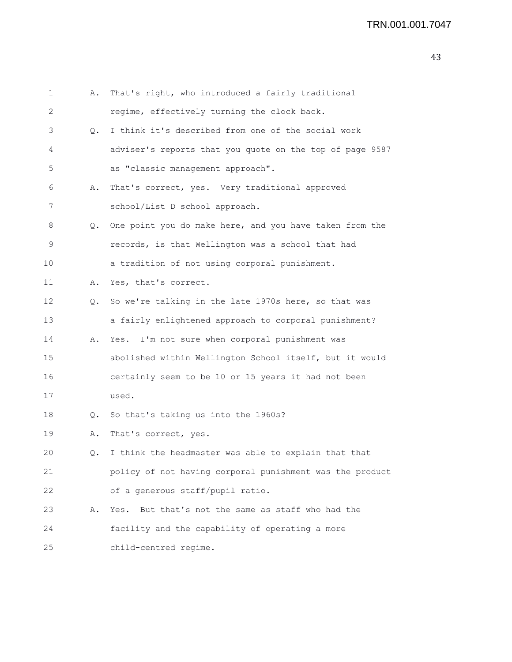| 1  | Α. | That's right, who introduced a fairly traditional        |
|----|----|----------------------------------------------------------|
| 2  |    | regime, effectively turning the clock back.              |
| 3  | Q. | I think it's described from one of the social work       |
| 4  |    | adviser's reports that you quote on the top of page 9587 |
| 5  |    | as "classic management approach".                        |
| 6  | Α. | That's correct, yes. Very traditional approved           |
| 7  |    | school/List D school approach.                           |
| 8  | Q. | One point you do make here, and you have taken from the  |
| 9  |    | records, is that Wellington was a school that had        |
| 10 |    | a tradition of not using corporal punishment.            |
| 11 | Α. | Yes, that's correct.                                     |
| 12 | Q. | So we're talking in the late 1970s here, so that was     |
| 13 |    | a fairly enlightened approach to corporal punishment?    |
| 14 | Α. | Yes. I'm not sure when corporal punishment was           |
| 15 |    | abolished within Wellington School itself, but it would  |
| 16 |    | certainly seem to be 10 or 15 years it had not been      |
| 17 |    | used.                                                    |
| 18 | Q. | So that's taking us into the 1960s?                      |
| 19 | Α. | That's correct, yes.                                     |
| 20 | Q. | I think the headmaster was able to explain that that     |
| 21 |    | policy of not having corporal punishment was the product |
| 22 |    | of a generous staff/pupil ratio.                         |
| 23 | Α. | But that's not the same as staff who had the<br>Yes.     |
| 24 |    | facility and the capability of operating a more          |
| 25 |    | child-centred regime.                                    |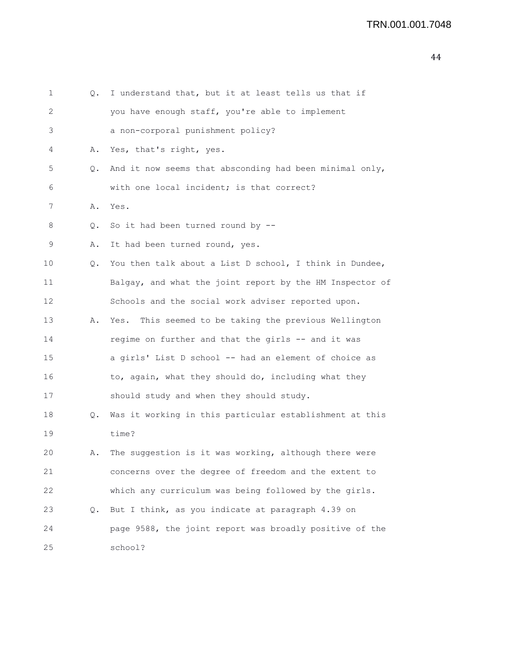| 1  | Q. | I understand that, but it at least tells us that if      |
|----|----|----------------------------------------------------------|
| 2  |    | you have enough staff, you're able to implement          |
| 3  |    | a non-corporal punishment policy?                        |
| 4  | Α. | Yes, that's right, yes.                                  |
| 5  | Q. | And it now seems that absconding had been minimal only,  |
| 6  |    | with one local incident; is that correct?                |
| 7  | Α. | Yes.                                                     |
| 8  | Q. | So it had been turned round by $-$ -                     |
| 9  | Α. | It had been turned round, yes.                           |
| 10 | Q. | You then talk about a List D school, I think in Dundee,  |
| 11 |    | Balgay, and what the joint report by the HM Inspector of |
| 12 |    | Schools and the social work adviser reported upon.       |
| 13 | Α. | Yes. This seemed to be taking the previous Wellington    |
| 14 |    | regime on further and that the girls -- and it was       |
| 15 |    | a girls' List D school -- had an element of choice as    |
| 16 |    | to, again, what they should do, including what they      |
| 17 |    | should study and when they should study.                 |
| 18 | Q. | Was it working in this particular establishment at this  |
| 19 |    | time?                                                    |
| 20 | Α. | The suggestion is it was working, although there were    |
| 21 |    | concerns over the degree of freedom and the extent to    |
| 22 |    | which any curriculum was being followed by the girls.    |
| 23 | Q. | But I think, as you indicate at paragraph 4.39 on        |
| 24 |    | page 9588, the joint report was broadly positive of the  |
| 25 |    | school?                                                  |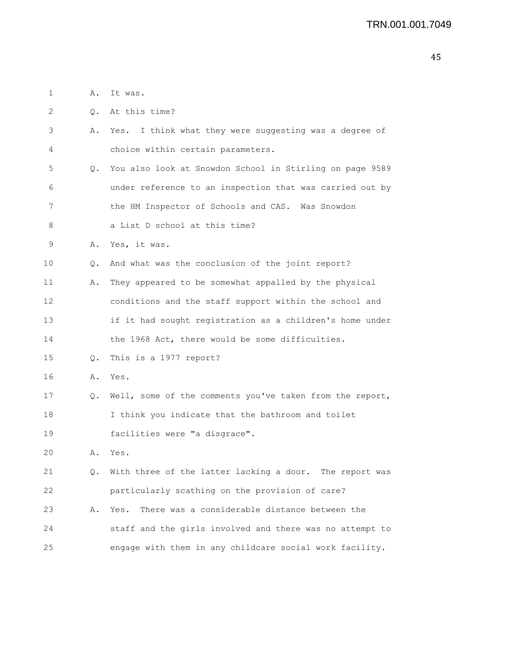1 A. It was.

2 0. At this time?

3 A. Yes. I think what they were suggesting was a degree of 4 choice within certain parameters. 5 Q. You also look at Snowdon School in Stirling on page 9589 6 under reference to an inspection that was carried out by 7 the HM Inspector of Schools and CAS. Was Snowdon 8 a List D school at this time? 9 A. Yes, it was. 10 Q. And what was the conclusion of the joint report? 11 A. They appeared to be somewhat appalled by the physical 12 conditions and the staff support within the school and 13 if it had sought registration as a children's home under 14 the 1968 Act, there would be some difficulties. 15 Q. This is a 1977 report? 16 A. Yes. 17 Q. Well, some of the comments you've taken from the report, 18 I think you indicate that the bathroom and toilet

19 facilities were "a disgrace".

20 A. Yes.

21 Q. With three of the latter lacking a door. The report was 22 particularly scathing on the provision of care? 23 A. Yes. There was a considerable distance between the

24 staff and the girls involved and there was no attempt to 25 engage with them in any childcare social work facility.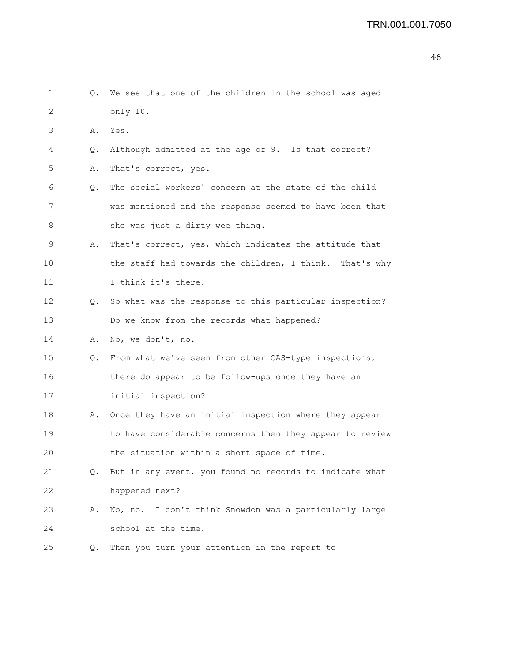| 1  |               | Q. We see that one of the children in the school was aged |
|----|---------------|-----------------------------------------------------------|
| 2  |               | only 10.                                                  |
| 3  | Α.            | Yes.                                                      |
| 4  | Q.            | Although admitted at the age of 9. Is that correct?       |
| 5  | Α.            | That's correct, yes.                                      |
| 6  | $Q_{\bullet}$ | The social workers' concern at the state of the child     |
| 7  |               | was mentioned and the response seemed to have been that   |
| 8  |               | she was just a dirty wee thing.                           |
| 9  | Α.            | That's correct, yes, which indicates the attitude that    |
| 10 |               | the staff had towards the children, I think. That's why   |
| 11 |               | I think it's there.                                       |
| 12 | Q.            | So what was the response to this particular inspection?   |
| 13 |               | Do we know from the records what happened?                |
| 14 | Α.            | No, we don't, no.                                         |
| 15 | Q.            | From what we've seen from other CAS-type inspections,     |
| 16 |               | there do appear to be follow-ups once they have an        |
| 17 |               | initial inspection?                                       |
| 18 |               | A. Once they have an initial inspection where they appear |
| 19 |               | to have considerable concerns then they appear to review  |
| 20 |               | the situation within a short space of time.               |
| 21 | Q.            | But in any event, you found no records to indicate what   |
| 22 |               | happened next?                                            |
| 23 | Α.            | No, no. I don't think Snowdon was a particularly large    |
| 24 |               | school at the time.                                       |
| 25 | Q.            | Then you turn your attention in the report to             |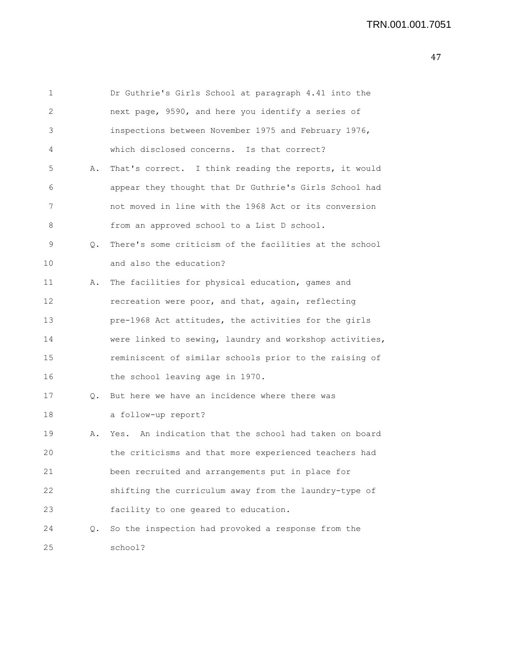```
1 Dr Guthrie's Girls School at paragraph 4.41 into the
2 next page, 9590, and here you identify a series of
3 inspections between November 1975 and February 1976,
4 which disclosed concerns. Is that correct?
5 A. That's correct. I think reading the reports, it would
6 appear they thought that Dr Guthrie's Girls School had
7 not moved in line with the 1968 Act or its conversion
8 from an approved school to a List D school.
9 Q. There's some criticism of the facilities at the school
10 and also the education?
11 A. The facilities for physical education, games and
12 recreation were poor, and that, again, reflecting
13 pre-1968 Act attitudes, the activities for the girls
14 were linked to sewing, laundry and workshop activities,
15 reminiscent of similar schools prior to the raising of
16 the school leaving age in 1970.
17 Q. But here we have an incidence where there was
18 a follow-up report?
19 A. Yes. An indication that the school had taken on board
20 the criticisms and that more experienced teachers had
21 been recruited and arrangements put in place for
22 shifting the curriculum away from the laundry-type of
23 facility to one geared to education.
24 Q. So the inspection had provoked a response from the
25 school?
```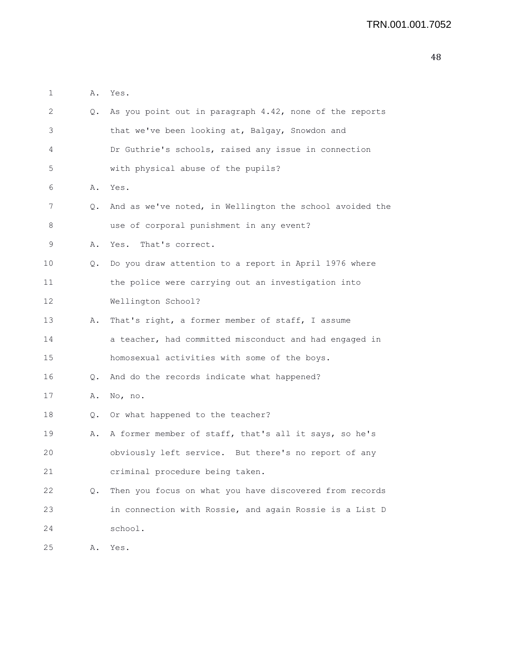| 1  | Α.            | Yes.                                                     |
|----|---------------|----------------------------------------------------------|
| 2  | Q.            | As you point out in paragraph 4.42, none of the reports  |
| 3  |               | that we've been looking at, Balgay, Snowdon and          |
| 4  |               | Dr Guthrie's schools, raised any issue in connection     |
| 5  |               | with physical abuse of the pupils?                       |
| 6  | Α.            | Yes.                                                     |
| 7  | Q.            | And as we've noted, in Wellington the school avoided the |
| 8  |               | use of corporal punishment in any event?                 |
| 9  | Α.            | That's correct.<br>Yes.                                  |
| 10 | Q.            | Do you draw attention to a report in April 1976 where    |
| 11 |               | the police were carrying out an investigation into       |
| 12 |               | Wellington School?                                       |
| 13 | Α.            | That's right, a former member of staff, I assume         |
| 14 |               | a teacher, had committed misconduct and had engaged in   |
| 15 |               | homosexual activities with some of the boys.             |
| 16 | Q.            | And do the records indicate what happened?               |
| 17 | Α.            | No, no.                                                  |
| 18 | Q.            | Or what happened to the teacher?                         |
| 19 | Α.            | A former member of staff, that's all it says, so he's    |
| 20 |               | obviously left service. But there's no report of any     |
| 21 |               | criminal procedure being taken.                          |
| 22 | $Q_{\bullet}$ | Then you focus on what you have discovered from records  |
| 23 |               | in connection with Rossie, and again Rossie is a List D  |
| 24 |               | school.                                                  |
| 25 | Α.            | Yes.                                                     |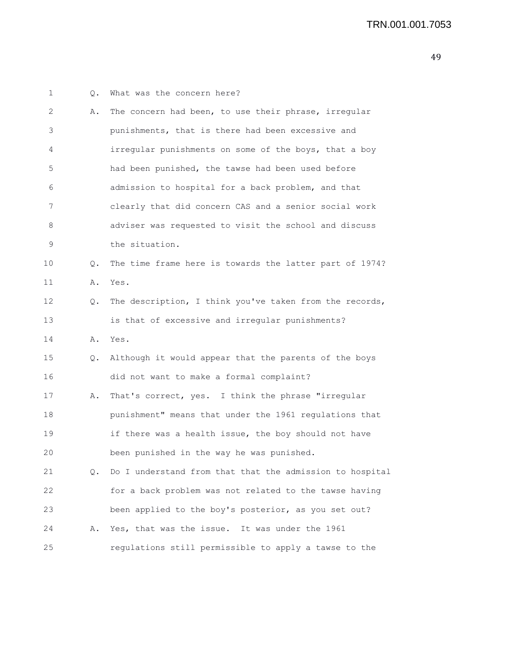| 1  | Q. | What was the concern here?                               |
|----|----|----------------------------------------------------------|
| 2  | Α. | The concern had been, to use their phrase, irregular     |
| 3  |    | punishments, that is there had been excessive and        |
| 4  |    | irregular punishments on some of the boys, that a boy    |
| 5  |    | had been punished, the tawse had been used before        |
| 6  |    | admission to hospital for a back problem, and that       |
| 7  |    | clearly that did concern CAS and a senior social work    |
| 8  |    | adviser was requested to visit the school and discuss    |
| 9  |    | the situation.                                           |
| 10 | Q. | The time frame here is towards the latter part of 1974?  |
| 11 | Α. | Yes.                                                     |
| 12 | Q. | The description, I think you've taken from the records,  |
| 13 |    | is that of excessive and irregular punishments?          |
| 14 | Α. | Yes.                                                     |
| 15 | Q. | Although it would appear that the parents of the boys    |
| 16 |    | did not want to make a formal complaint?                 |
| 17 | Α. | That's correct, yes. I think the phrase "irregular       |
| 18 |    | punishment" means that under the 1961 regulations that   |
| 19 |    | if there was a health issue, the boy should not have     |
| 20 |    | been punished in the way he was punished.                |
| 21 | Q. | Do I understand from that that the admission to hospital |
| 22 |    | for a back problem was not related to the tawse having   |
| 23 |    | been applied to the boy's posterior, as you set out?     |
| 24 | Α. | Yes, that was the issue. It was under the 1961           |
| 25 |    | regulations still permissible to apply a tawse to the    |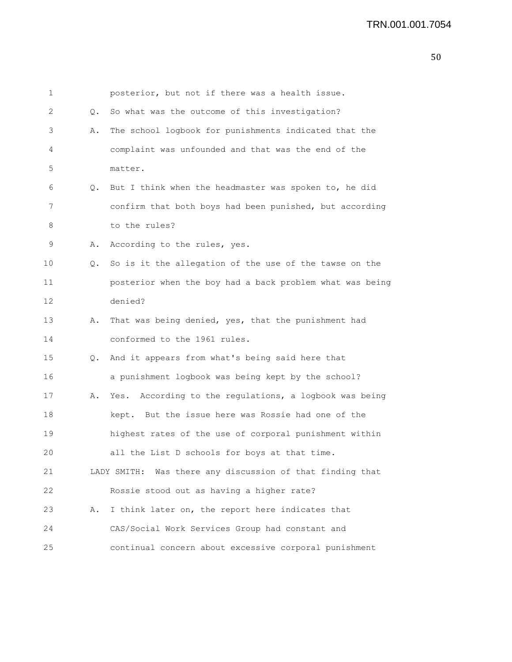| 1  |    | posterior, but not if there was a health issue.           |
|----|----|-----------------------------------------------------------|
| 2  | Q. | So what was the outcome of this investigation?            |
| 3  | Α. | The school logbook for punishments indicated that the     |
| 4  |    | complaint was unfounded and that was the end of the       |
| 5  |    | matter.                                                   |
| 6  | Q. | But I think when the headmaster was spoken to, he did     |
| 7  |    | confirm that both boys had been punished, but according   |
| 8  |    | to the rules?                                             |
| 9  | Α. | According to the rules, yes.                              |
| 10 | Q. | So is it the allegation of the use of the tawse on the    |
| 11 |    | posterior when the boy had a back problem what was being  |
| 12 |    | denied?                                                   |
| 13 | Α. | That was being denied, yes, that the punishment had       |
| 14 |    | conformed to the 1961 rules.                              |
| 15 | Q. | And it appears from what's being said here that           |
| 16 |    | a punishment logbook was being kept by the school?        |
| 17 | Α. | Yes. According to the regulations, a logbook was being    |
| 18 |    | kept. But the issue here was Rossie had one of the        |
| 19 |    | highest rates of the use of corporal punishment within    |
| 20 |    | all the List D schools for boys at that time.             |
| 21 |    | LADY SMITH: Was there any discussion of that finding that |
| 22 |    | Rossie stood out as having a higher rate?                 |
| 23 | Α. | I think later on, the report here indicates that          |
| 24 |    | CAS/Social Work Services Group had constant and           |
| 25 |    | continual concern about excessive corporal punishment     |
|    |    |                                                           |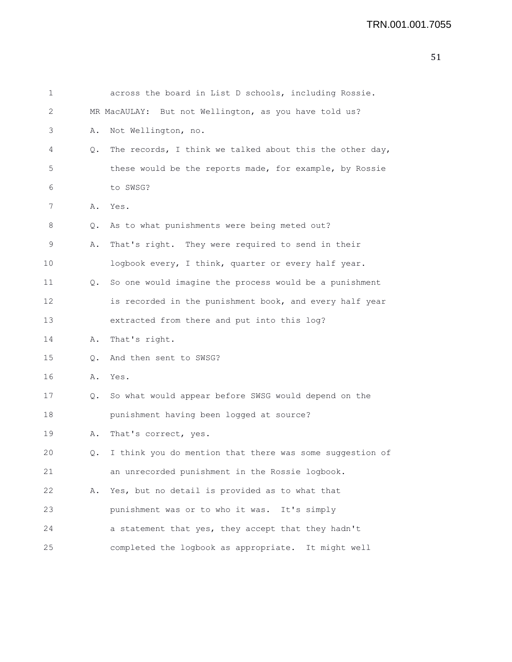| 1  |           | across the board in List D schools, including Rossie.    |
|----|-----------|----------------------------------------------------------|
| 2  |           | MR MacAULAY: But not Wellington, as you have told us?    |
| 3  | Α.        | Not Wellington, no.                                      |
| 4  | Q.        | The records, I think we talked about this the other day, |
| 5  |           | these would be the reports made, for example, by Rossie  |
| 6  |           | to SWSG?                                                 |
| 7  |           | A. Yes.                                                  |
| 8  | $\circ$ . | As to what punishments were being meted out?             |
| 9  | Α.        | That's right. They were required to send in their        |
| 10 |           | logbook every, I think, quarter or every half year.      |
| 11 | Q.        | So one would imagine the process would be a punishment   |
| 12 |           | is recorded in the punishment book, and every half year  |
| 13 |           | extracted from there and put into this log?              |
| 14 | Α.        | That's right.                                            |
| 15 | $\circ$ . | And then sent to SWSG?                                   |
| 16 | Α.        | Yes.                                                     |
| 17 | $\circ$ . | So what would appear before SWSG would depend on the     |
| 18 |           | punishment having been logged at source?                 |
| 19 | Α.        | That's correct, yes.                                     |
| 20 | Q.        | I think you do mention that there was some suggestion of |
| 21 |           | an unrecorded punishment in the Rossie logbook.          |
| 22 | Α.        | Yes, but no detail is provided as to what that           |
| 23 |           | punishment was or to who it was. It's simply             |
| 24 |           | a statement that yes, they accept that they hadn't       |
| 25 |           | completed the logbook as appropriate. It might well      |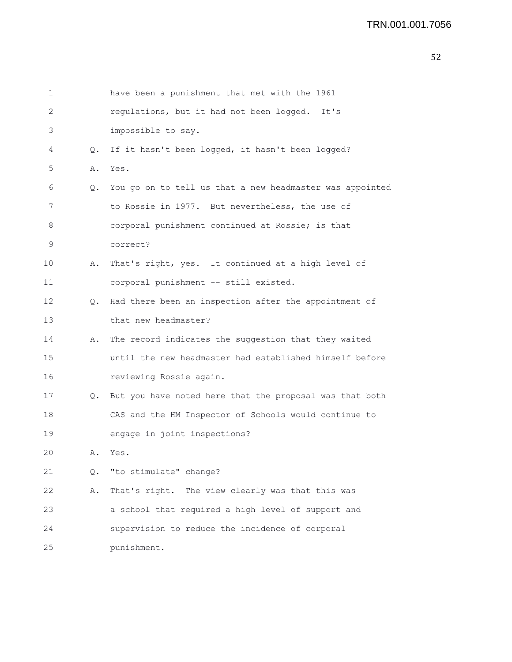```
1 have been a punishment that met with the 1961
2 regulations, but it had not been logged. It's
3 impossible to say.
 4 Q. If it hasn't been logged, it hasn't been logged?
5 A. Yes.
 6 Q. You go on to tell us that a new headmaster was appointed
7 to Rossie in 1977. But nevertheless, the use of
8 corporal punishment continued at Rossie; is that
9 correct?
10 A. That's right, yes. It continued at a high level of
11 corporal punishment -- still existed.
12 Q. Had there been an inspection after the appointment of
13 that new headmaster?
14 A. The record indicates the suggestion that they waited
15 until the new headmaster had established himself before
16 reviewing Rossie again.
17 Q. But you have noted here that the proposal was that both
18 CAS and the HM Inspector of Schools would continue to
19 engage in joint inspections?
20 A. Yes.
21 Q. "to stimulate" change?
22 A. That's right. The view clearly was that this was
23 a school that required a high level of support and
24 supervision to reduce the incidence of corporal
25 punishment.
```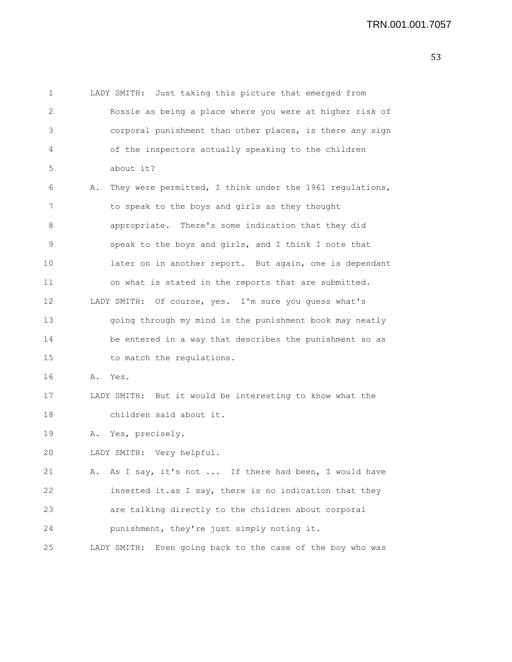1 LADY SMITH: Just taking this picture that emerged from 2 Rossie as being a place where you were at higher risk of 3 corporal punishment than other places, is there any sign 4 of the inspectors actually speaking to the children 5 about it? 6 A. They were permitted, I think under the 1961 regulations, 7 to speak to the boys and girls as they thought 8 appropriate. There's some indication that they did 9 speak to the boys and girls, and I think I note that 10 later on in another report. But again, one is dependant 11 on what is stated in the reports that are submitted. 12 LADY SMITH: Of course, yes. I'm sure you guess what's 13 going through my mind is the punishment book may neatly 14 be entered in a way that describes the punishment so as 15 to match the regulations. 16 A. Yes. 17 LADY SMITH: But it would be interesting to know what the 18 children said about it. 19 A. Yes, precisely. 20 LADY SMITH: Very helpful. 21 A. As I say, it's not ... If there had been, I would have 22 inserted it.as I say, there is no indication that they 23 are talking directly to the children about corporal 24 punishment, they're just simply noting it. 25 LADY SMITH: Even going back to the case of the boy who was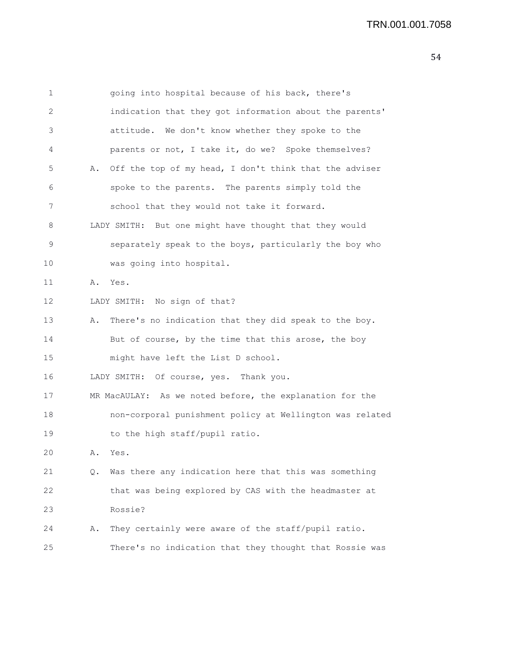1 going into hospital because of his back, there's 2 indication that they got information about the parents' 3 attitude. We don't know whether they spoke to the 4 parents or not, I take it, do we? Spoke themselves? 5 A. Off the top of my head, I don't think that the adviser 6 spoke to the parents. The parents simply told the 7 school that they would not take it forward. 8 LADY SMITH: But one might have thought that they would 9 separately speak to the boys, particularly the boy who 10 was going into hospital. 11 A. Yes. 12 LADY SMITH: No sign of that? 13 A. There's no indication that they did speak to the boy. 14 But of course, by the time that this arose, the boy 15 might have left the List D school. 16 LADY SMITH: Of course, yes. Thank you. 17 MR MacAULAY: As we noted before, the explanation for the 18 non-corporal punishment policy at Wellington was related 19 to the high staff/pupil ratio. 20 A. Yes. 21 Q. Was there any indication here that this was something 22 that was being explored by CAS with the headmaster at 23 Rossie? 24 A. They certainly were aware of the staff/pupil ratio. 25 There's no indication that they thought that Rossie was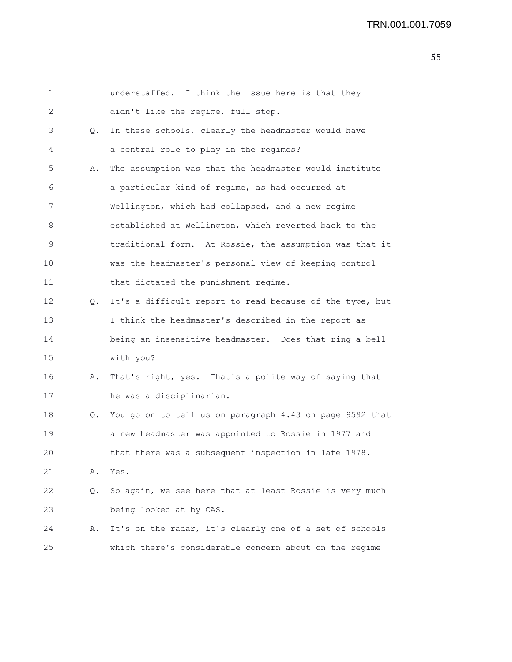| 1  |    | understaffed. I think the issue here is that they        |
|----|----|----------------------------------------------------------|
| 2  |    | didn't like the regime, full stop.                       |
| 3  | Q. | In these schools, clearly the headmaster would have      |
| 4  |    | a central role to play in the regimes?                   |
| 5  | Α. | The assumption was that the headmaster would institute   |
| 6  |    | a particular kind of regime, as had occurred at          |
| 7  |    | Wellington, which had collapsed, and a new regime        |
| 8  |    | established at Wellington, which reverted back to the    |
| 9  |    | traditional form. At Rossie, the assumption was that it  |
| 10 |    | was the headmaster's personal view of keeping control    |
| 11 |    | that dictated the punishment regime.                     |
| 12 | Q. | It's a difficult report to read because of the type, but |
| 13 |    | I think the headmaster's described in the report as      |
| 14 |    | being an insensitive headmaster. Does that ring a bell   |
| 15 |    | with you?                                                |
| 16 | Α. | That's right, yes. That's a polite way of saying that    |
| 17 |    | he was a disciplinarian.                                 |
| 18 | Q. | You go on to tell us on paragraph 4.43 on page 9592 that |
| 19 |    | a new headmaster was appointed to Rossie in 1977 and     |
| 20 |    | that there was a subsequent inspection in late 1978.     |
| 21 | Α. | Yes.                                                     |
| 22 | Q. | So again, we see here that at least Rossie is very much  |
| 23 |    | being looked at by CAS.                                  |
| 24 | Α. | It's on the radar, it's clearly one of a set of schools  |
| 25 |    | which there's considerable concern about on the regime   |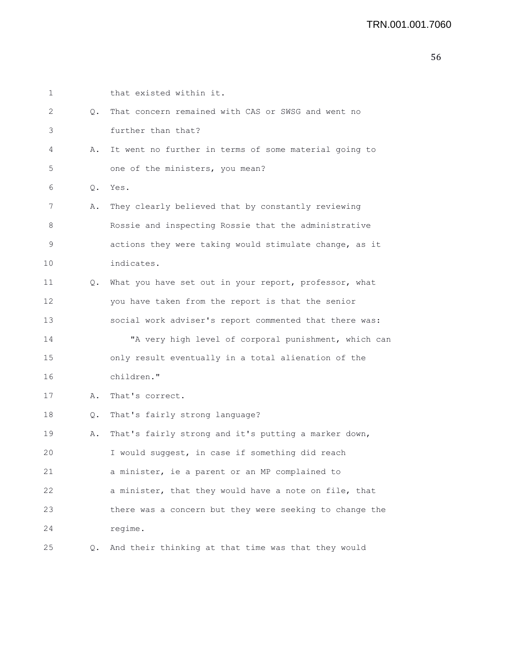| $\mathbf 1$ |               | that existed within it.                                 |
|-------------|---------------|---------------------------------------------------------|
| 2           | Q.            | That concern remained with CAS or SWSG and went no      |
| 3           |               | further than that?                                      |
| 4           | Α.            | It went no further in terms of some material going to   |
| 5           |               | one of the ministers, you mean?                         |
| 6           | $Q_{\bullet}$ | Yes.                                                    |
| 7           | Α.            | They clearly believed that by constantly reviewing      |
| 8           |               | Rossie and inspecting Rossie that the administrative    |
| 9           |               | actions they were taking would stimulate change, as it  |
| 10          |               | indicates.                                              |
| 11          | Q.            | What you have set out in your report, professor, what   |
| 12          |               | you have taken from the report is that the senior       |
| 13          |               | social work adviser's report commented that there was:  |
| 14          |               | "A very high level of corporal punishment, which can    |
| 15          |               | only result eventually in a total alienation of the     |
| 16          |               | children."                                              |
| 17          | Α.            | That's correct.                                         |
| 18          | Q.            | That's fairly strong language?                          |
| 19          | Α.            | That's fairly strong and it's putting a marker down,    |
| 20          |               | I would suggest, in case if something did reach         |
| 21          |               | a minister, ie a parent or an MP complained to          |
| 22          |               | a minister, that they would have a note on file, that   |
| 23          |               | there was a concern but they were seeking to change the |
| 24          |               | regime.                                                 |
| 25          | Q.            | And their thinking at that time was that they would     |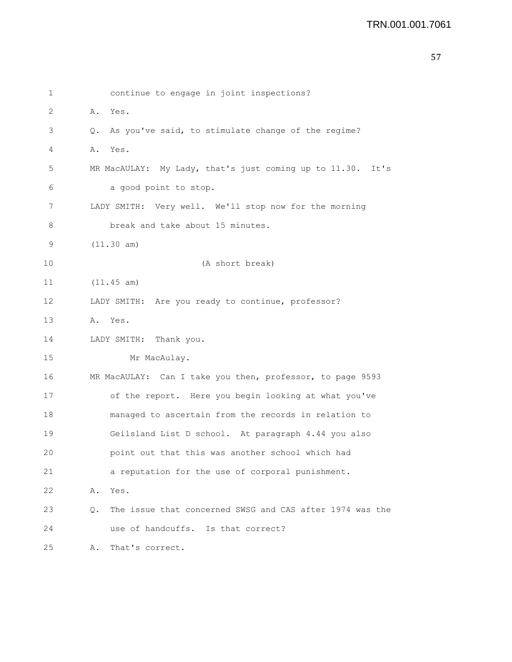| $\mathbf 1$ | continue to engage in joint inspections?                        |
|-------------|-----------------------------------------------------------------|
| 2           | A. Yes.                                                         |
| 3           | As you've said, to stimulate change of the regime?<br>$\circ$ . |
| 4           | Α.<br>Yes.                                                      |
| 5           | MR MacAULAY: My Lady, that's just coming up to 11.30.<br>It's   |
| 6           | a good point to stop.                                           |
| 7           | LADY SMITH: Very well. We'll stop now for the morning           |
| 8           | break and take about 15 minutes.                                |
| 9           | (11.30 am)                                                      |
| 10          | (A short break)                                                 |
| 11          | (11.45 am)                                                      |
| 12          | LADY SMITH: Are you ready to continue, professor?               |
| 13          | A. Yes.                                                         |
| 14          | LADY SMITH: Thank you.                                          |
| 15          | Mr MacAulay.                                                    |
| 16          | MR MacAULAY: Can I take you then, professor, to page 9593       |
| 17          | of the report. Here you begin looking at what you've            |
| 18          | managed to ascertain from the records in relation to            |
| 19          | Geilsland List D school. At paragraph 4.44 you also             |
| 20          | point out that this was another school which had                |
| 21          | a reputation for the use of corporal punishment.                |
| 22          | Yes.<br>Α.                                                      |
| 23          | The issue that concerned SWSG and CAS after 1974 was the<br>Q.  |
| 24          | use of handcuffs. Is that correct?                              |
| 25          | That's correct.<br>Α.                                           |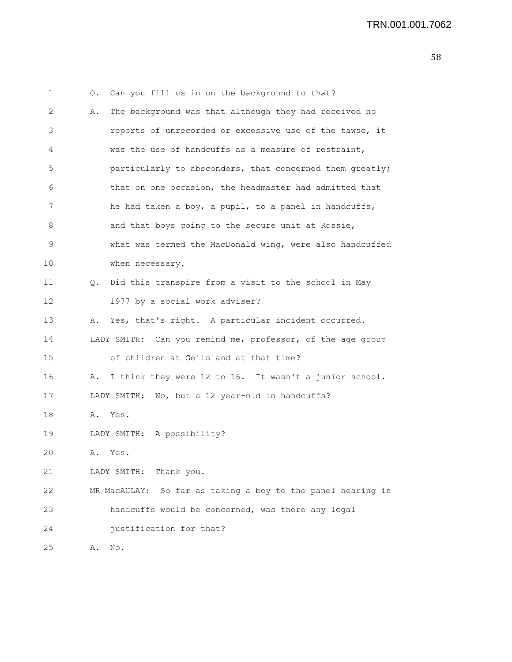| 1  | Q. | Can you fill us in on the background to that?               |
|----|----|-------------------------------------------------------------|
| 2  | Α. | The background was that although they had received no       |
| 3  |    | reports of unrecorded or excessive use of the tawse, it     |
| 4  |    | was the use of handcuffs as a measure of restraint,         |
| 5  |    | particularly to absconders, that concerned them greatly;    |
| 6  |    | that on one occasion, the headmaster had admitted that      |
| 7  |    | he had taken a boy, a pupil, to a panel in handcuffs,       |
| 8  |    | and that boys going to the secure unit at Rossie,           |
| 9  |    | what was termed the MacDonald wing, were also handcuffed    |
| 10 |    | when necessary.                                             |
| 11 |    | Q. Did this transpire from a visit to the school in May     |
| 12 |    | 1977 by a social work adviser?                              |
| 13 | Α. | Yes, that's right. A particular incident occurred.          |
| 14 |    | LADY SMITH: Can you remind me, professor, of the age group  |
| 15 |    | of children at Geilsland at that time?                      |
| 16 | Α. | I think they were 12 to 16. It wasn't a junior school.      |
| 17 |    | LADY SMITH: No, but a 12 year-old in handcuffs?             |
| 18 |    | A. Yes.                                                     |
| 19 |    | LADY SMITH: A possibility?                                  |
| 20 | Α. | Yes.                                                        |
| 21 |    | Thank you.<br>LADY SMITH:                                   |
| 22 |    | MR MacAULAY: So far as taking a boy to the panel hearing in |
| 23 |    | handcuffs would be concerned, was there any legal           |
| 24 |    | justification for that?                                     |
| 25 | Α. | $\hbox{No}$ .                                               |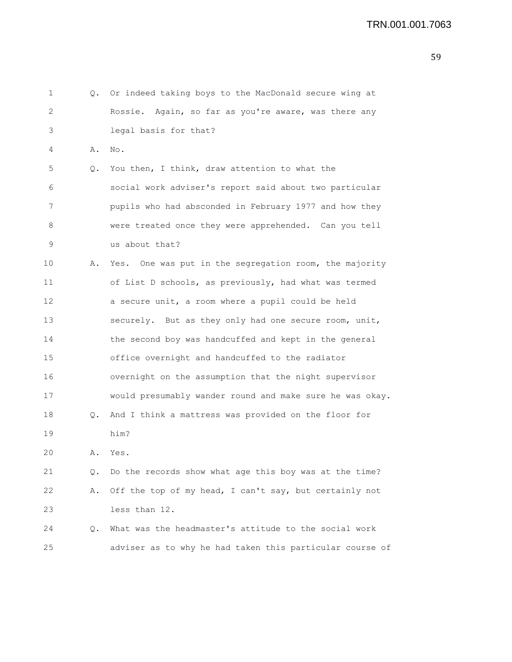| 1           |    | Q. Or indeed taking boys to the MacDonald secure wing at |
|-------------|----|----------------------------------------------------------|
| 2           |    | Rossie. Again, so far as you're aware, was there any     |
| 3           |    | legal basis for that?                                    |
| 4           | Α. | No.                                                      |
| 5           | Q. | You then, I think, draw attention to what the            |
| 6           |    | social work adviser's report said about two particular   |
| 7           |    | pupils who had absconded in February 1977 and how they   |
| 8           |    | were treated once they were apprehended. Can you tell    |
| $\mathsf 9$ |    | us about that?                                           |
| 10          | Α. | Yes. One was put in the segregation room, the majority   |
| 11          |    | of List D schools, as previously, had what was termed    |
| 12          |    | a secure unit, a room where a pupil could be held        |
| 13          |    | securely. But as they only had one secure room, unit,    |
| 14          |    | the second boy was handcuffed and kept in the general    |
| 15          |    | office overnight and handcuffed to the radiator          |
| 16          |    | overnight on the assumption that the night supervisor    |
| 17          |    | would presumably wander round and make sure he was okay. |
| 18          | Q. | And I think a mattress was provided on the floor for     |
| 19          |    | him?                                                     |
| 20          | Α. | Yes.                                                     |
| 21          | Q. | Do the records show what age this boy was at the time?   |
| 22          | Α. | Off the top of my head, I can't say, but certainly not   |
| 23          |    | less than 12.                                            |
| 24          | Q. | What was the headmaster's attitude to the social work    |
| 25          |    | adviser as to why he had taken this particular course of |
|             |    |                                                          |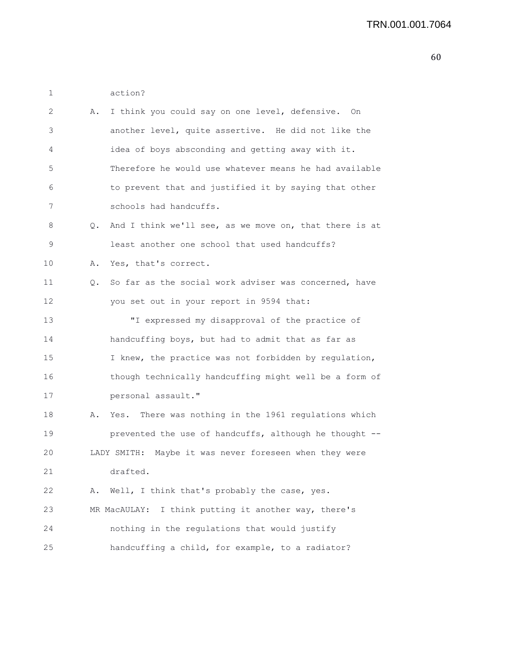1 action?

| 2  | Α.        | I think you could say on one level, defensive. On       |
|----|-----------|---------------------------------------------------------|
| 3  |           | another level, quite assertive. He did not like the     |
| 4  |           | idea of boys absconding and getting away with it.       |
| 5  |           | Therefore he would use whatever means he had available  |
| 6  |           | to prevent that and justified it by saying that other   |
| 7  |           | schools had handcuffs.                                  |
| 8  | $\circ$ . | And I think we'll see, as we move on, that there is at  |
| 9  |           | least another one school that used handcuffs?           |
| 10 | Α.        | Yes, that's correct.                                    |
| 11 | Q.        | So far as the social work adviser was concerned, have   |
| 12 |           | you set out in your report in 9594 that:                |
| 13 |           | "I expressed my disapproval of the practice of          |
| 14 |           | handcuffing boys, but had to admit that as far as       |
| 15 |           | I knew, the practice was not forbidden by regulation,   |
| 16 |           | though technically handcuffing might well be a form of  |
| 17 |           | personal assault."                                      |
| 18 | Α.        | Yes. There was nothing in the 1961 regulations which    |
| 19 |           | prevented the use of handcuffs, although he thought --  |
| 20 |           | LADY SMITH: Maybe it was never foreseen when they were  |
| 21 |           | drafted.                                                |
| 22 | Α.        | Well, I think that's probably the case, yes.            |
| 23 |           | I think putting it another way, there's<br>MR MacAULAY: |
| 24 |           | nothing in the regulations that would justify           |
| 25 |           | handcuffing a child, for example, to a radiator?        |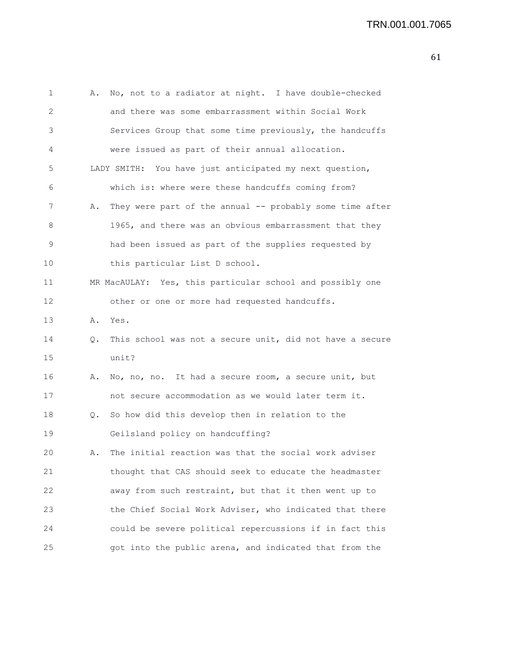```
1 A. No, not to a radiator at night. I have double-checked
2 and there was some embarrassment within Social Work
3 Services Group that some time previously, the handcuffs
4 were issued as part of their annual allocation.
5 LADY SMITH: You have just anticipated my next question,
6 which is: where were these handcuffs coming from?
7 A. They were part of the annual -- probably some time after
8 1965, and there was an obvious embarrassment that they
9 had been issued as part of the supplies requested by
10 this particular List D school.
11 MR MacAULAY: Yes, this particular school and possibly one
12 other or one or more had requested handcuffs.
13 A. Yes.
14 Q. This school was not a secure unit, did not have a secure
15 unit?
16 A. No, no, no. It had a secure room, a secure unit, but
17 not secure accommodation as we would later term it.
18 Q. So how did this develop then in relation to the
19 Geilsland policy on handcuffing?
20 A. The initial reaction was that the social work adviser
21 thought that CAS should seek to educate the headmaster
22 away from such restraint, but that it then went up to
23 the Chief Social Work Adviser, who indicated that there
24 could be severe political repercussions if in fact this
25 got into the public arena, and indicated that from the
```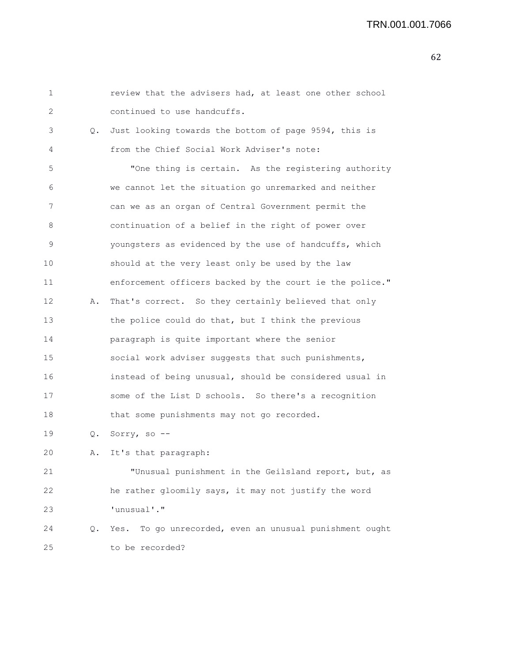## TRN.001.001.7066

|    | review that the advisers had, at least one other school  |
|----|----------------------------------------------------------|
|    | continued to use handcuffs.                              |
|    | Just looking towards the bottom of page 9594, this is    |
|    | from the Chief Social Work Adviser's note:               |
|    | "One thing is certain. As the registering authority      |
|    | we cannot let the situation go unremarked and neither    |
|    | can we as an organ of Central Government permit the      |
|    | continuation of a belief in the right of power over      |
|    | youngsters as evidenced by the use of handcuffs, which   |
|    | should at the very least only be used by the law         |
|    | enforcement officers backed by the court ie the police." |
|    | That's correct. So they certainly believed that only     |
|    | the police could do that, but I think the previous       |
|    | paragraph is quite important where the senior            |
|    | social work adviser suggests that such punishments,      |
|    | instead of being unusual, should be considered usual in  |
|    | some of the List D schools. So there's a recognition     |
|    | that some punishments may not go recorded.               |
|    | Q. Sorry, so --                                          |
| Α. | It's that paragraph:                                     |
|    | "Unusual punishment in the Geilsland report, but, as     |
|    | he rather gloomily says, it may not justify the word     |
|    | 'unusual'."                                              |
|    | Yes. To go unrecorded, even an unusual punishment ought  |
|    | to be recorded?                                          |
|    | 0.<br>Α.<br>Q.                                           |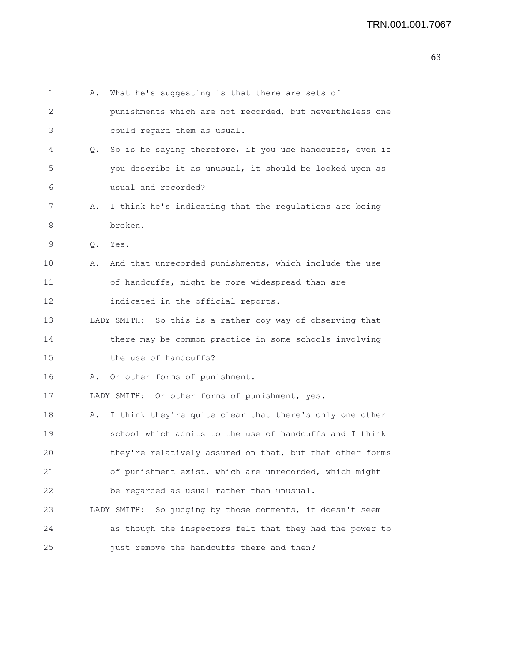| 1  | Α. | What he's suggesting is that there are sets of               |
|----|----|--------------------------------------------------------------|
| 2  |    | punishments which are not recorded, but nevertheless one     |
| 3  |    | could regard them as usual.                                  |
| 4  | Q. | So is he saying therefore, if you use handcuffs, even if     |
| 5  |    | you describe it as unusual, it should be looked upon as      |
| 6  |    | usual and recorded?                                          |
| 7  | Α. | I think he's indicating that the regulations are being       |
| 8  |    | broken.                                                      |
| 9  | Q. | Yes.                                                         |
| 10 | Α. | And that unrecorded punishments, which include the use       |
| 11 |    | of handcuffs, might be more widespread than are              |
| 12 |    | indicated in the official reports.                           |
| 13 |    | LADY SMITH: So this is a rather coy way of observing that    |
| 14 |    | there may be common practice in some schools involving       |
| 15 |    | the use of handcuffs?                                        |
| 16 | Α. | Or other forms of punishment.                                |
| 17 |    | LADY SMITH: Or other forms of punishment, yes.               |
| 18 | Α. | I think they're quite clear that there's only one other      |
| 19 |    | school which admits to the use of handcuffs and I think      |
| 20 |    | they're relatively assured on that, but that other forms     |
| 21 |    | of punishment exist, which are unrecorded, which might       |
| 22 |    | be regarded as usual rather than unusual.                    |
| 23 |    | So judging by those comments, it doesn't seem<br>LADY SMITH: |
| 24 |    | as though the inspectors felt that they had the power to     |
| 25 |    | just remove the handcuffs there and then?                    |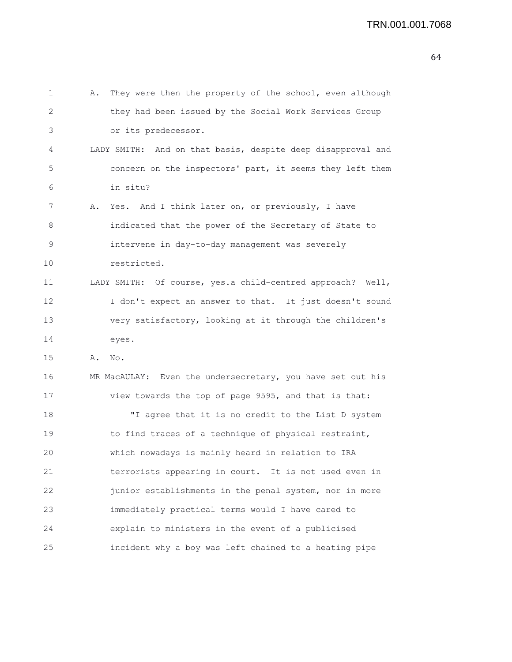```
1 A. They were then the property of the school, even although
2 they had been issued by the Social Work Services Group
3 or its predecessor.
4 LADY SMITH: And on that basis, despite deep disapproval and
5 concern on the inspectors' part, it seems they left them
6 in situ?
7 A. Yes. And I think later on, or previously, I have
8 indicated that the power of the Secretary of State to
9 intervene in day-to-day management was severely
10 restricted.
11 LADY SMITH: Of course, yes.a child-centred approach? Well,
12 I don't expect an answer to that. It just doesn't sound
13 very satisfactory, looking at it through the children's
14 eyes.
15 A. No.
16 MR MacAULAY: Even the undersecretary, you have set out his
17 view towards the top of page 9595, and that is that:
18 "I agree that it is no credit to the List D system
19 to find traces of a technique of physical restraint,
20 which nowadays is mainly heard in relation to IRA
21 terrorists appearing in court. It is not used even in
22 junior establishments in the penal system, nor in more
23 immediately practical terms would I have cared to
24 explain to ministers in the event of a publicised
25 incident why a boy was left chained to a heating pipe
```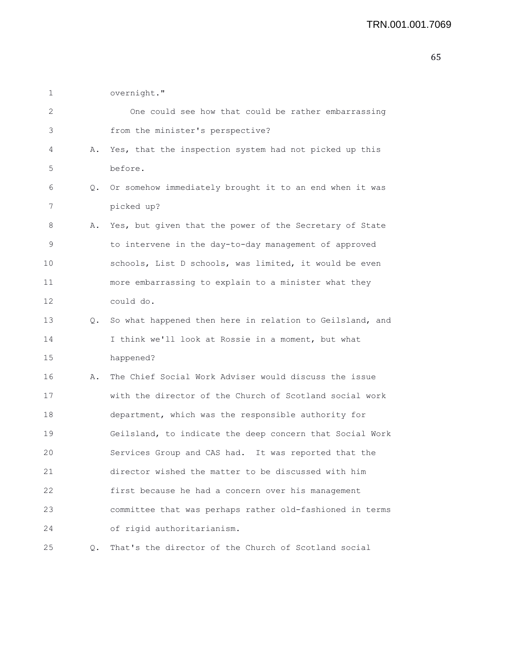1 overnight."

| 2  |    | One could see how that could be rather embarrassing        |
|----|----|------------------------------------------------------------|
| 3  |    | from the minister's perspective?                           |
| 4  | Α. | Yes, that the inspection system had not picked up this     |
| 5  |    | before.                                                    |
| 6  |    | Q. Or somehow immediately brought it to an end when it was |
| 7  |    | picked up?                                                 |
| 8  |    | A. Yes, but given that the power of the Secretary of State |
| 9  |    | to intervene in the day-to-day management of approved      |
| 10 |    | schools, List D schools, was limited, it would be even     |
| 11 |    | more embarrassing to explain to a minister what they       |
| 12 |    | could do.                                                  |
| 13 | Q. | So what happened then here in relation to Geilsland, and   |
| 14 |    | I think we'll look at Rossie in a moment, but what         |
| 15 |    | happened?                                                  |
| 16 | Α. | The Chief Social Work Adviser would discuss the issue      |
| 17 |    | with the director of the Church of Scotland social work    |
| 18 |    | department, which was the responsible authority for        |
| 19 |    | Geilsland, to indicate the deep concern that Social Work   |
| 20 |    | Services Group and CAS had. It was reported that the       |
| 21 |    | director wished the matter to be discussed with him        |
| 22 |    | first because he had a concern over his management         |
| 23 |    | committee that was perhaps rather old-fashioned in terms   |
| 24 |    | of rigid authoritarianism.                                 |
| 25 | Q. | That's the director of the Church of Scotland social       |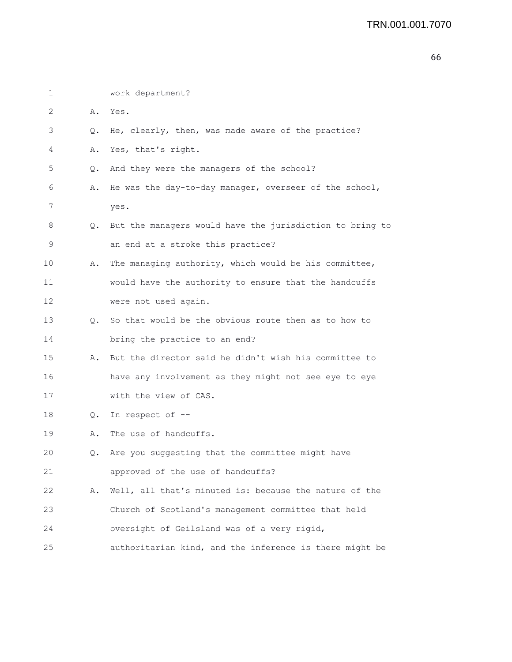| 1  |    | work department?                                         |
|----|----|----------------------------------------------------------|
| 2  | Α. | Yes.                                                     |
| 3  | Q. | He, clearly, then, was made aware of the practice?       |
| 4  | Α. | Yes, that's right.                                       |
| 5  | О. | And they were the managers of the school?                |
| 6  | Α. | He was the day-to-day manager, overseer of the school,   |
| 7  |    | yes.                                                     |
| 8  | Q. | But the managers would have the jurisdiction to bring to |
| 9  |    | an end at a stroke this practice?                        |
| 10 | Α. | The managing authority, which would be his committee,    |
| 11 |    | would have the authority to ensure that the handcuffs    |
| 12 |    | were not used again.                                     |
| 13 |    | Q. So that would be the obvious route then as to how to  |
| 14 |    | bring the practice to an end?                            |
| 15 | Α. | But the director said he didn't wish his committee to    |
| 16 |    | have any involvement as they might not see eye to eye    |
| 17 |    | with the view of CAS.                                    |
| 18 | Q. | In respect of --                                         |
| 19 | Α. | The use of handcuffs.                                    |
| 20 | Q. | Are you suggesting that the committee might have         |
| 21 |    | approved of the use of handcuffs?                        |
| 22 | Α. | Well, all that's minuted is: because the nature of the   |
| 23 |    | Church of Scotland's management committee that held      |
| 24 |    | oversight of Geilsland was of a very rigid,              |
| 25 |    | authoritarian kind, and the inference is there might be  |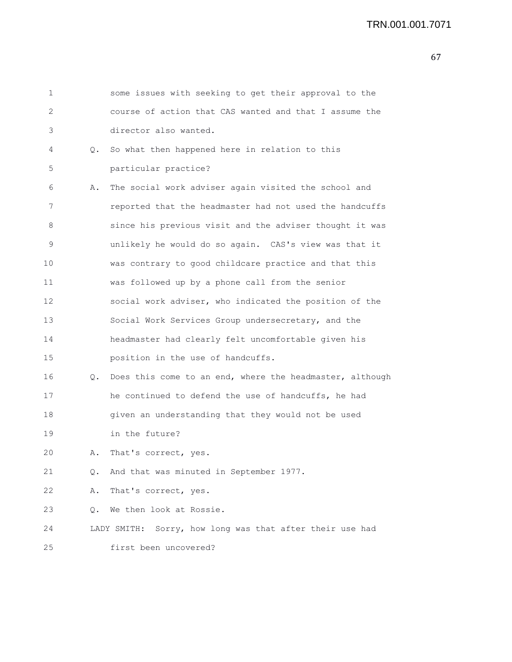| 1  |    | some issues with seeking to get their approval to the       |
|----|----|-------------------------------------------------------------|
| 2  |    | course of action that CAS wanted and that I assume the      |
| 3  |    | director also wanted.                                       |
| 4  |    | Q. So what then happened here in relation to this           |
| 5  |    | particular practice?                                        |
| 6  | Α. | The social work adviser again visited the school and        |
| 7  |    | reported that the headmaster had not used the handcuffs     |
| 8  |    | since his previous visit and the adviser thought it was     |
| 9  |    | unlikely he would do so again. CAS's view was that it       |
| 10 |    | was contrary to good childcare practice and that this       |
| 11 |    | was followed up by a phone call from the senior             |
| 12 |    | social work adviser, who indicated the position of the      |
| 13 |    | Social Work Services Group undersecretary, and the          |
| 14 |    | headmaster had clearly felt uncomfortable given his         |
| 15 |    | position in the use of handcuffs.                           |
| 16 |    | Q. Does this come to an end, where the headmaster, although |
| 17 |    | he continued to defend the use of handcuffs, he had         |
| 18 |    | given an understanding that they would not be used          |
| 19 |    | in the future?                                              |
| 20 | Α. | That's correct, yes.                                        |
| 21 |    | Q. And that was minuted in September 1977.                  |
| 22 | Α. | That's correct, yes.                                        |
| 23 | 0. | We then look at Rossie.                                     |
| 24 |    | LADY SMITH: Sorry, how long was that after their use had    |
| 25 |    | first been uncovered?                                       |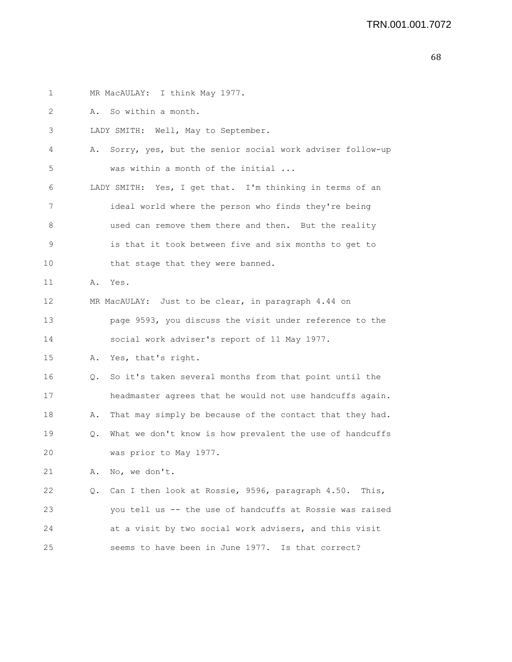1 MR MacAULAY: I think May 1977. 2 A. So within a month. 3 LADY SMITH: Well, May to September. 4 A. Sorry, yes, but the senior social work adviser follow-up 5 was within a month of the initial ... 6 LADY SMITH: Yes, I get that. I'm thinking in terms of an 7 ideal world where the person who finds they're being 8 used can remove them there and then. But the reality 9 is that it took between five and six months to get to 10 that stage that they were banned. 11 A. Yes. 12 MR MacAULAY: Just to be clear, in paragraph 4.44 on 13 page 9593, you discuss the visit under reference to the 14 social work adviser's report of 11 May 1977. 15 A. Yes, that's right. 16 Q. So it's taken several months from that point until the 17 headmaster agrees that he would not use handcuffs again. 18 A. That may simply be because of the contact that they had. 19 Q. What we don't know is how prevalent the use of handcuffs 20 was prior to May 1977. 21 A. No, we don't. 22 Q. Can I then look at Rossie, 9596, paragraph 4.50. This, 23 you tell us -- the use of handcuffs at Rossie was raised 24 at a visit by two social work advisers, and this visit 25 seems to have been in June 1977. Is that correct?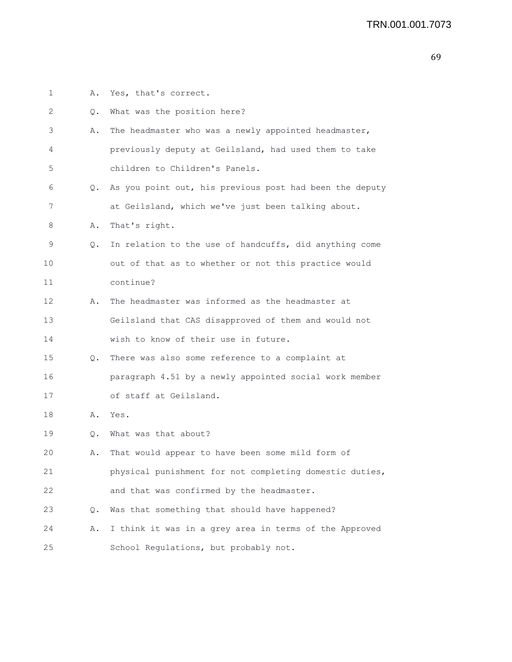| 1  | Α. | Yes, that's correct.                                    |
|----|----|---------------------------------------------------------|
| 2  | Q. | What was the position here?                             |
| 3  | Α. | The headmaster who was a newly appointed headmaster,    |
| 4  |    | previously deputy at Geilsland, had used them to take   |
| 5  |    | children to Children's Panels.                          |
| 6  | Q. | As you point out, his previous post had been the deputy |
| 7  |    | at Geilsland, which we've just been talking about.      |
| 8  | Α. | That's right.                                           |
| 9  | Q. | In relation to the use of handcuffs, did anything come  |
| 10 |    | out of that as to whether or not this practice would    |
| 11 |    | continue?                                               |
| 12 | Α. | The headmaster was informed as the headmaster at        |
| 13 |    | Geilsland that CAS disapproved of them and would not    |
| 14 |    | wish to know of their use in future.                    |
| 15 | Q. | There was also some reference to a complaint at         |
| 16 |    | paragraph 4.51 by a newly appointed social work member  |
| 17 |    | of staff at Geilsland.                                  |
| 18 | Α. | Yes.                                                    |
| 19 | Q. | What was that about?                                    |
| 20 | Α. | That would appear to have been some mild form of        |
| 21 |    | physical punishment for not completing domestic duties, |
| 22 |    | and that was confirmed by the headmaster.               |
| 23 | О. | Was that something that should have happened?           |
| 24 | Α. | I think it was in a grey area in terms of the Approved  |
| 25 |    | School Regulations, but probably not.                   |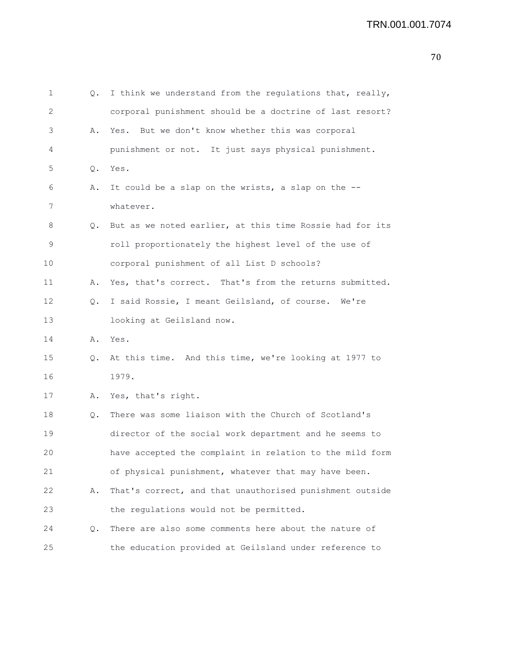| v | I<br>۰, |
|---|---------|
|---|---------|

| 1           | Q. | I think we understand from the regulations that, really, |
|-------------|----|----------------------------------------------------------|
| 2           |    | corporal punishment should be a doctrine of last resort? |
| 3           | Α. | Yes. But we don't know whether this was corporal         |
| 4           |    | punishment or not. It just says physical punishment.     |
| 5           | Q. | Yes.                                                     |
| 6           | Α. | It could be a slap on the wrists, a slap on the --       |
| 7           |    | whatever.                                                |
| 8           | Q. | But as we noted earlier, at this time Rossie had for its |
| $\mathsf 9$ |    | roll proportionately the highest level of the use of     |
| 10          |    | corporal punishment of all List D schools?               |
| 11          | Α. | Yes, that's correct. That's from the returns submitted.  |
| 12          | Q. | I said Rossie, I meant Geilsland, of course. We're       |
| 13          |    | looking at Geilsland now.                                |
| 14          | Α. | Yes.                                                     |
| 15          | Q. | At this time. And this time, we're looking at 1977 to    |
| 16          |    | 1979.                                                    |
| 17          | Α. | Yes, that's right.                                       |
| 18          | Q. | There was some liaison with the Church of Scotland's     |
| 19          |    | director of the social work department and he seems to   |
| 20          |    | have accepted the complaint in relation to the mild form |
| 21          |    | of physical punishment, whatever that may have been.     |
| 22          | Α. | That's correct, and that unauthorised punishment outside |
| 23          |    | the regulations would not be permitted.                  |
| 24          | Q. | There are also some comments here about the nature of    |
| 25          |    | the education provided at Geilsland under reference to   |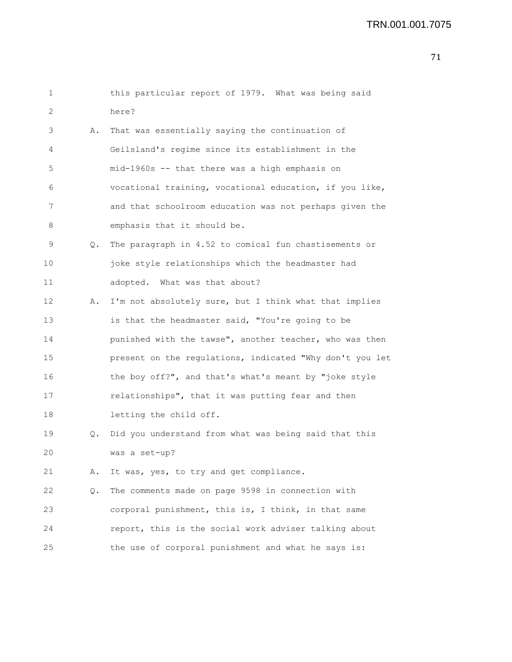## TRN.001.001.7075

| 1  |           | this particular report of 1979. What was being said      |
|----|-----------|----------------------------------------------------------|
| 2  |           | here?                                                    |
| 3  | Α.        | That was essentially saying the continuation of          |
| 4  |           | Geilsland's regime since its establishment in the        |
| 5  |           | mid-1960s -- that there was a high emphasis on           |
| 6  |           | vocational training, vocational education, if you like,  |
| 7  |           | and that schoolroom education was not perhaps given the  |
| 8  |           | emphasis that it should be.                              |
| 9  | Q.        | The paragraph in 4.52 to comical fun chastisements or    |
| 10 |           | joke style relationships which the headmaster had        |
| 11 |           | adopted. What was that about?                            |
| 12 | Α.        | I'm not absolutely sure, but I think what that implies   |
| 13 |           | is that the headmaster said, "You're going to be         |
| 14 |           | punished with the tawse", another teacher, who was then  |
| 15 |           | present on the regulations, indicated "Why don't you let |
| 16 |           | the boy off?", and that's what's meant by "joke style    |
| 17 |           | relationships", that it was putting fear and then        |
| 18 |           | letting the child off.                                   |
| 19 | $\circ$ . | Did you understand from what was being said that this    |
| 20 |           | was a set-up?                                            |
| 21 | Α.        | It was, yes, to try and get compliance.                  |
| 22 | Q.        | The comments made on page 9598 in connection with        |
| 23 |           | corporal punishment, this is, I think, in that same      |
| 24 |           | report, this is the social work adviser talking about    |
| 25 |           | the use of corporal punishment and what he says is:      |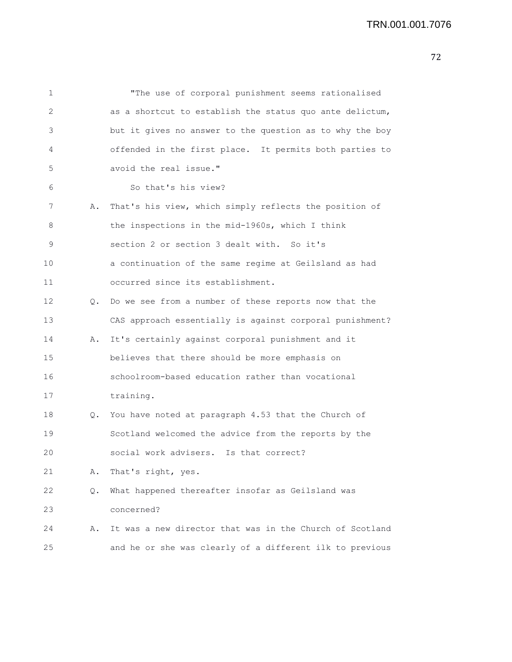```
1 "The use of corporal punishment seems rationalised
2 as a shortcut to establish the status quo ante delictum,
3 but it gives no answer to the question as to why the boy
4 offended in the first place. It permits both parties to
5 avoid the real issue."
6 So that's his view?
7 A. That's his view, which simply reflects the position of
8 the inspections in the mid-1960s, which I think
9 section 2 or section 3 dealt with. So it's
10 a continuation of the same regime at Geilsland as had
11 occurred since its establishment.
12 Q. Do we see from a number of these reports now that the
13 CAS approach essentially is against corporal punishment?
14 A. It's certainly against corporal punishment and it
15 believes that there should be more emphasis on
16 schoolroom-based education rather than vocational
17 training.
18 Q. You have noted at paragraph 4.53 that the Church of
19 Scotland welcomed the advice from the reports by the
20 social work advisers. Is that correct?
21 A. That's right, yes.
22 Q. What happened thereafter insofar as Geilsland was
23 concerned?
24 A. It was a new director that was in the Church of Scotland
25 and he or she was clearly of a different ilk to previous
```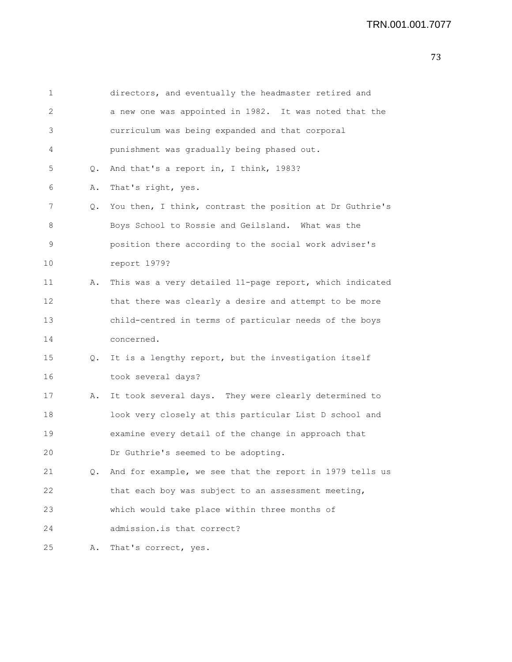| 1  |    | directors, and eventually the headmaster retired and     |
|----|----|----------------------------------------------------------|
| 2  |    | a new one was appointed in 1982. It was noted that the   |
| 3  |    | curriculum was being expanded and that corporal          |
| 4  |    | punishment was gradually being phased out.               |
| 5  | Q. | And that's a report in, I think, 1983?                   |
| 6  | Α. | That's right, yes.                                       |
| 7  | Q. | You then, I think, contrast the position at Dr Guthrie's |
| 8  |    | Boys School to Rossie and Geilsland. What was the        |
| 9  |    | position there according to the social work adviser's    |
| 10 |    | report 1979?                                             |
| 11 | Α. | This was a very detailed 11-page report, which indicated |
| 12 |    | that there was clearly a desire and attempt to be more   |
| 13 |    | child-centred in terms of particular needs of the boys   |
| 14 |    | concerned.                                               |
| 15 | Q. | It is a lengthy report, but the investigation itself     |
| 16 |    | took several days?                                       |
| 17 | Α. | It took several days. They were clearly determined to    |
| 18 |    | look very closely at this particular List D school and   |
| 19 |    | examine every detail of the change in approach that      |
| 20 |    | Dr Guthrie's seemed to be adopting.                      |
| 21 | Q. | And for example, we see that the report in 1979 tells us |
| 22 |    | that each boy was subject to an assessment meeting,      |
| 23 |    | which would take place within three months of            |
| 24 |    | admission.is that correct?                               |
| 25 | Α. | That's correct, yes.                                     |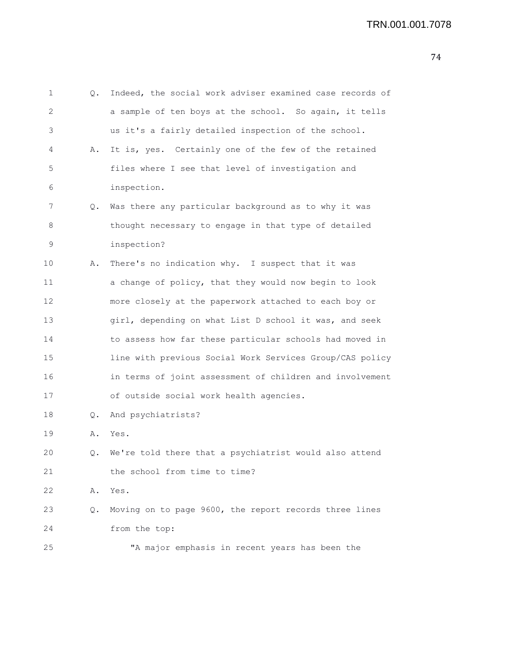| 1  | Q. | Indeed, the social work adviser examined case records of |
|----|----|----------------------------------------------------------|
| 2  |    | a sample of ten boys at the school. So again, it tells   |
| 3  |    | us it's a fairly detailed inspection of the school.      |
| 4  | Α. | It is, yes. Certainly one of the few of the retained     |
| 5  |    | files where I see that level of investigation and        |
| 6  |    | inspection.                                              |
| 7  | Q. | Was there any particular background as to why it was     |
| 8  |    | thought necessary to engage in that type of detailed     |
| 9  |    | inspection?                                              |
| 10 | Α. | There's no indication why. I suspect that it was         |
| 11 |    | a change of policy, that they would now begin to look    |
| 12 |    | more closely at the paperwork attached to each boy or    |
| 13 |    | girl, depending on what List D school it was, and seek   |
| 14 |    | to assess how far these particular schools had moved in  |
| 15 |    | line with previous Social Work Services Group/CAS policy |
| 16 |    | in terms of joint assessment of children and involvement |
| 17 |    | of outside social work health agencies.                  |
| 18 | Q. | And psychiatrists?                                       |
| 19 | Α. | Yes.                                                     |
| 20 | Q. | We're told there that a psychiatrist would also attend   |
| 21 |    | the school from time to time?                            |
| 22 | Α. | Yes.                                                     |
| 23 | Q. | Moving on to page 9600, the report records three lines   |
| 24 |    | from the top:                                            |
| 25 |    | "A major emphasis in recent years has been the           |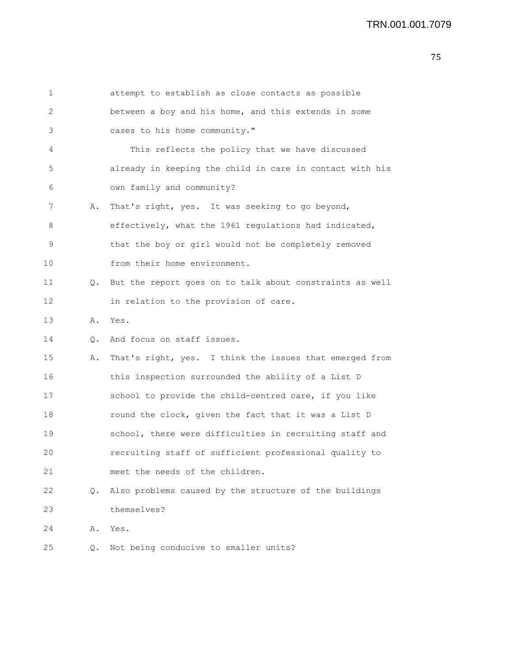| 1  |    | attempt to establish as close contacts as possible       |
|----|----|----------------------------------------------------------|
| 2  |    | between a boy and his home, and this extends in some     |
| 3  |    | cases to his home community."                            |
| 4  |    | This reflects the policy that we have discussed          |
| 5  |    | already in keeping the child in care in contact with his |
| 6  |    | own family and community?                                |
| 7  | Α. | That's right, yes. It was seeking to go beyond,          |
| 8  |    | effectively, what the 1961 regulations had indicated,    |
| 9  |    | that the boy or girl would not be completely removed     |
| 10 |    | from their home environment.                             |
| 11 | Q. | But the report goes on to talk about constraints as well |
| 12 |    | in relation to the provision of care.                    |
| 13 | Α. | Yes.                                                     |
| 14 | Q. | And focus on staff issues.                               |
| 15 | Α. | That's right, yes. I think the issues that emerged from  |
| 16 |    | this inspection surrounded the ability of a List D       |
| 17 |    | school to provide the child-centred care, if you like    |
| 18 |    | round the clock, given the fact that it was a List D     |
| 19 |    | school, there were difficulties in recruiting staff and  |
| 20 |    | recruiting staff of sufficient professional quality to   |
| 21 |    | meet the needs of the children.                          |
| 22 | О. | Also problems caused by the structure of the buildings   |
| 23 |    | themselves?                                              |
| 24 | Α. | Yes.                                                     |
| 25 | Q. | Not being conducive to smaller units?                    |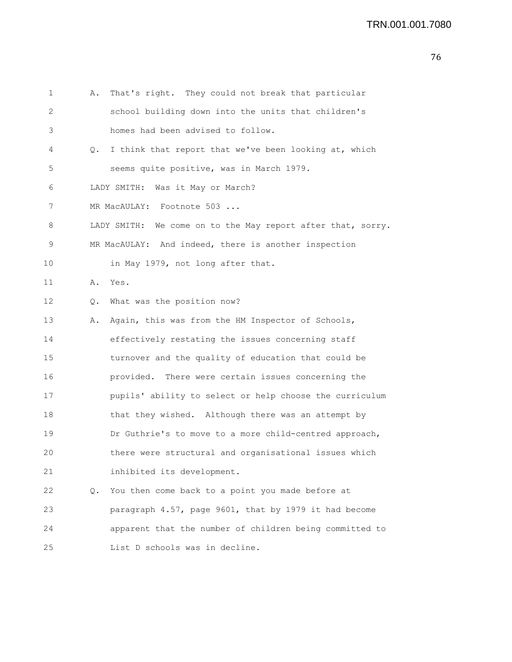1 A. That's right. They could not break that particular 2 school building down into the units that children's 3 homes had been advised to follow. 4 Q. I think that report that we've been looking at, which 5 seems quite positive, was in March 1979. 6 LADY SMITH: Was it May or March? 7 MR MacAULAY: Footnote 503 ... 8 LADY SMITH: We come on to the May report after that, sorry. 9 MR MacAULAY: And indeed, there is another inspection 10 in May 1979, not long after that. 11 A. Yes. 12 Q. What was the position now? 13 A. Again, this was from the HM Inspector of Schools, 14 effectively restating the issues concerning staff 15 turnover and the quality of education that could be 16 provided. There were certain issues concerning the 17 pupils' ability to select or help choose the curriculum 18 that they wished. Although there was an attempt by 19 Dr Guthrie's to move to a more child-centred approach, 20 there were structural and organisational issues which 21 inhibited its development. 22 Q. You then come back to a point you made before at 23 paragraph 4.57, page 9601, that by 1979 it had become 24 apparent that the number of children being committed to 25 List D schools was in decline.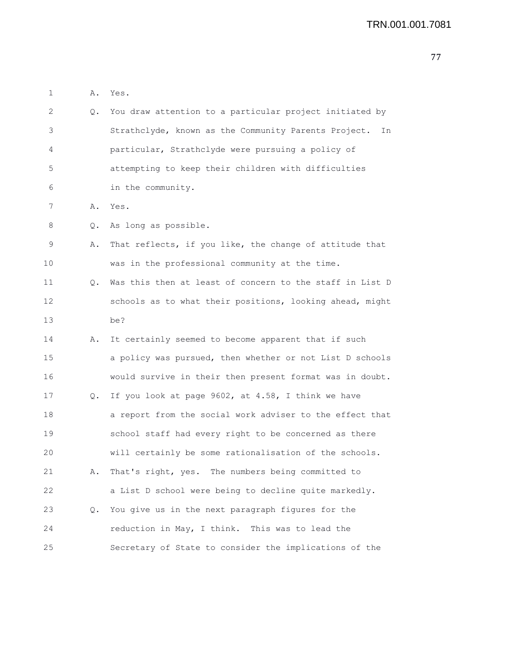```
1 A. Yes.
2 Q. You draw attention to a particular project initiated by
3 Strathclyde, known as the Community Parents Project. In
4 particular, Strathclyde were pursuing a policy of
5 attempting to keep their children with difficulties
6 in the community.
7 A. Yes.
8 Q. As long as possible.
9 A. That reflects, if you like, the change of attitude that
10 was in the professional community at the time.
11 Q. Was this then at least of concern to the staff in List D
12 schools as to what their positions, looking ahead, might
13 be?
14 A. It certainly seemed to become apparent that if such
15 a policy was pursued, then whether or not List D schools
16 would survive in their then present format was in doubt.
17 Q. If you look at page 9602, at 4.58, I think we have
18 a report from the social work adviser to the effect that
19 school staff had every right to be concerned as there
20 will certainly be some rationalisation of the schools.
21 A. That's right, yes. The numbers being committed to
22 a List D school were being to decline quite markedly.
23 Q. You give us in the next paragraph figures for the
24 reduction in May, I think. This was to lead the
25 Secretary of State to consider the implications of the
```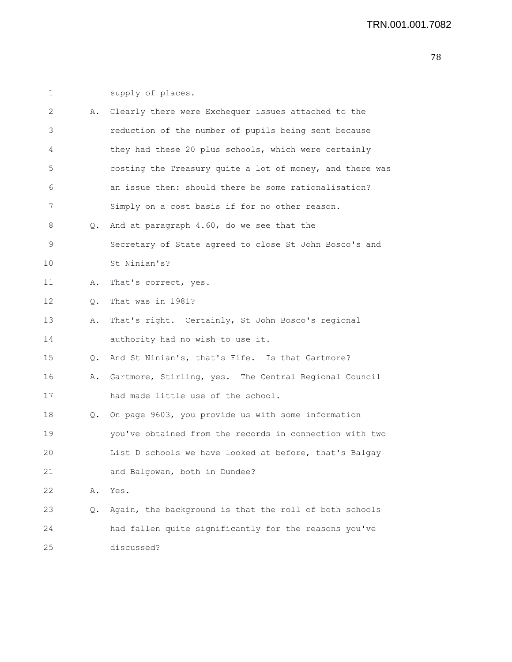| 1  |    | supply of places.                                        |
|----|----|----------------------------------------------------------|
| 2  | Α. | Clearly there were Exchequer issues attached to the      |
| 3  |    | reduction of the number of pupils being sent because     |
| 4  |    | they had these 20 plus schools, which were certainly     |
| 5  |    | costing the Treasury quite a lot of money, and there was |
| 6  |    | an issue then: should there be some rationalisation?     |
| 7  |    | Simply on a cost basis if for no other reason.           |
| 8  | Q. | And at paragraph 4.60, do we see that the                |
| 9  |    | Secretary of State agreed to close St John Bosco's and   |
| 10 |    | St Ninian's?                                             |
| 11 | Α. | That's correct, yes.                                     |
| 12 | Q. | That was in 1981?                                        |
| 13 | Α. | That's right. Certainly, St John Bosco's regional        |
| 14 |    | authority had no wish to use it.                         |
| 15 | Q. | And St Ninian's, that's Fife. Is that Gartmore?          |
| 16 | Α. | Gartmore, Stirling, yes. The Central Regional Council    |
| 17 |    | had made little use of the school.                       |
| 18 | Q. | On page 9603, you provide us with some information       |
| 19 |    | you've obtained from the records in connection with two  |
| 20 |    | List D schools we have looked at before, that's Balgay   |
| 21 |    | and Balgowan, both in Dundee?                            |
| 22 | Α. | Yes.                                                     |
| 23 | Q. | Again, the background is that the roll of both schools   |
| 24 |    | had fallen quite significantly for the reasons you've    |
| 25 |    | discussed?                                               |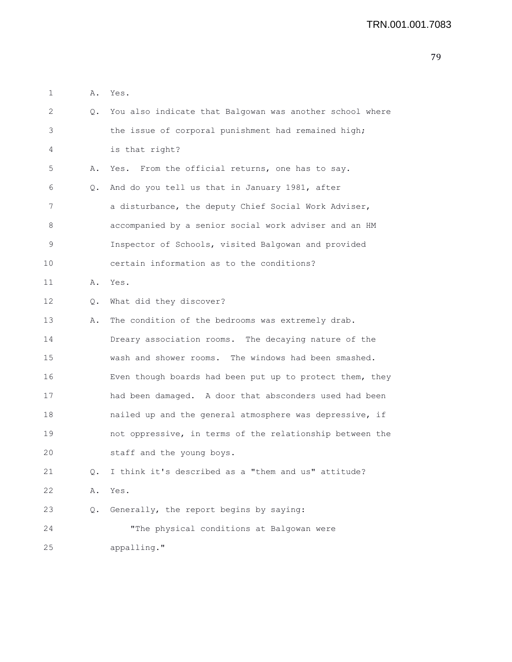| 1  | Α.    | Yes.                                                     |
|----|-------|----------------------------------------------------------|
| 2  | $Q$ . | You also indicate that Balgowan was another school where |
| 3  |       | the issue of corporal punishment had remained high;      |
| 4  |       | is that right?                                           |
| 5  | Α.    | Yes. From the official returns, one has to say.          |
| 6  | Q.    | And do you tell us that in January 1981, after           |
| 7  |       | a disturbance, the deputy Chief Social Work Adviser,     |
| 8  |       | accompanied by a senior social work adviser and an HM    |
| 9  |       | Inspector of Schools, visited Balgowan and provided      |
| 10 |       | certain information as to the conditions?                |
| 11 | Α.    | Yes.                                                     |
| 12 | Q.    | What did they discover?                                  |
| 13 | Α.    | The condition of the bedrooms was extremely drab.        |
| 14 |       | Dreary association rooms. The decaying nature of the     |
| 15 |       | wash and shower rooms. The windows had been smashed.     |
| 16 |       | Even though boards had been put up to protect them, they |
| 17 |       | had been damaged. A door that absconders used had been   |
| 18 |       | nailed up and the general atmosphere was depressive, if  |
| 19 |       | not oppressive, in terms of the relationship between the |
| 20 |       | staff and the young boys.                                |
| 21 | Q.    | I think it's described as a "them and us" attitude?      |
| 22 | Α.    | Yes.                                                     |
| 23 | Q.    | Generally, the report begins by saying:                  |
| 24 |       | "The physical conditions at Balgowan were                |
| 25 |       | appalling."                                              |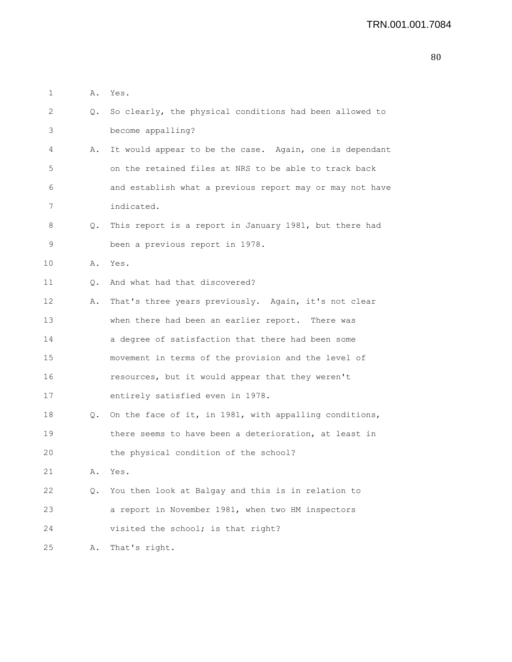| 1  | Α. | Yes.                                                     |
|----|----|----------------------------------------------------------|
| 2  | Q. | So clearly, the physical conditions had been allowed to  |
| 3  |    | become appalling?                                        |
| 4  | Α. | It would appear to be the case. Again, one is dependant  |
| 5  |    | on the retained files at NRS to be able to track back    |
| 6  |    | and establish what a previous report may or may not have |
| 7  |    | indicated.                                               |
| 8  | Q. | This report is a report in January 1981, but there had   |
| 9  |    | been a previous report in 1978.                          |
| 10 | Α. | Yes.                                                     |
| 11 | Q. | And what had that discovered?                            |
| 12 | Α. | That's three years previously. Again, it's not clear     |
| 13 |    | when there had been an earlier report. There was         |
| 14 |    | a degree of satisfaction that there had been some        |
| 15 |    | movement in terms of the provision and the level of      |
| 16 |    | resources, but it would appear that they weren't         |
| 17 |    | entirely satisfied even in 1978.                         |
| 18 | Q. | On the face of it, in 1981, with appalling conditions,   |
| 19 |    | there seems to have been a deterioration, at least in    |
| 20 |    | the physical condition of the school?                    |
| 21 | Α. | Yes.                                                     |
| 22 | Q. | You then look at Balgay and this is in relation to       |
| 23 |    | a report in November 1981, when two HM inspectors        |
| 24 |    | visited the school; is that right?                       |
| 25 | Α. | That's right.                                            |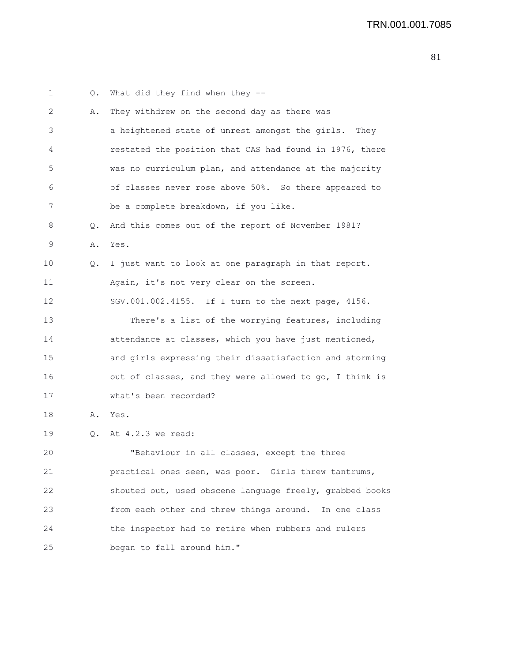1 Q. What did they find when they -- 2 A. They withdrew on the second day as there was 3 a heightened state of unrest amongst the girls. They 4 restated the position that CAS had found in 1976, there 5 was no curriculum plan, and attendance at the majority 6 of classes never rose above 50%. So there appeared to 7 be a complete breakdown, if you like. 8 Q. And this comes out of the report of November 1981? 9 A. Yes. 10 Q. I just want to look at one paragraph in that report. 11 Again, it's not very clear on the screen. 12 SGV.001.002.4155. If I turn to the next page, 4156. 13 There's a list of the worrying features, including 14 attendance at classes, which you have just mentioned, 15 and girls expressing their dissatisfaction and storming 16 out of classes, and they were allowed to go, I think is 17 what's been recorded? 18 A. Yes. 19 Q. At 4.2.3 we read: 20 "Behaviour in all classes, except the three 21 practical ones seen, was poor. Girls threw tantrums, 22 shouted out, used obscene language freely, grabbed books 23 from each other and threw things around. In one class 24 the inspector had to retire when rubbers and rulers 25 began to fall around him."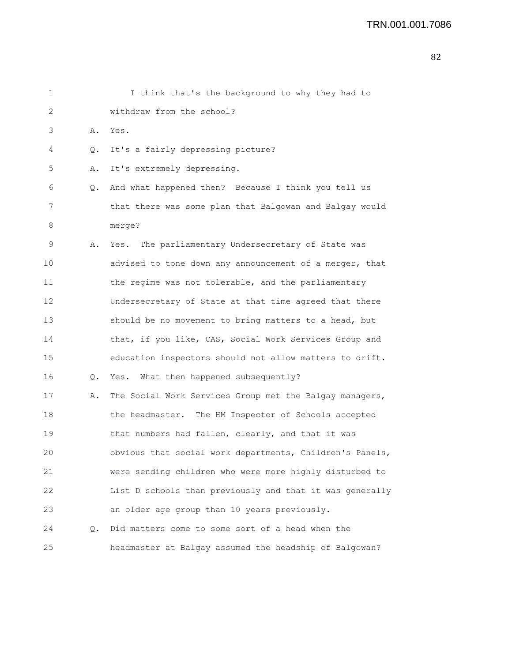| 1  |    | I think that's the background to why they had to         |
|----|----|----------------------------------------------------------|
| 2  |    | withdraw from the school?                                |
| 3  | Α. | Yes.                                                     |
| 4  | Q. | It's a fairly depressing picture?                        |
| 5  | Α. | It's extremely depressing.                               |
| 6  | Q. | And what happened then? Because I think you tell us      |
| 7  |    | that there was some plan that Balgowan and Balgay would  |
| 8  |    | merge?                                                   |
| 9  | Α. | Yes. The parliamentary Undersecretary of State was       |
| 10 |    | advised to tone down any announcement of a merger, that  |
| 11 |    | the regime was not tolerable, and the parliamentary      |
| 12 |    | Undersecretary of State at that time agreed that there   |
| 13 |    | should be no movement to bring matters to a head, but    |
| 14 |    | that, if you like, CAS, Social Work Services Group and   |
| 15 |    | education inspectors should not allow matters to drift.  |
| 16 | Q. | Yes. What then happened subsequently?                    |
| 17 | Α. | The Social Work Services Group met the Balgay managers,  |
| 18 |    | the headmaster. The HM Inspector of Schools accepted     |
| 19 |    | that numbers had fallen, clearly, and that it was        |
| 20 |    | obvious that social work departments, Children's Panels, |
| 21 |    | were sending children who were more highly disturbed to  |
| 22 |    | List D schools than previously and that it was generally |
| 23 |    | an older age group than 10 years previously.             |
| 24 | О. | Did matters come to some sort of a head when the         |
| 25 |    | headmaster at Balgay assumed the headship of Balgowan?   |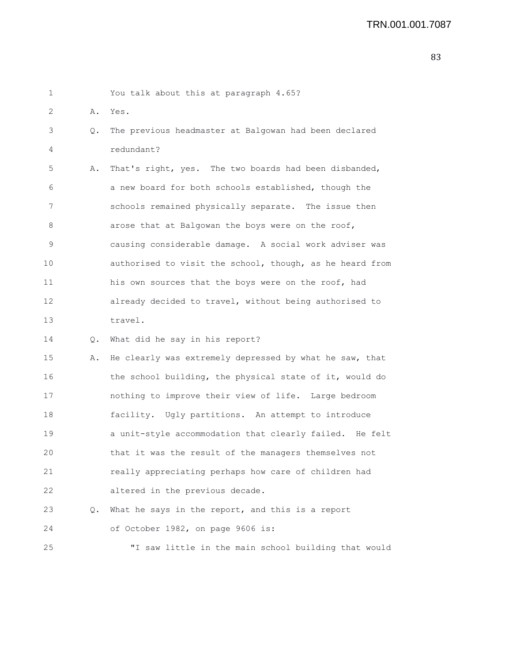| 1  |    | You talk about this at paragraph 4.65?                   |
|----|----|----------------------------------------------------------|
| 2  | Α. | Yes.                                                     |
| 3  | Q. | The previous headmaster at Balgowan had been declared    |
| 4  |    | redundant?                                               |
| 5  | Α. | That's right, yes. The two boards had been disbanded,    |
| 6  |    | a new board for both schools established, though the     |
| 7  |    | schools remained physically separate. The issue then     |
| 8  |    | arose that at Balgowan the boys were on the roof,        |
| 9  |    | causing considerable damage. A social work adviser was   |
| 10 |    | authorised to visit the school, though, as he heard from |
| 11 |    | his own sources that the boys were on the roof, had      |
| 12 |    | already decided to travel, without being authorised to   |
| 13 |    | travel.                                                  |
| 14 | Q. | What did he say in his report?                           |
| 15 | Α. | He clearly was extremely depressed by what he saw, that  |
| 16 |    | the school building, the physical state of it, would do  |
| 17 |    | nothing to improve their view of life. Large bedroom     |
| 18 |    | facility. Ugly partitions. An attempt to introduce       |
| 19 |    | a unit-style accommodation that clearly failed. He felt  |
| 20 |    | that it was the result of the managers themselves not    |
| 21 |    | really appreciating perhaps how care of children had     |
| 22 |    | altered in the previous decade.                          |
| 23 | Q. | What he says in the report, and this is a report         |
| 24 |    | of October 1982, on page 9606 is:                        |
| 25 |    | "I saw little in the main school building that would     |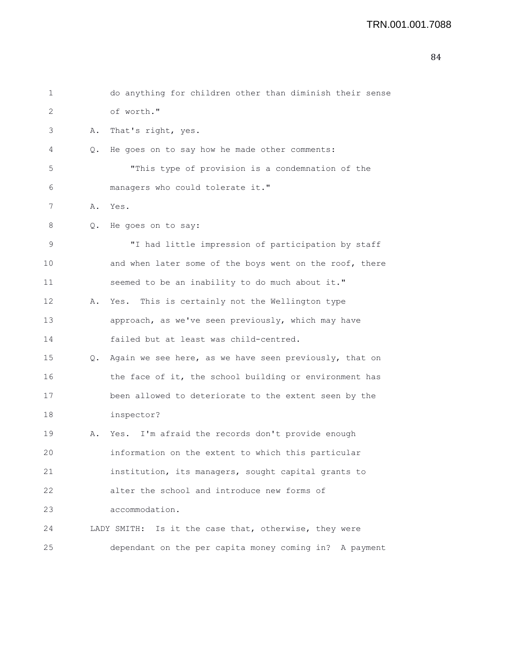| 1  |    | do anything for children other than diminish their sense |
|----|----|----------------------------------------------------------|
| 2  |    | of worth."                                               |
| 3  | Α. | That's right, yes.                                       |
| 4  | Q. | He goes on to say how he made other comments:            |
| 5  |    | "This type of provision is a condemnation of the         |
| 6  |    | managers who could tolerate it."                         |
| 7  | Α. | Yes.                                                     |
| 8  | Q. | He goes on to say:                                       |
| 9  |    | "I had little impression of participation by staff       |
| 10 |    | and when later some of the boys went on the roof, there  |
| 11 |    | seemed to be an inability to do much about it."          |
| 12 | Α. | This is certainly not the Wellington type<br>Yes.        |
| 13 |    | approach, as we've seen previously, which may have       |
| 14 |    | failed but at least was child-centred.                   |
| 15 | Q. | Again we see here, as we have seen previously, that on   |
| 16 |    | the face of it, the school building or environment has   |
| 17 |    | been allowed to deteriorate to the extent seen by the    |
| 18 |    | inspector?                                               |
| 19 | Α. | Yes. I'm afraid the records don't provide enough         |
| 20 |    | information on the extent to which this particular       |
| 21 |    | institution, its managers, sought capital grants to      |
| 22 |    | alter the school and introduce new forms of              |
| 23 |    | accommodation.                                           |
| 24 |    | Is it the case that, otherwise, they were<br>LADY SMITH: |
| 25 |    | dependant on the per capita money coming in? A payment   |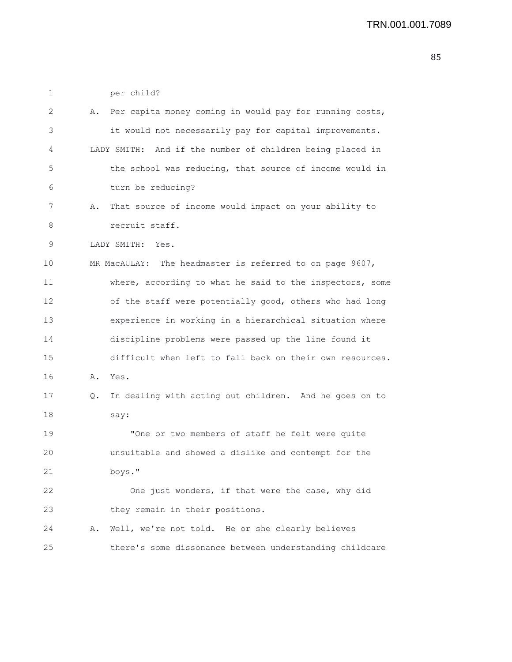1 per child?

| 2  | Α. | Per capita money coming in would pay for running costs,   |
|----|----|-----------------------------------------------------------|
| 3  |    | it would not necessarily pay for capital improvements.    |
| 4  |    | LADY SMITH: And if the number of children being placed in |
| 5  |    | the school was reducing, that source of income would in   |
| 6  |    | turn be reducing?                                         |
| 7  | Α. | That source of income would impact on your ability to     |
| 8  |    | recruit staff.                                            |
| 9  |    | LADY SMITH: Yes.                                          |
| 10 |    | MR MacAULAY: The headmaster is referred to on page 9607,  |
| 11 |    | where, according to what he said to the inspectors, some  |
| 12 |    | of the staff were potentially good, others who had long   |
| 13 |    | experience in working in a hierarchical situation where   |
| 14 |    | discipline problems were passed up the line found it      |
| 15 |    | difficult when left to fall back on their own resources.  |
| 16 | Α. | Yes.                                                      |
| 17 | Q. | In dealing with acting out children. And he goes on to    |
| 18 |    | say:                                                      |
| 19 |    | "One or two members of staff he felt were quite           |
| 20 |    | unsuitable and showed a dislike and contempt for the      |
| 21 |    | boys."                                                    |
| 22 |    | One just wonders, if that were the case, why did          |
| 23 |    | they remain in their positions.                           |
| 24 | Α. | Well, we're not told. He or she clearly believes          |
| 25 |    | there's some dissonance between understanding childcare   |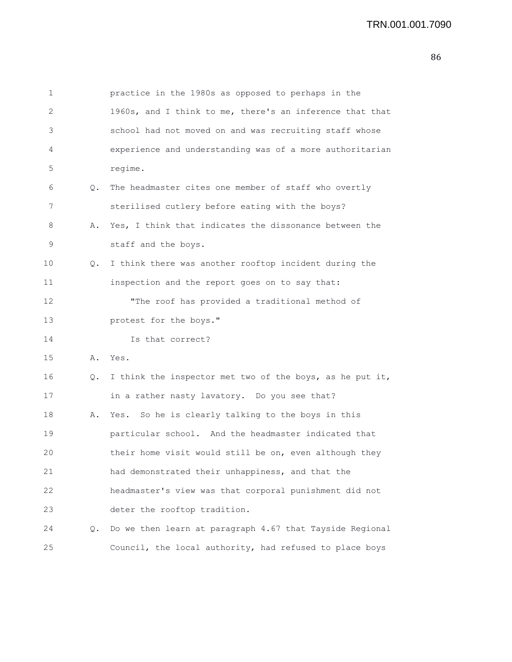1 practice in the 1980s as opposed to perhaps in the 2 1960s, and I think to me, there's an inference that that 3 school had not moved on and was recruiting staff whose 4 experience and understanding was of a more authoritarian 5 regime. 6 Q. The headmaster cites one member of staff who overtly 7 sterilised cutlery before eating with the boys? 8 A. Yes, I think that indicates the dissonance between the 9 staff and the boys. 10 Q. I think there was another rooftop incident during the 11 inspection and the report goes on to say that: 12 "The roof has provided a traditional method of 13 protest for the boys." 14 Is that correct? 15 A. Yes. 16 Q. I think the inspector met two of the boys, as he put it, 17 in a rather nasty lavatory. Do you see that? 18 A. Yes. So he is clearly talking to the boys in this 19 particular school. And the headmaster indicated that 20 their home visit would still be on, even although they 21 had demonstrated their unhappiness, and that the 22 headmaster's view was that corporal punishment did not 23 deter the rooftop tradition. 24 Q. Do we then learn at paragraph 4.67 that Tayside Regional 25 Council, the local authority, had refused to place boys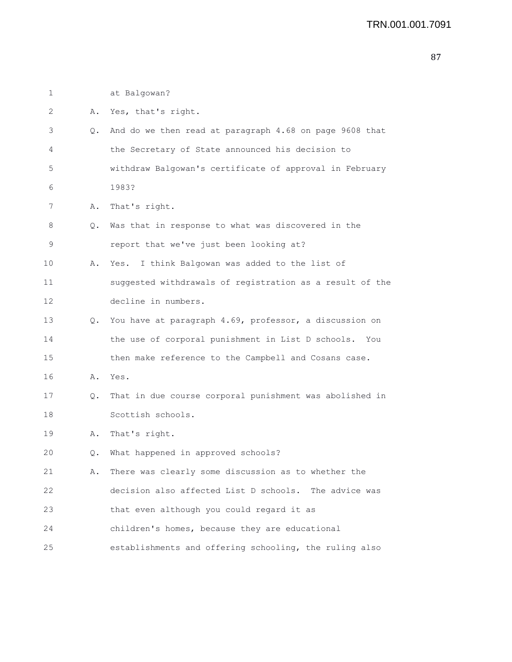| 1  |    | at Balgowan?                                             |
|----|----|----------------------------------------------------------|
| 2  | Α. | Yes, that's right.                                       |
| 3  | Q. | And do we then read at paragraph 4.68 on page 9608 that  |
| 4  |    | the Secretary of State announced his decision to         |
| 5  |    | withdraw Balgowan's certificate of approval in February  |
| 6  |    | 1983?                                                    |
| 7  | Α. | That's right.                                            |
| 8  | Q. | Was that in response to what was discovered in the       |
| 9  |    | report that we've just been looking at?                  |
| 10 | Α. | I think Balgowan was added to the list of<br>Yes.        |
| 11 |    | suggested withdrawals of registration as a result of the |
| 12 |    | decline in numbers.                                      |
| 13 | Q. | You have at paragraph 4.69, professor, a discussion on   |
| 14 |    | the use of corporal punishment in List D schools.<br>You |
| 15 |    | then make reference to the Campbell and Cosans case.     |
| 16 | Α. | Yes.                                                     |
| 17 | Q. | That in due course corporal punishment was abolished in  |
| 18 |    | Scottish schools.                                        |
| 19 | Α. | That's right.                                            |
| 20 | Q. | What happened in approved schools?                       |
| 21 | Α. | There was clearly some discussion as to whether the      |
| 22 |    | decision also affected List D schools. The advice was    |
| 23 |    | that even although you could regard it as                |
| 24 |    | children's homes, because they are educational           |
| 25 |    | establishments and offering schooling, the ruling also   |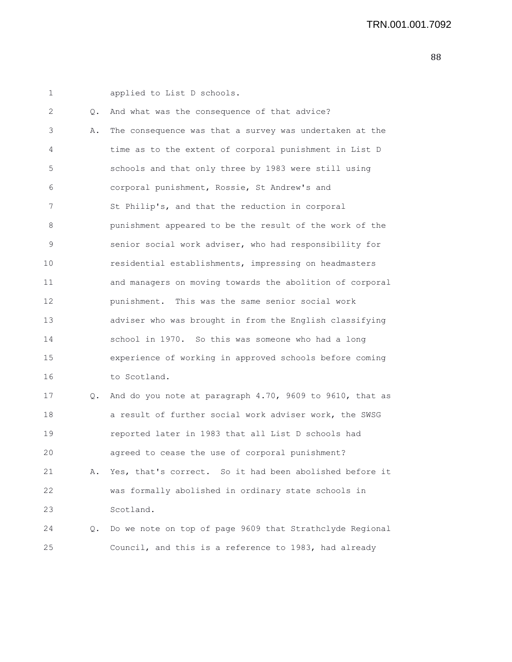1 applied to List D schools. 2 Q. And what was the consequence of that advice? 3 A. The consequence was that a survey was undertaken at the 4 time as to the extent of corporal punishment in List D 5 schools and that only three by 1983 were still using 6 corporal punishment, Rossie, St Andrew's and 7 St Philip's, and that the reduction in corporal 8 punishment appeared to be the result of the work of the 9 senior social work adviser, who had responsibility for 10 residential establishments, impressing on headmasters 11 and managers on moving towards the abolition of corporal 12 punishment. This was the same senior social work 13 adviser who was brought in from the English classifying 14 school in 1970. So this was someone who had a long 15 experience of working in approved schools before coming 16 to Scotland. 17 Q. And do you note at paragraph 4.70, 9609 to 9610, that as 18 a result of further social work adviser work, the SWSG 19 reported later in 1983 that all List D schools had 20 agreed to cease the use of corporal punishment? 21 A. Yes, that's correct. So it had been abolished before it 22 was formally abolished in ordinary state schools in 23 Scotland. 24 Q. Do we note on top of page 9609 that Strathclyde Regional 25 Council, and this is a reference to 1983, had already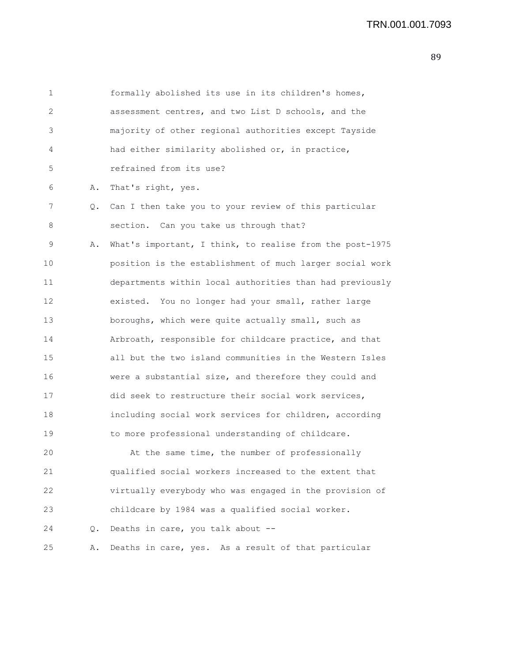| 1  |       | formally abolished its use in its children's homes,      |
|----|-------|----------------------------------------------------------|
| 2  |       | assessment centres, and two List D schools, and the      |
| 3  |       | majority of other regional authorities except Tayside    |
| 4  |       | had either similarity abolished or, in practice,         |
| 5  |       | refrained from its use?                                  |
| 6  | Α.    | That's right, yes.                                       |
| 7  | Q.    | Can I then take you to your review of this particular    |
| 8  |       | section. Can you take us through that?                   |
| 9  | Α.    | What's important, I think, to realise from the post-1975 |
| 10 |       | position is the establishment of much larger social work |
| 11 |       | departments within local authorities than had previously |
| 12 |       | existed. You no longer had your small, rather large      |
| 13 |       | boroughs, which were quite actually small, such as       |
| 14 |       | Arbroath, responsible for childcare practice, and that   |
| 15 |       | all but the two island communities in the Western Isles  |
| 16 |       | were a substantial size, and therefore they could and    |
| 17 |       | did seek to restructure their social work services,      |
| 18 |       | including social work services for children, according   |
| 19 |       | to more professional understanding of childcare.         |
| 20 |       | At the same time, the number of professionally           |
| 21 |       | qualified social workers increased to the extent that    |
| 22 |       | virtually everybody who was engaged in the provision of  |
| 23 |       | childcare by 1984 was a qualified social worker.         |
| 24 | $Q$ . | Deaths in care, you talk about --                        |
| 25 | Α.    | Deaths in care, yes. As a result of that particular      |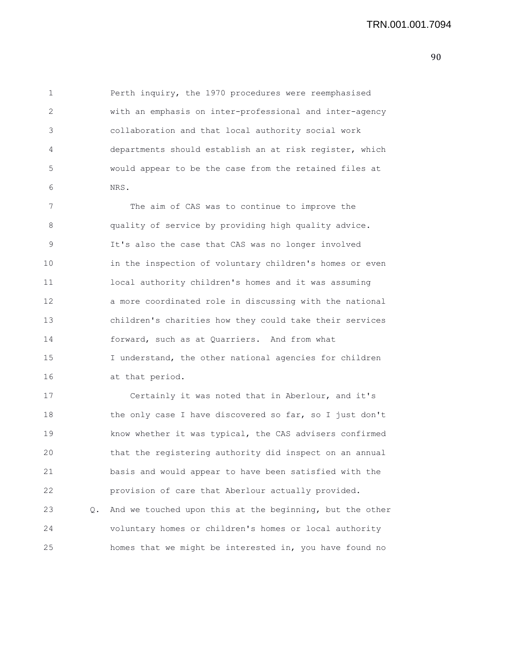1 Perth inquiry, the 1970 procedures were reemphasised 2 with an emphasis on inter-professional and inter-agency 3 collaboration and that local authority social work 4 departments should establish an at risk register, which 5 would appear to be the case from the retained files at 6 NRS.

7 The aim of CAS was to continue to improve the 8 quality of service by providing high quality advice. 9 It's also the case that CAS was no longer involved 10 in the inspection of voluntary children's homes or even 11 local authority children's homes and it was assuming 12 a more coordinated role in discussing with the national 13 children's charities how they could take their services 14 forward, such as at Quarriers. And from what 15 I understand, the other national agencies for children 16 at that period.

17 Certainly it was noted that in Aberlour, and it's 18 the only case I have discovered so far, so I just don't 19 know whether it was typical, the CAS advisers confirmed 20 that the registering authority did inspect on an annual 21 basis and would appear to have been satisfied with the 22 provision of care that Aberlour actually provided. 23 Q. And we touched upon this at the beginning, but the other 24 voluntary homes or children's homes or local authority 25 homes that we might be interested in, you have found no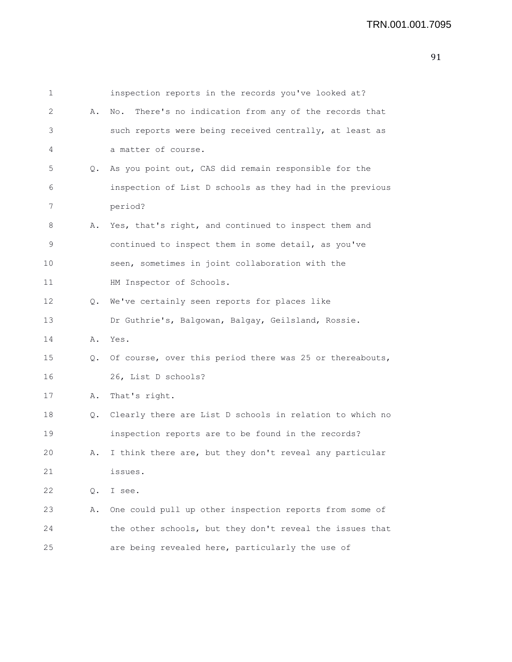| 1  |    | inspection reports in the records you've looked at?       |
|----|----|-----------------------------------------------------------|
| 2  | Α. | There's no indication from any of the records that<br>No. |
| 3  |    | such reports were being received centrally, at least as   |
| 4  |    | a matter of course.                                       |
| 5  | Q. | As you point out, CAS did remain responsible for the      |
| 6  |    | inspection of List D schools as they had in the previous  |
| 7  |    | period?                                                   |
| 8  | Α. | Yes, that's right, and continued to inspect them and      |
| 9  |    | continued to inspect them in some detail, as you've       |
| 10 |    | seen, sometimes in joint collaboration with the           |
| 11 |    | HM Inspector of Schools.                                  |
| 12 | Q. | We've certainly seen reports for places like              |
| 13 |    | Dr Guthrie's, Balgowan, Balgay, Geilsland, Rossie.        |
| 14 | Α. | Yes.                                                      |
| 15 | Q. | Of course, over this period there was 25 or thereabouts,  |
| 16 |    | 26, List D schools?                                       |
| 17 | Α. | That's right.                                             |
| 18 | Q. | Clearly there are List D schools in relation to which no  |
| 19 |    | inspection reports are to be found in the records?        |
| 20 | Α. | I think there are, but they don't reveal any particular   |
| 21 |    | issues.                                                   |
| 22 | Q. | I see.                                                    |
| 23 | Α. | One could pull up other inspection reports from some of   |
| 24 |    | the other schools, but they don't reveal the issues that  |
| 25 |    | are being revealed here, particularly the use of          |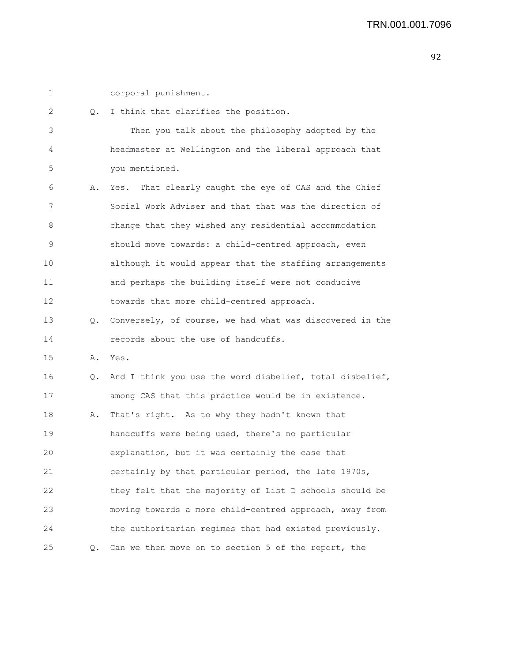| ۰. |  |
|----|--|
|    |  |
|    |  |
|    |  |

corporal punishment.

| 2  | Q.            | I think that clarifies the position.                     |
|----|---------------|----------------------------------------------------------|
| 3  |               | Then you talk about the philosophy adopted by the        |
| 4  |               | headmaster at Wellington and the liberal approach that   |
| 5  |               | you mentioned.                                           |
| 6  | Α.            | That clearly caught the eye of CAS and the Chief<br>Yes. |
| 7  |               | Social Work Adviser and that that was the direction of   |
| 8  |               | change that they wished any residential accommodation    |
| 9  |               | should move towards: a child-centred approach, even      |
| 10 |               | although it would appear that the staffing arrangements  |
| 11 |               | and perhaps the building itself were not conducive       |
| 12 |               | towards that more child-centred approach.                |
| 13 | Q.            | Conversely, of course, we had what was discovered in the |
| 14 |               | records about the use of handcuffs.                      |
| 15 | Α.            | Yes.                                                     |
| 16 | Q.            | And I think you use the word disbelief, total disbelief, |
| 17 |               | among CAS that this practice would be in existence.      |
| 18 | Α.            | That's right. As to why they hadn't known that           |
| 19 |               | handcuffs were being used, there's no particular         |
| 20 |               | explanation, but it was certainly the case that          |
| 21 |               | certainly by that particular period, the late 1970s,     |
| 22 |               | they felt that the majority of List D schools should be  |
| 23 |               | moving towards a more child-centred approach, away from  |
| 24 |               | the authoritarian regimes that had existed previously.   |
| 25 | $Q_{\bullet}$ | Can we then move on to section 5 of the report, the      |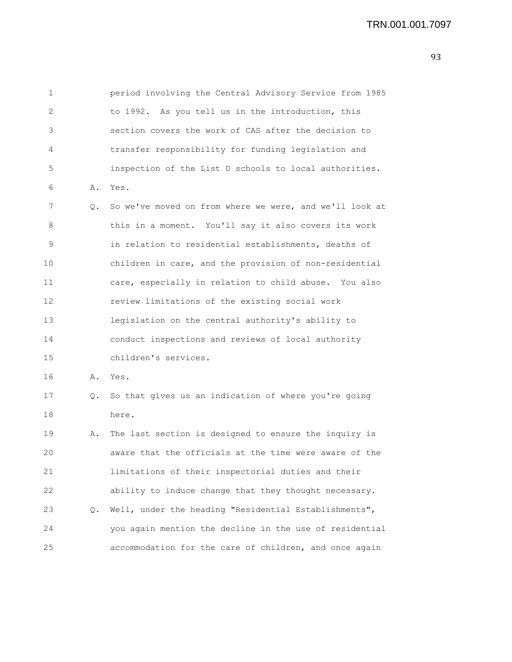| 1  |       | period involving the Central Advisory Service from 1985 |
|----|-------|---------------------------------------------------------|
| 2  |       | to 1992. As you tell us in the introduction, this       |
| 3  |       | section covers the work of CAS after the decision to    |
| 4  |       | transfer responsibility for funding legislation and     |
| 5  |       | inspection of the List D schools to local authorities.  |
| 6  | Α.    | Yes.                                                    |
| 7  | Q.    | So we've moved on from where we were, and we'll look at |
| 8  |       | this in a moment. You'll say it also covers its work    |
| 9  |       | in relation to residential establishments, deaths of    |
| 10 |       | children in care, and the provision of non-residential  |
| 11 |       | care, especially in relation to child abuse. You also   |
| 12 |       | review limitations of the existing social work          |
| 13 |       | legislation on the central authority's ability to       |
| 14 |       | conduct inspections and reviews of local authority      |
| 15 |       | children's services.                                    |
| 16 | Α.    | Yes.                                                    |
| 17 | Q.    | So that gives us an indication of where you're going    |
| 18 |       | here.                                                   |
| 19 | Α.    | The last section is designed to ensure the inquiry is   |
| 20 |       | aware that the officials at the time were aware of the  |
| 21 |       | limitations of their inspectorial duties and their      |
| 22 |       | ability to induce change that they thought necessary.   |
| 23 | $Q$ . | Well, under the heading "Residential Establishments",   |
| 24 |       | you again mention the decline in the use of residential |
| 25 |       | accommodation for the care of children, and once again  |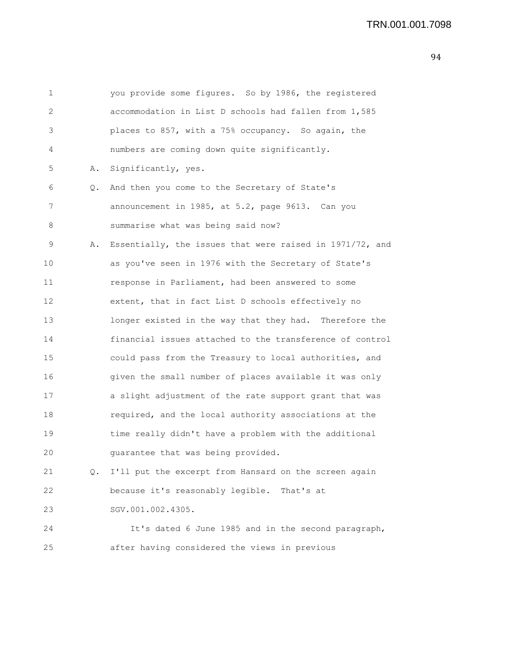| 1  |    | you provide some figures. So by 1986, the registered     |
|----|----|----------------------------------------------------------|
| 2  |    | accommodation in List D schools had fallen from 1,585    |
| 3  |    | places to 857, with a 75% occupancy. So again, the       |
| 4  |    | numbers are coming down quite significantly.             |
| 5  | Α. | Significantly, yes.                                      |
| 6  | Q. | And then you come to the Secretary of State's            |
| 7  |    | announcement in 1985, at 5.2, page 9613. Can you         |
| 8  |    | summarise what was being said now?                       |
| 9  | Α. | Essentially, the issues that were raised in 1971/72, and |
| 10 |    | as you've seen in 1976 with the Secretary of State's     |
| 11 |    | response in Parliament, had been answered to some        |
| 12 |    | extent, that in fact List D schools effectively no       |
| 13 |    | longer existed in the way that they had. Therefore the   |
| 14 |    | financial issues attached to the transference of control |
| 15 |    | could pass from the Treasury to local authorities, and   |
| 16 |    | given the small number of places available it was only   |
| 17 |    | a slight adjustment of the rate support grant that was   |
| 18 |    | required, and the local authority associations at the    |
| 19 |    | time really didn't have a problem with the additional    |
| 20 |    | guarantee that was being provided.                       |
| 21 | Q. | I'll put the excerpt from Hansard on the screen again    |
| 22 |    | because it's reasonably legible. That's at               |
| 23 |    | SGV.001.002.4305.                                        |
| 24 |    | It's dated 6 June 1985 and in the second paragraph,      |
| 25 |    | after having considered the views in previous            |
|    |    |                                                          |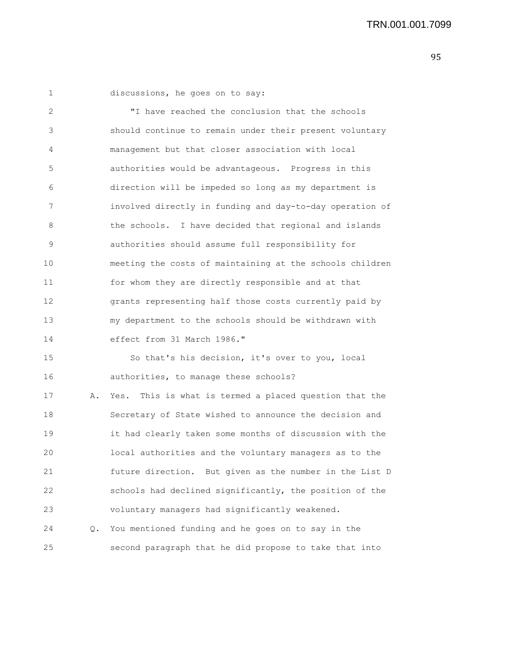1 discussions, he goes on to say:

2 "I have reached the conclusion that the schools 3 should continue to remain under their present voluntary 4 management but that closer association with local 5 authorities would be advantageous. Progress in this 6 direction will be impeded so long as my department is 7 involved directly in funding and day-to-day operation of 8 the schools. I have decided that regional and islands 9 authorities should assume full responsibility for 10 meeting the costs of maintaining at the schools children 11 for whom they are directly responsible and at that 12 grants representing half those costs currently paid by 13 my department to the schools should be withdrawn with 14 effect from 31 March 1986." 15 So that's his decision, it's over to you, local 16 authorities, to manage these schools? 17 A. Yes. This is what is termed a placed question that the 18 Secretary of State wished to announce the decision and 19 it had clearly taken some months of discussion with the 20 local authorities and the voluntary managers as to the 21 future direction. But given as the number in the List D 22 schools had declined significantly, the position of the 23 voluntary managers had significantly weakened. 24 Q. You mentioned funding and he goes on to say in the 25 second paragraph that he did propose to take that into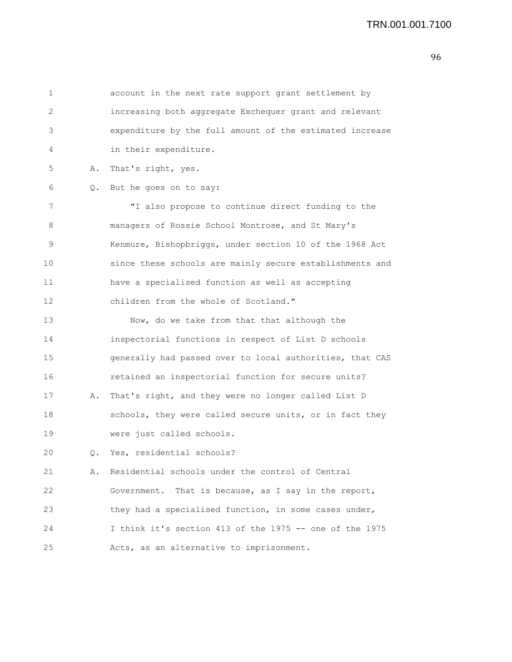1 account in the next rate support grant settlement by 2 increasing both aggregate Exchequer grant and relevant 3 expenditure by the full amount of the estimated increase 4 in their expenditure. 5 A. That's right, yes. 6 Q. But he goes on to say: 7 "I also propose to continue direct funding to the 8 managers of Rossie School Montrose, and St Mary's 9 Kenmure, Bishopbriggs, under section 10 of the 1968 Act 10 since these schools are mainly secure establishments and 11 have a specialised function as well as accepting 12 children from the whole of Scotland." 13 Now, do we take from that that although the 14 inspectorial functions in respect of List D schools 15 generally had passed over to local authorities, that CAS 16 retained an inspectorial function for secure units? 17 A. That's right, and they were no longer called List D 18 schools, they were called secure units, or in fact they 19 were just called schools. 20 Q. Yes, residential schools? 21 A. Residential schools under the control of Central 22 Government. That is because, as I say in the report, 23 they had a specialised function, in some cases under, 24 I think it's section 413 of the 1975 -- one of the 1975 25 Acts, as an alternative to imprisonment.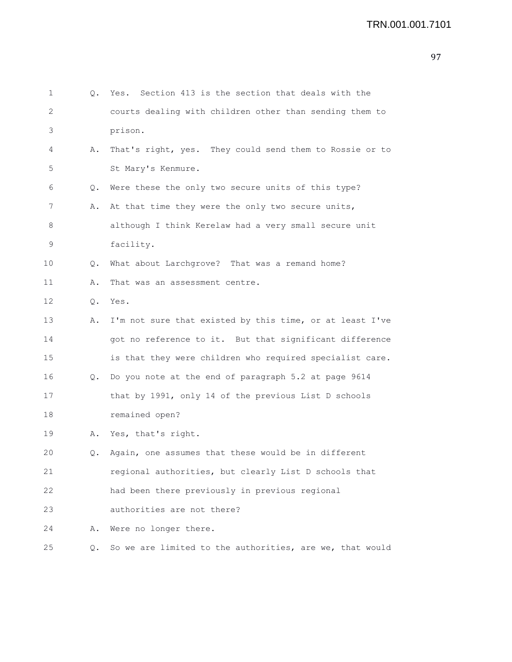| 1  | 0. | Yes. Section 413 is the section that deals with the      |
|----|----|----------------------------------------------------------|
| 2  |    | courts dealing with children other than sending them to  |
| 3  |    | prison.                                                  |
| 4  | Α. | That's right, yes. They could send them to Rossie or to  |
| 5  |    | St Mary's Kenmure.                                       |
| 6  | Q. | Were these the only two secure units of this type?       |
| 7  | Α. | At that time they were the only two secure units,        |
| 8  |    | although I think Kerelaw had a very small secure unit    |
| 9  |    | facility.                                                |
| 10 | Q. | What about Larchgrove? That was a remand home?           |
| 11 | Α. | That was an assessment centre.                           |
| 12 | Q. | Yes.                                                     |
| 13 | Α. | I'm not sure that existed by this time, or at least I've |
| 14 |    | got no reference to it. But that significant difference  |
| 15 |    | is that they were children who required specialist care. |
| 16 | Q. | Do you note at the end of paragraph 5.2 at page 9614     |
| 17 |    | that by 1991, only 14 of the previous List D schools     |
| 18 |    | remained open?                                           |
| 19 | Α. | Yes, that's right.                                       |
| 20 | Q. | Again, one assumes that these would be in different      |
| 21 |    | regional authorities, but clearly List D schools that    |
| 22 |    | had been there previously in previous regional           |
| 23 |    | authorities are not there?                               |
| 24 | Α. | Were no longer there.                                    |
| 25 | Q. | So we are limited to the authorities, are we, that would |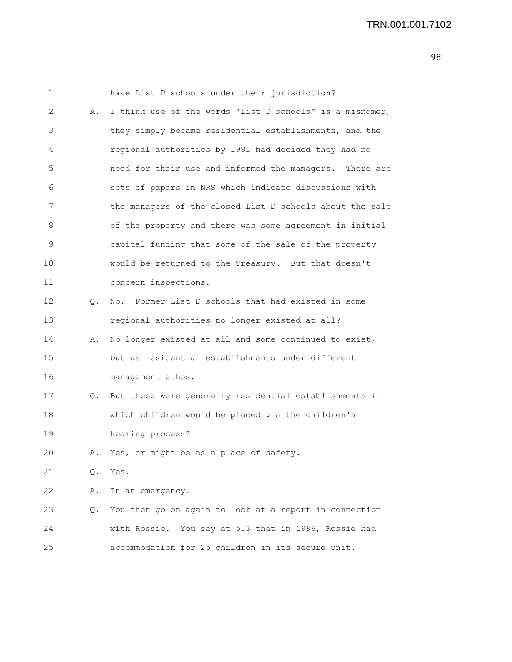1 have List D schools under their jurisdiction? 2 A. I think use of the words "List D schools" is a misnomer, 3 they simply became residential establishments, and the 4 regional authorities by 1991 had decided they had no 5 need for their use and informed the managers. There are 6 sets of papers in NRS which indicate discussions with 7 the managers of the closed List D schools about the sale 8 of the property and there was some agreement in initial 9 capital funding that some of the sale of the property 10 would be returned to the Treasury. But that doesn't 11 concern inspections. 12 0. No. Former List D schools that had existed in some 13 regional authorities no longer existed at all? 14 A. No longer existed at all and some continued to exist, 15 but as residential establishments under different 16 management ethos. 17 Q. But these were generally residential establishments in 18 which children would be placed via the children's 19 hearing process? 20 A. Yes, or might be as a place of safety. 21 Q. Yes. 22 A. In an emergency. 23 Q. You then go on again to look at a report in connection 24 with Rossie. You say at 5.3 that in 1986, Rossie had

25 accommodation for 25 children in its secure unit.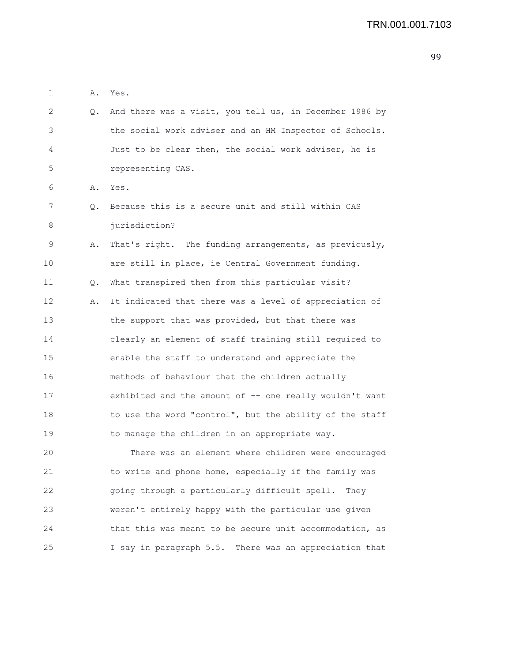2 Q. And there was a visit, you tell us, in December 1986 by 3 the social work adviser and an HM Inspector of Schools. 4 Just to be clear then, the social work adviser, he is 5 representing CAS. 6 A. Yes. 7 Q. Because this is a secure unit and still within CAS 8 jurisdiction? 9 A. That's right. The funding arrangements, as previously, 10 are still in place, ie Central Government funding. 11 Q. What transpired then from this particular visit? 12 A. It indicated that there was a level of appreciation of 13 the support that was provided, but that there was 14 clearly an element of staff training still required to 15 enable the staff to understand and appreciate the 16 methods of behaviour that the children actually 17 exhibited and the amount of -- one really wouldn't want 18 to use the word "control", but the ability of the staff 19 to manage the children in an appropriate way. 20 There was an element where children were encouraged 21 to write and phone home, especially if the family was 22 going through a particularly difficult spell. They 23 weren't entirely happy with the particular use given 24 that this was meant to be secure unit accommodation, as 25 I say in paragraph 5.5. There was an appreciation that

1 A. Yes.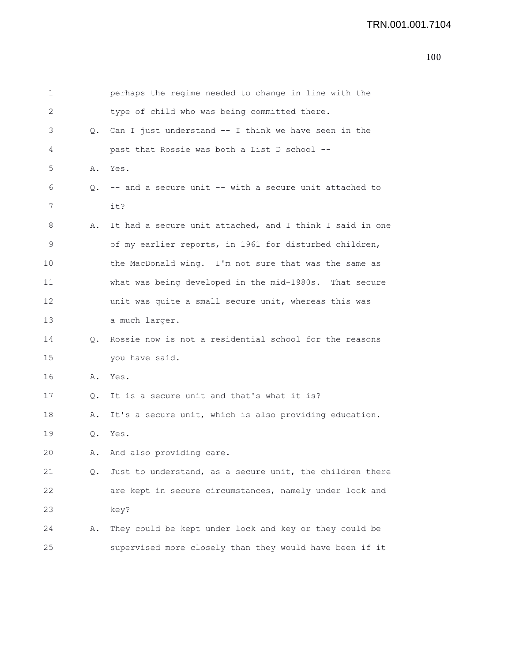| 1  |    | perhaps the regime needed to change in line with the     |
|----|----|----------------------------------------------------------|
| 2  |    | type of child who was being committed there.             |
| 3  |    | Q. Can I just understand -- I think we have seen in the  |
| 4  |    | past that Rossie was both a List D school --             |
| 5  | Α. | Yes.                                                     |
| 6  | Q. | -- and a secure unit -- with a secure unit attached to   |
| 7  |    | it?                                                      |
| 8  | Α. | It had a secure unit attached, and I think I said in one |
| 9  |    | of my earlier reports, in 1961 for disturbed children,   |
| 10 |    | the MacDonald wing. I'm not sure that was the same as    |
| 11 |    | what was being developed in the mid-1980s. That secure   |
| 12 |    | unit was quite a small secure unit, whereas this was     |
| 13 |    | a much larger.                                           |
| 14 | Q. | Rossie now is not a residential school for the reasons   |
| 15 |    | you have said.                                           |
| 16 | Α. | Yes.                                                     |
| 17 | Q. | It is a secure unit and that's what it is?               |
| 18 | Α. | It's a secure unit, which is also providing education.   |
| 19 | Q. | Yes.                                                     |
| 20 | Α. | And also providing care.                                 |
| 21 | Q. | Just to understand, as a secure unit, the children there |
| 22 |    | are kept in secure circumstances, namely under lock and  |
| 23 |    | key?                                                     |
| 24 | Α. | They could be kept under lock and key or they could be   |
| 25 |    | supervised more closely than they would have been if it  |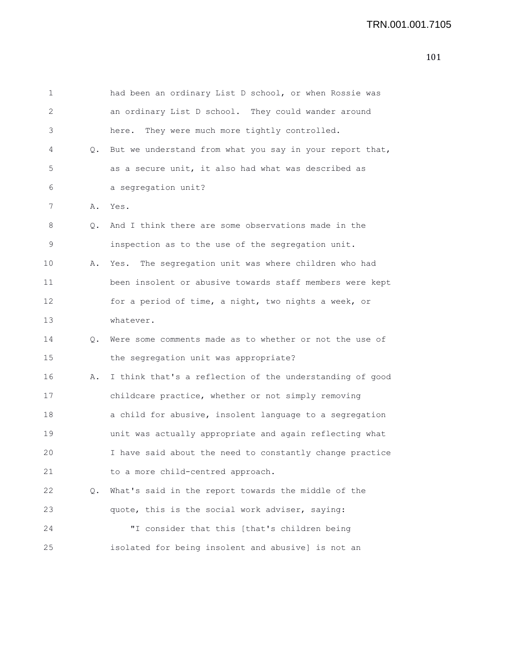| 1  |    | had been an ordinary List D school, or when Rossie was   |
|----|----|----------------------------------------------------------|
| 2  |    | an ordinary List D school. They could wander around      |
| 3  |    | They were much more tightly controlled.<br>here.         |
| 4  | Q. | But we understand from what you say in your report that, |
| 5  |    | as a secure unit, it also had what was described as      |
| 6  |    | a segregation unit?                                      |
| 7  | Α. | Yes.                                                     |
| 8  | Q. | And I think there are some observations made in the      |
| 9  |    | inspection as to the use of the segregation unit.        |
| 10 | Α. | The segregation unit was where children who had<br>Yes.  |
| 11 |    | been insolent or abusive towards staff members were kept |
| 12 |    | for a period of time, a night, two nights a week, or     |
| 13 |    | whatever.                                                |
| 14 | Q. | Were some comments made as to whether or not the use of  |
| 15 |    | the segregation unit was appropriate?                    |
| 16 | Α. | I think that's a reflection of the understanding of good |
| 17 |    | childcare practice, whether or not simply removing       |
| 18 |    | a child for abusive, insolent language to a segregation  |
| 19 |    | unit was actually appropriate and again reflecting what  |
| 20 |    | I have said about the need to constantly change practice |
| 21 |    | to a more child-centred approach.                        |
| 22 | Q. | What's said in the report towards the middle of the      |
| 23 |    | quote, this is the social work adviser, saying:          |
| 24 |    | "I consider that this [that's children being             |
| 25 |    | isolated for being insolent and abusive] is not an       |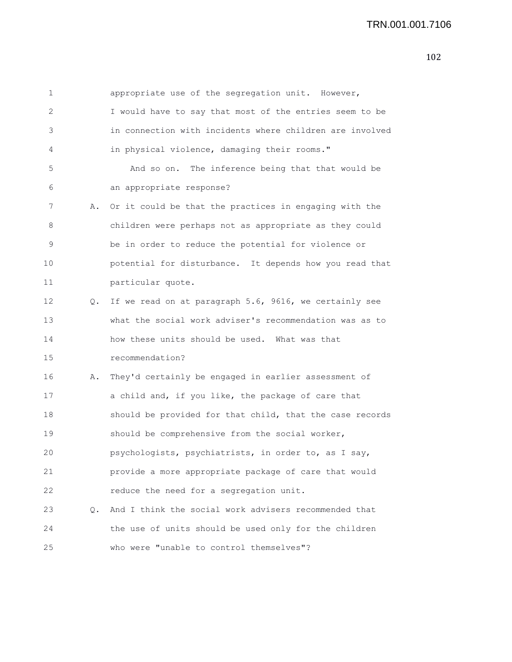| 1  |           | appropriate use of the segregation unit. However,        |
|----|-----------|----------------------------------------------------------|
| 2  |           | I would have to say that most of the entries seem to be  |
| 3  |           | in connection with incidents where children are involved |
| 4  |           | in physical violence, damaging their rooms."             |
| 5  |           | And so on. The inference being that that would be        |
| 6  |           | an appropriate response?                                 |
| 7  | Α.        | Or it could be that the practices in engaging with the   |
| 8  |           | children were perhaps not as appropriate as they could   |
| 9  |           | be in order to reduce the potential for violence or      |
| 10 |           | potential for disturbance. It depends how you read that  |
| 11 |           | particular quote.                                        |
| 12 | $\circ$ . | If we read on at paragraph 5.6, 9616, we certainly see   |
| 13 |           | what the social work adviser's recommendation was as to  |
| 14 |           | how these units should be used. What was that            |
| 15 |           | recommendation?                                          |
| 16 | Α.        | They'd certainly be engaged in earlier assessment of     |
| 17 |           | a child and, if you like, the package of care that       |
| 18 |           | should be provided for that child, that the case records |
| 19 |           | should be comprehensive from the social worker,          |
| 20 |           | psychologists, psychiatrists, in order to, as I say,     |
| 21 |           | provide a more appropriate package of care that would    |
| 22 |           | reduce the need for a segregation unit.                  |
| 23 | $\circ$ . | And I think the social work advisers recommended that    |
| 24 |           | the use of units should be used only for the children    |
| 25 |           | who were "unable to control themselves"?                 |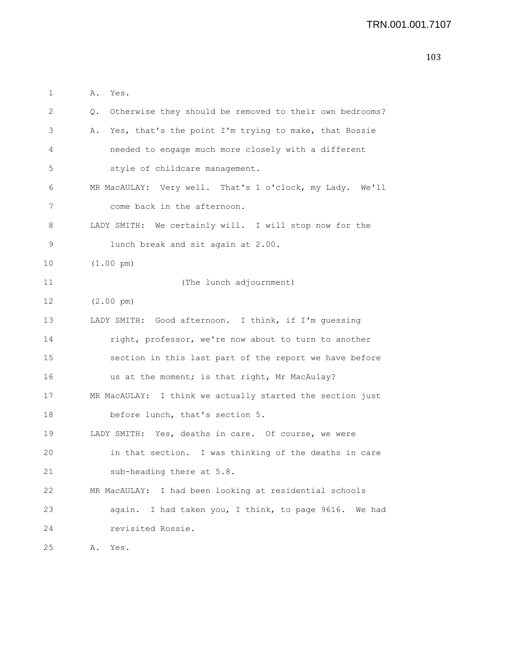| 1  | Α.<br>Yes.                                                           |
|----|----------------------------------------------------------------------|
| 2  | Otherwise they should be removed to their own bedrooms?<br>$\circ$ . |
| 3  | Yes, that's the point I'm trying to make, that Rossie<br>Α.          |
| 4  | needed to engage much more closely with a different                  |
| 5  | style of childcare management.                                       |
| 6  | MR MacAULAY: Very well. That's 1 o'clock, my Lady. We'll             |
| 7  | come back in the afternoon.                                          |
| 8  | LADY SMITH: We certainly will. I will stop now for the               |
| 9  | lunch break and sit again at 2.00.                                   |
| 10 | $(1.00 \text{ pm})$                                                  |
| 11 | (The lunch adjournment)                                              |
| 12 | $(2.00 \text{ pm})$                                                  |
| 13 | LADY SMITH: Good afternoon. I think, if I'm guessing                 |
| 14 | right, professor, we're now about to turn to another                 |
| 15 | section in this last part of the report we have before               |
| 16 | us at the moment; is that right, Mr MacAulay?                        |
| 17 | MR MacAULAY: I think we actually started the section just            |
| 18 | before lunch, that's section 5.                                      |
| 19 | LADY SMITH: Yes, deaths in care. Of course, we were                  |
| 20 | in that section. I was thinking of the deaths in care                |
| 21 | sub-heading there at 5.8.                                            |
| 22 | MR MacAULAY: I had been looking at residential schools               |
| 23 | again. I had taken you, I think, to page 9616. We had                |
| 24 | revisited Rossie.                                                    |
| 25 | Yes.<br>Α.                                                           |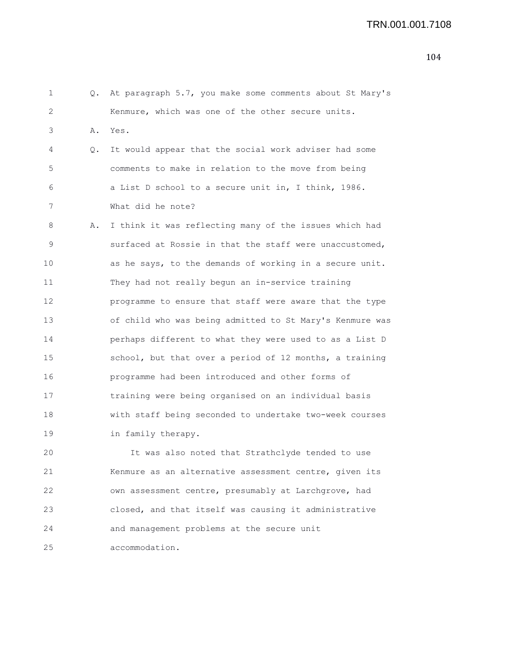| 1  | О. | At paragraph 5.7, you make some comments about St Mary's |
|----|----|----------------------------------------------------------|
| 2  |    | Kenmure, which was one of the other secure units.        |
| 3  | Α. | Yes.                                                     |
| 4  | Q. | It would appear that the social work adviser had some    |
| 5  |    | comments to make in relation to the move from being      |
| 6  |    | a List D school to a secure unit in, I think, 1986.      |
| 7  |    | What did he note?                                        |
| 8  | Α. | I think it was reflecting many of the issues which had   |
| 9  |    | surfaced at Rossie in that the staff were unaccustomed,  |
| 10 |    | as he says, to the demands of working in a secure unit.  |
| 11 |    | They had not really begun an in-service training         |
| 12 |    | programme to ensure that staff were aware that the type  |
| 13 |    | of child who was being admitted to St Mary's Kenmure was |
| 14 |    | perhaps different to what they were used to as a List D  |
| 15 |    | school, but that over a period of 12 months, a training  |
| 16 |    | programme had been introduced and other forms of         |
| 17 |    | training were being organised on an individual basis     |
| 18 |    | with staff being seconded to undertake two-week courses  |
| 19 |    | in family therapy.                                       |
| 20 |    | It was also noted that Strathclyde tended to use         |
| 21 |    | Kenmure as an alternative assessment centre, given its   |
| 22 |    | own assessment centre, presumably at Larchgrove, had     |
| 23 |    | closed, and that itself was causing it administrative    |

25 accommodation.

24 and management problems at the secure unit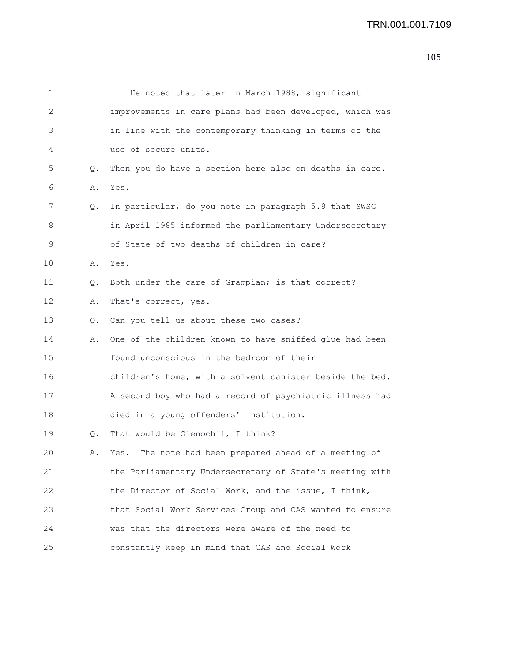| 1  |    | He noted that later in March 1988, significant           |
|----|----|----------------------------------------------------------|
| 2  |    | improvements in care plans had been developed, which was |
| 3  |    | in line with the contemporary thinking in terms of the   |
| 4  |    | use of secure units.                                     |
| 5  | Q. | Then you do have a section here also on deaths in care.  |
| 6  | Α. | Yes.                                                     |
| 7  | Q. | In particular, do you note in paragraph 5.9 that SWSG    |
| 8  |    | in April 1985 informed the parliamentary Undersecretary  |
| 9  |    | of State of two deaths of children in care?              |
| 10 | Α. | Yes.                                                     |
| 11 | Q. | Both under the care of Grampian; is that correct?        |
| 12 | Α. | That's correct, yes.                                     |
| 13 | Q. | Can you tell us about these two cases?                   |
| 14 | Α. | One of the children known to have sniffed glue had been  |
| 15 |    | found unconscious in the bedroom of their                |
| 16 |    | children's home, with a solvent canister beside the bed. |
| 17 |    | A second boy who had a record of psychiatric illness had |
| 18 |    | died in a young offenders' institution.                  |
| 19 | Q. | That would be Glenochil, I think?                        |
| 20 | Α. | The note had been prepared ahead of a meeting of<br>Yes. |
| 21 |    | the Parliamentary Undersecretary of State's meeting with |
| 22 |    | the Director of Social Work, and the issue, I think,     |
| 23 |    | that Social Work Services Group and CAS wanted to ensure |
| 24 |    | was that the directors were aware of the need to         |
| 25 |    | constantly keep in mind that CAS and Social Work         |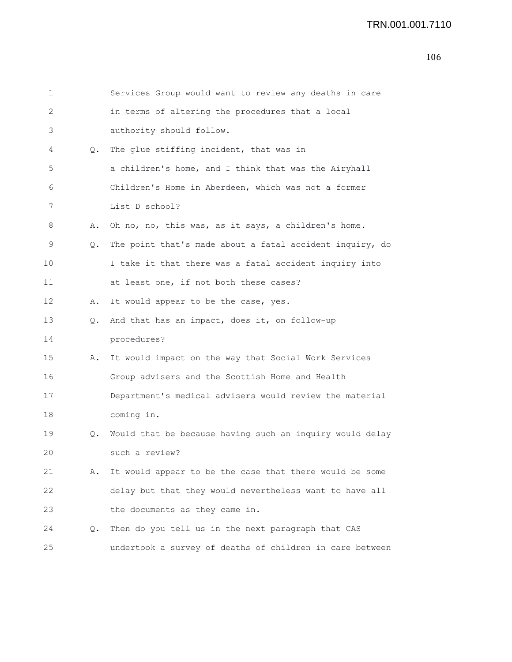## TRN.001.001.7110

| 1  |    | Services Group would want to review any deaths in care   |
|----|----|----------------------------------------------------------|
| 2  |    | in terms of altering the procedures that a local         |
| 3  |    | authority should follow.                                 |
| 4  | Q. | The glue stiffing incident, that was in                  |
| 5  |    | a children's home, and I think that was the Airyhall     |
| 6  |    | Children's Home in Aberdeen, which was not a former      |
| 7  |    | List D school?                                           |
| 8  | Α. | Oh no, no, this was, as it says, a children's home.      |
| 9  | О. | The point that's made about a fatal accident inquiry, do |
| 10 |    | I take it that there was a fatal accident inquiry into   |
| 11 |    | at least one, if not both these cases?                   |
| 12 | Α. | It would appear to be the case, yes.                     |
| 13 | Q. | And that has an impact, does it, on follow-up            |
| 14 |    | procedures?                                              |
| 15 | Α. | It would impact on the way that Social Work Services     |
| 16 |    | Group advisers and the Scottish Home and Health          |
| 17 |    | Department's medical advisers would review the material  |
| 18 |    | coming in.                                               |
| 19 | Q. | Would that be because having such an inquiry would delay |
| 20 |    | such a review?                                           |
| 21 | Α. | It would appear to be the case that there would be some  |
| 22 |    | delay but that they would nevertheless want to have all  |
| 23 |    | the documents as they came in.                           |
| 24 | Q. | Then do you tell us in the next paragraph that CAS       |
| 25 |    | undertook a survey of deaths of children in care between |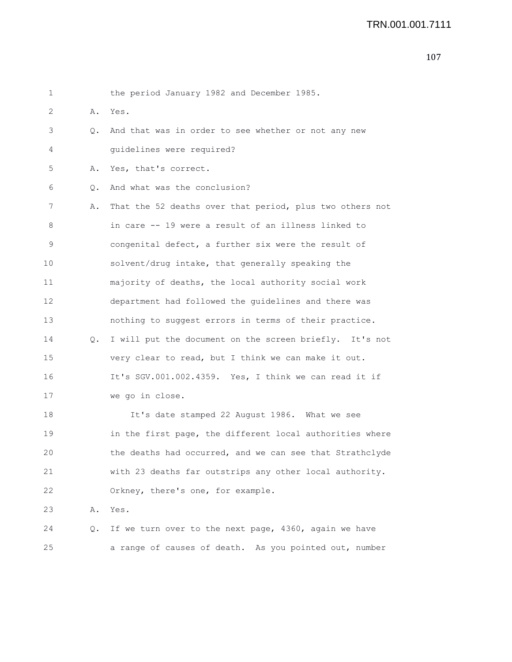| 1  |    | the period January 1982 and December 1985.               |
|----|----|----------------------------------------------------------|
| 2  | Α. | Yes.                                                     |
| 3  | Q. | And that was in order to see whether or not any new      |
| 4  |    | guidelines were required?                                |
| 5  | Α. | Yes, that's correct.                                     |
| 6  | Q. | And what was the conclusion?                             |
| 7  | Α. | That the 52 deaths over that period, plus two others not |
| 8  |    | in care -- 19 were a result of an illness linked to      |
| 9  |    | congenital defect, a further six were the result of      |
| 10 |    | solvent/drug intake, that generally speaking the         |
| 11 |    | majority of deaths, the local authority social work      |
| 12 |    | department had followed the guidelines and there was     |
| 13 |    | nothing to suggest errors in terms of their practice.    |
| 14 | Q. | I will put the document on the screen briefly. It's not  |
| 15 |    | very clear to read, but I think we can make it out.      |
| 16 |    | It's SGV.001.002.4359. Yes, I think we can read it if    |
| 17 |    | we go in close.                                          |
| 18 |    | It's date stamped 22 August 1986. What we see            |
| 19 |    | in the first page, the different local authorities where |
| 20 |    | the deaths had occurred, and we can see that Strathclyde |
| 21 |    | with 23 deaths far outstrips any other local authority.  |
| 22 |    | Orkney, there's one, for example.                        |
| 23 | Α. | Yes.                                                     |
| 24 | Q. | If we turn over to the next page, 4360, again we have    |
| 25 |    | a range of causes of death. As you pointed out, number   |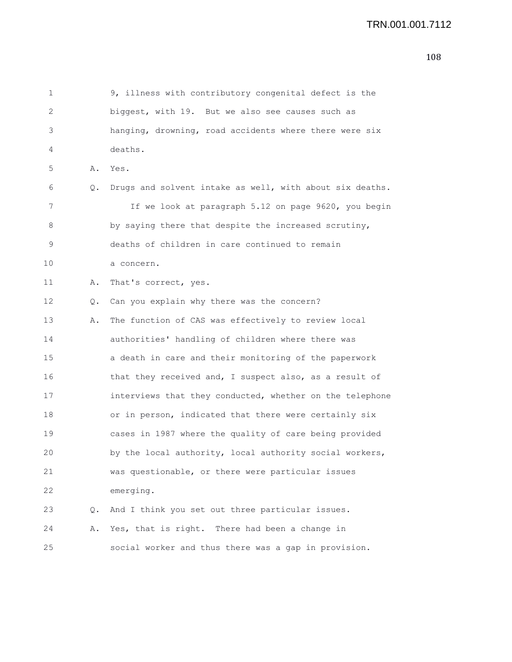```
1 9, illness with contributory congenital defect is the
2 biggest, with 19. But we also see causes such as
3 hanging, drowning, road accidents where there were six
4 deaths.
5 A. Yes.
6 Q. Drugs and solvent intake as well, with about six deaths.
7 11 If we look at paragraph 5.12 on page 9620, you begin
8 by saying there that despite the increased scrutiny,
9 deaths of children in care continued to remain
10 a concern.
11 A. That's correct, yes.
12 Q. Can you explain why there was the concern?
13 A. The function of CAS was effectively to review local
14 authorities' handling of children where there was
15 a death in care and their monitoring of the paperwork
16 that they received and, I suspect also, as a result of
17 interviews that they conducted, whether on the telephone
18 or in person, indicated that there were certainly six
19 cases in 1987 where the quality of care being provided
20 by the local authority, local authority social workers,
21 was questionable, or there were particular issues
22 emerging.
23 Q. And I think you set out three particular issues.
24 A. Yes, that is right. There had been a change in
25 social worker and thus there was a gap in provision.
```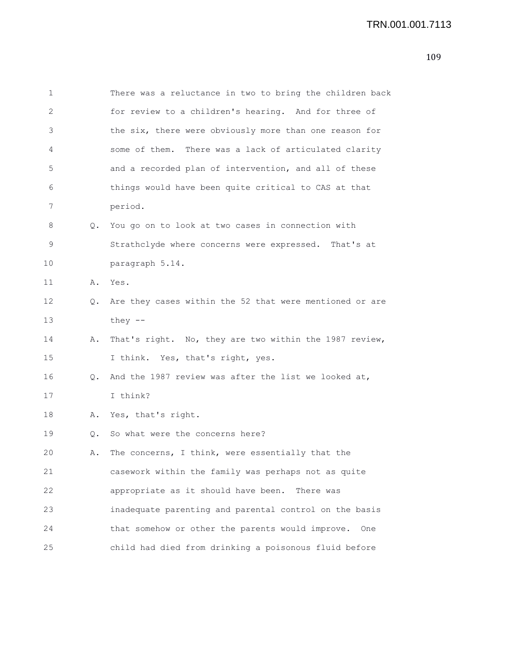| 1  |           | There was a reluctance in two to bring the children back   |
|----|-----------|------------------------------------------------------------|
| 2  |           | for review to a children's hearing. And for three of       |
| 3  |           | the six, there were obviously more than one reason for     |
| 4  |           | some of them. There was a lack of articulated clarity      |
| 5  |           | and a recorded plan of intervention, and all of these      |
| 6  |           | things would have been quite critical to CAS at that       |
| 7  |           | period.                                                    |
| 8  | Q.        | You go on to look at two cases in connection with          |
| 9  |           | Strathclyde where concerns were expressed. That's at       |
| 10 |           | paragraph 5.14.                                            |
| 11 | Α.        | Yes.                                                       |
| 12 |           | Q. Are they cases within the 52 that were mentioned or are |
| 13 |           | they $--$                                                  |
| 14 | Α.        | That's right. No, they are two within the 1987 review,     |
| 15 |           | I think. Yes, that's right, yes.                           |
| 16 | $\circ$ . | And the 1987 review was after the list we looked at,       |
| 17 |           | I think?                                                   |
| 18 | Α.        | Yes, that's right.                                         |
| 19 | Q.        | So what were the concerns here?                            |
| 20 | Α.        | The concerns, I think, were essentially that the           |
| 21 |           | casework within the family was perhaps not as quite        |
| 22 |           | appropriate as it should have been.<br>There was           |
| 23 |           | inadequate parenting and parental control on the basis     |
| 24 |           | that somehow or other the parents would improve.<br>One    |
| 25 |           | child had died from drinking a poisonous fluid before      |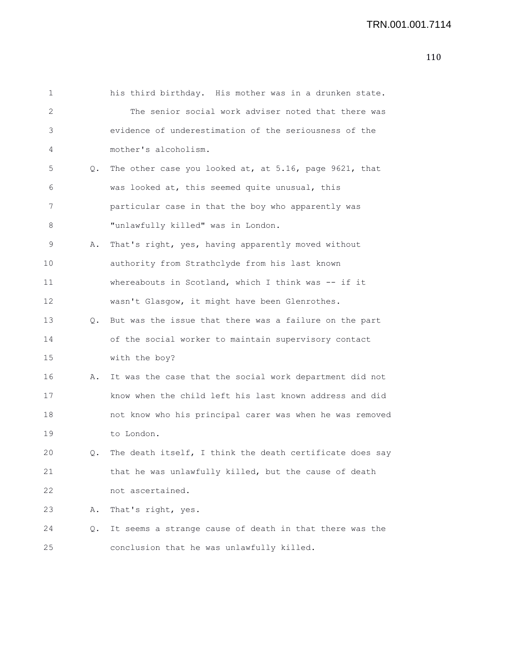| $\mathbf 1$ |    | his third birthday. His mother was in a drunken state.   |
|-------------|----|----------------------------------------------------------|
| 2           |    | The senior social work adviser noted that there was      |
| 3           |    | evidence of underestimation of the seriousness of the    |
| 4           |    | mother's alcoholism.                                     |
| 5           | Q. | The other case you looked at, at 5.16, page 9621, that   |
| 6           |    | was looked at, this seemed quite unusual, this           |
| 7           |    | particular case in that the boy who apparently was       |
| 8           |    | "unlawfully killed" was in London.                       |
| 9           | Α. | That's right, yes, having apparently moved without       |
| 10          |    | authority from Strathclyde from his last known           |
| 11          |    | whereabouts in Scotland, which I think was -- if it      |
| 12          |    | wasn't Glasgow, it might have been Glenrothes.           |
| 13          | Q. | But was the issue that there was a failure on the part   |
| 14          |    | of the social worker to maintain supervisory contact     |
| 15          |    | with the boy?                                            |
| 16          | Α. | It was the case that the social work department did not  |
| 17          |    | know when the child left his last known address and did  |
| 18          |    | not know who his principal carer was when he was removed |
| 19          |    | to London.                                               |
| 20          | Q. | The death itself, I think the death certificate does say |
| 21          |    | that he was unlawfully killed, but the cause of death    |
| 22          |    | not ascertained.                                         |
| 23          | Α. | That's right, yes.                                       |
| 24          | Q. | It seems a strange cause of death in that there was the  |
| 25          |    | conclusion that he was unlawfully killed.                |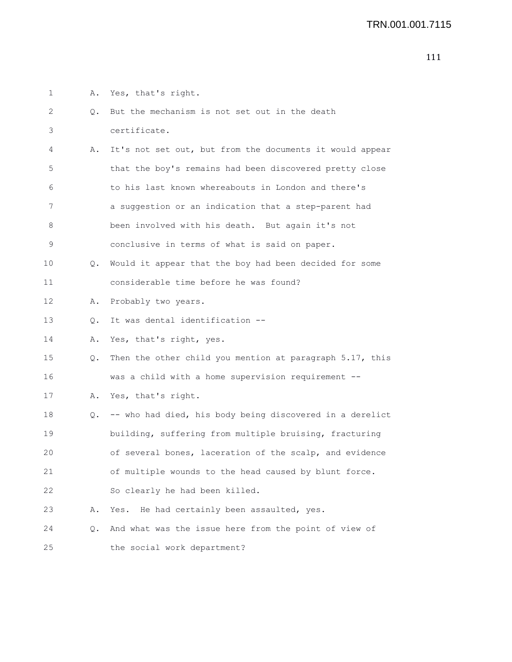1 A. Yes, that's right.

| 2  | Q. | But the mechanism is not set out in the death            |
|----|----|----------------------------------------------------------|
| 3  |    | certificate.                                             |
| 4  | Α. | It's not set out, but from the documents it would appear |
| 5  |    | that the boy's remains had been discovered pretty close  |
| 6  |    | to his last known whereabouts in London and there's      |
| 7  |    | a suggestion or an indication that a step-parent had     |
| 8  |    | been involved with his death. But again it's not         |
| 9  |    | conclusive in terms of what is said on paper.            |
| 10 | Q. | Would it appear that the boy had been decided for some   |
| 11 |    | considerable time before he was found?                   |
| 12 | Α. | Probably two years.                                      |
| 13 | Q. | It was dental identification --                          |
| 14 | Α. | Yes, that's right, yes.                                  |
| 15 | Q. | Then the other child you mention at paragraph 5.17, this |
| 16 |    | was a child with a home supervision requirement --       |
| 17 | Α. | Yes, that's right.                                       |
| 18 | Q. | -- who had died, his body being discovered in a derelict |
| 19 |    | building, suffering from multiple bruising, fracturing   |
| 20 |    | of several bones, laceration of the scalp, and evidence  |
| 21 |    | of multiple wounds to the head caused by blunt force.    |
| 22 |    | So clearly he had been killed.                           |
| 23 | Α. | Yes. He had certainly been assaulted, yes.               |
| 24 | Q. | And what was the issue here from the point of view of    |
| 25 |    | the social work department?                              |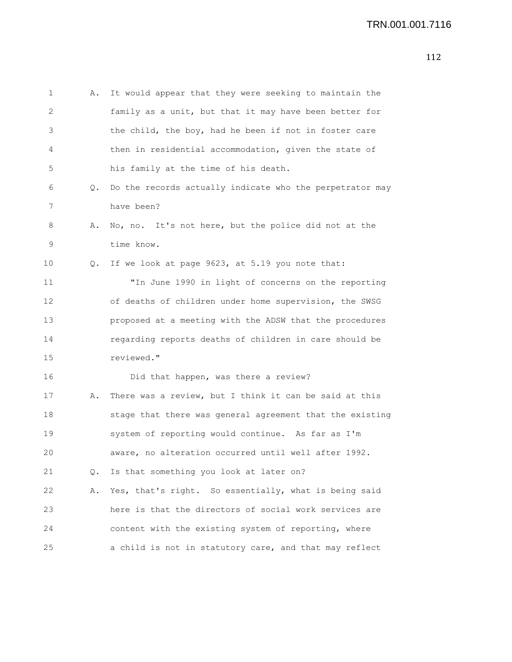```
1 A. It would appear that they were seeking to maintain the
2 family as a unit, but that it may have been better for
3 the child, the boy, had he been if not in foster care
4 then in residential accommodation, given the state of
5 his family at the time of his death.
6 Q. Do the records actually indicate who the perpetrator may
7 have been?
8 A. No, no. It's not here, but the police did not at the
9 time know.
10 Q. If we look at page 9623, at 5.19 you note that:
11 "In June 1990 in light of concerns on the reporting
12 of deaths of children under home supervision, the SWSG
13 proposed at a meeting with the ADSW that the procedures
14 regarding reports deaths of children in care should be
15 reviewed."
16 Did that happen, was there a review?
17 A. There was a review, but I think it can be said at this
18 stage that there was general agreement that the existing
19 system of reporting would continue. As far as I'm
20 aware, no alteration occurred until well after 1992.
21 Q. Is that something you look at later on?
22 A. Yes, that's right. So essentially, what is being said
23 here is that the directors of social work services are
24 content with the existing system of reporting, where
25 a child is not in statutory care, and that may reflect
```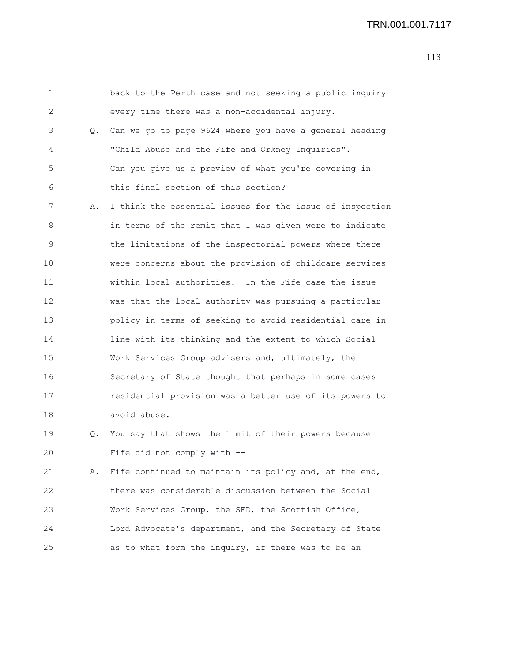```
1 back to the Perth case and not seeking a public inquiry
2 every time there was a non-accidental injury.
3 Q. Can we go to page 9624 where you have a general heading
4 "Child Abuse and the Fife and Orkney Inquiries".
5 Can you give us a preview of what you're covering in
6 this final section of this section?
7 A. I think the essential issues for the issue of inspection
8 in terms of the remit that I was given were to indicate
9 the limitations of the inspectorial powers where there
10 were concerns about the provision of childcare services
11 within local authorities. In the Fife case the issue
12 was that the local authority was pursuing a particular
13 policy in terms of seeking to avoid residential care in
14 line with its thinking and the extent to which Social
15 Work Services Group advisers and, ultimately, the
16 Secretary of State thought that perhaps in some cases
17 residential provision was a better use of its powers to
18 avoid abuse.
19 Q. You say that shows the limit of their powers because
20 Fife did not comply with --
21 A. Fife continued to maintain its policy and, at the end,
22 there was considerable discussion between the Social
23 Work Services Group, the SED, the Scottish Office,
24 Lord Advocate's department, and the Secretary of State
25 as to what form the inquiry, if there was to be an
```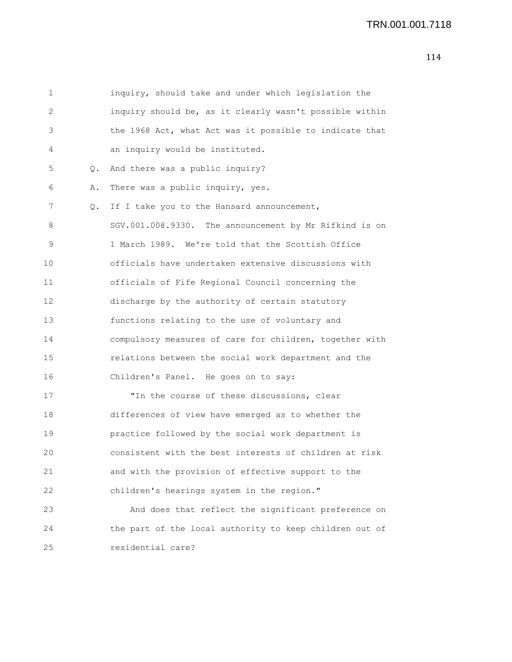```
1 inquiry, should take and under which legislation the
2 inquiry should be, as it clearly wasn't possible within
3 the 1968 Act, what Act was it possible to indicate that
4 an inquiry would be instituted.
5 Q. And there was a public inquiry?
6 A. There was a public inquiry, yes.
7 Q. If I take you to the Hansard announcement,
8 SGV.001.008.9330. The announcement by Mr Rifkind is on
9 1 March 1989. We're told that the Scottish Office
10 officials have undertaken extensive discussions with
11 officials of Fife Regional Council concerning the
12 discharge by the authority of certain statutory
13 functions relating to the use of voluntary and
14 compulsory measures of care for children, together with
15 relations between the social work department and the
16 Children's Panel. He goes on to say:
17 TIn the course of these discussions, clear
18 differences of view have emerged as to whether the
19 practice followed by the social work department is
20 consistent with the best interests of children at risk
21 and with the provision of effective support to the
22 children's hearings system in the region."
23 And does that reflect the significant preference on
24 the part of the local authority to keep children out of
```
25 residential care?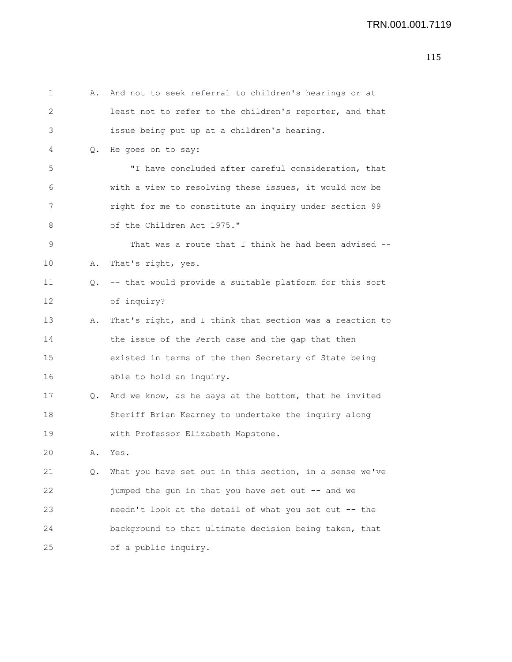| 1  | Α.        | And not to seek referral to children's hearings or at    |
|----|-----------|----------------------------------------------------------|
| 2  |           | least not to refer to the children's reporter, and that  |
| 3  |           | issue being put up at a children's hearing.              |
| 4  |           | Q. He goes on to say:                                    |
| 5  |           | "I have concluded after careful consideration, that      |
| 6  |           | with a view to resolving these issues, it would now be   |
| 7  |           | right for me to constitute an inquiry under section 99   |
| 8  |           | of the Children Act 1975."                               |
| 9  |           | That was a route that I think he had been advised --     |
| 10 | Α.        | That's right, yes.                                       |
| 11 | Q.        | -- that would provide a suitable platform for this sort  |
| 12 |           | of inquiry?                                              |
| 13 | Α.        | That's right, and I think that section was a reaction to |
| 14 |           | the issue of the Perth case and the gap that then        |
| 15 |           | existed in terms of the then Secretary of State being    |
| 16 |           | able to hold an inquiry.                                 |
| 17 | $\circ$ . | And we know, as he says at the bottom, that he invited   |
| 18 |           | Sheriff Brian Kearney to undertake the inquiry along     |
| 19 |           | with Professor Elizabeth Mapstone.                       |
| 20 | Α.        | Yes.                                                     |
| 21 | Q.        | What you have set out in this section, in a sense we've  |
| 22 |           | jumped the gun in that you have set out -- and we        |
| 23 |           | needn't look at the detail of what you set out -- the    |
| 24 |           | background to that ultimate decision being taken, that   |
| 25 |           | of a public inquiry.                                     |
|    |           |                                                          |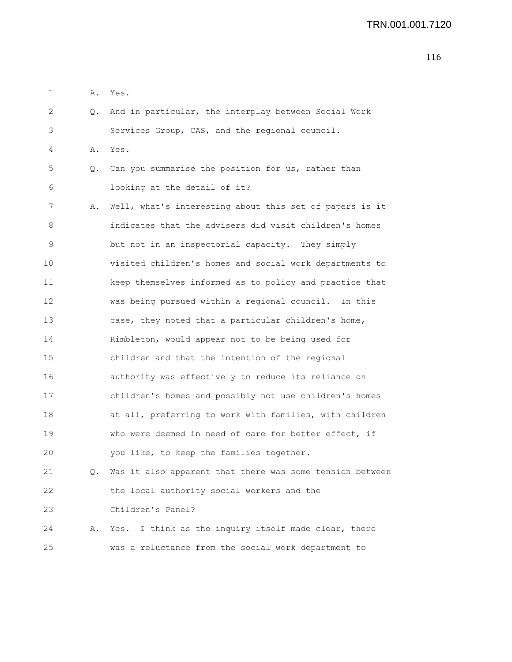| 1  | Α. | Yes.                                                        |
|----|----|-------------------------------------------------------------|
| 2  | Q. | And in particular, the interplay between Social Work        |
| 3  |    | Services Group, CAS, and the regional council.              |
| 4  | Α. | Yes.                                                        |
| 5  | Q. | Can you summarise the position for us, rather than          |
| 6  |    | looking at the detail of it?                                |
| 7  | Α. | Well, what's interesting about this set of papers is it     |
| 8  |    | indicates that the advisers did visit children's homes      |
| 9  |    | but not in an inspectorial capacity. They simply            |
| 10 |    | visited children's homes and social work departments to     |
| 11 |    | keep themselves informed as to policy and practice that     |
| 12 |    | was being pursued within a regional council. In this        |
| 13 |    | case, they noted that a particular children's home,         |
| 14 |    | Rimbleton, would appear not to be being used for            |
| 15 |    | children and that the intention of the regional             |
| 16 |    | authority was effectively to reduce its reliance on         |
| 17 |    | children's homes and possibly not use children's homes      |
| 18 |    | at all, preferring to work with families, with children     |
| 19 |    | who were deemed in need of care for better effect, if       |
| 20 |    | you like, to keep the families together.                    |
| 21 |    | Q. Was it also apparent that there was some tension between |
| 22 |    | the local authority social workers and the                  |
| 23 |    | Children's Panel?                                           |
| 24 | Α. | I think as the inquiry itself made clear, there<br>Yes.     |
| 25 |    | was a reluctance from the social work department to         |
|    |    |                                                             |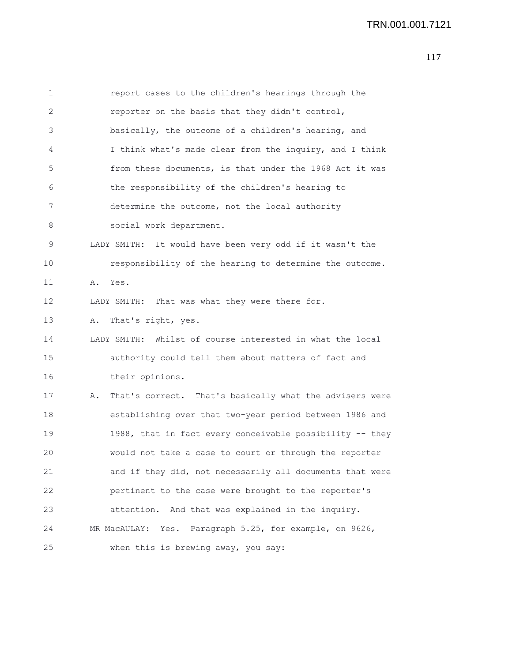## TRN.001.001.7121

| 1  | report cases to the children's hearings through the           |
|----|---------------------------------------------------------------|
| 2  | reporter on the basis that they didn't control,               |
| 3  | basically, the outcome of a children's hearing, and           |
| 4  | I think what's made clear from the inquiry, and I think       |
| 5  | from these documents, is that under the 1968 Act it was       |
| 6  | the responsibility of the children's hearing to               |
| 7  | determine the outcome, not the local authority                |
| 8  | social work department.                                       |
| 9  | LADY SMITH: It would have been very odd if it wasn't the      |
| 10 | responsibility of the hearing to determine the outcome.       |
| 11 | Yes.<br>Α.                                                    |
| 12 | LADY SMITH: That was what they were there for.                |
| 13 | That's right, yes.<br>Α.                                      |
| 14 | LADY SMITH: Whilst of course interested in what the local     |
| 15 | authority could tell them about matters of fact and           |
| 16 | their opinions.                                               |
| 17 | That's correct. That's basically what the advisers were<br>Α. |
| 18 | establishing over that two-year period between 1986 and       |
| 19 | 1988, that in fact every conceivable possibility -- they      |
| 20 | would not take a case to court or through the reporter        |
| 21 | and if they did, not necessarily all documents that were      |
| 22 | pertinent to the case were brought to the reporter's          |
| 23 | attention. And that was explained in the inquiry.             |
| 24 | Paragraph 5.25, for example, on 9626,<br>MR MacAULAY: Yes.    |
| 25 | when this is brewing away, you say:                           |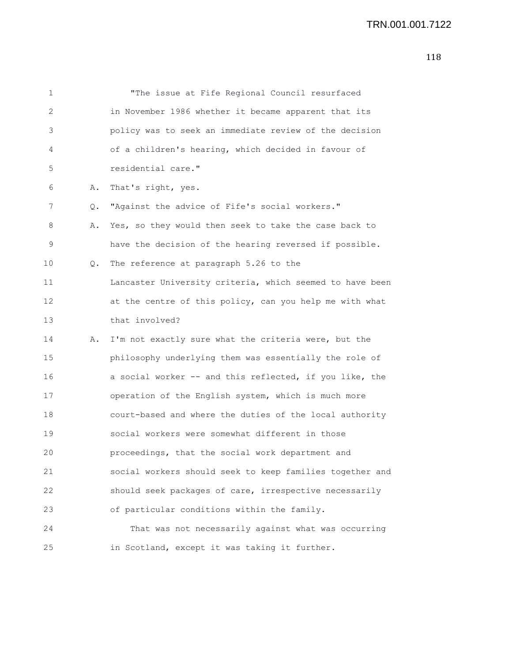| $\mathbf 1$ |    | "The issue at Fife Regional Council resurfaced           |
|-------------|----|----------------------------------------------------------|
| 2           |    | in November 1986 whether it became apparent that its     |
| 3           |    | policy was to seek an immediate review of the decision   |
| 4           |    | of a children's hearing, which decided in favour of      |
| 5           |    | residential care."                                       |
| 6           | Α. | That's right, yes.                                       |
| 7           | Q. | "Against the advice of Fife's social workers."           |
| 8           | Α. | Yes, so they would then seek to take the case back to    |
| 9           |    | have the decision of the hearing reversed if possible.   |
| 10          | Q. | The reference at paragraph 5.26 to the                   |
| 11          |    | Lancaster University criteria, which seemed to have been |
| 12          |    | at the centre of this policy, can you help me with what  |
| 13          |    | that involved?                                           |
| 14          | Α. | I'm not exactly sure what the criteria were, but the     |
| 15          |    | philosophy underlying them was essentially the role of   |
| 16          |    | a social worker -- and this reflected, if you like, the  |
| 17          |    | operation of the English system, which is much more      |
| 18          |    | court-based and where the duties of the local authority  |
| 19          |    | social workers were somewhat different in those          |
| 20          |    | proceedings, that the social work department and         |
| 21          |    | social workers should seek to keep families together and |
| 22          |    | should seek packages of care, irrespective necessarily   |
| 23          |    | of particular conditions within the family.              |
| 24          |    | That was not necessarily against what was occurring      |
| 25          |    | in Scotland, except it was taking it further.            |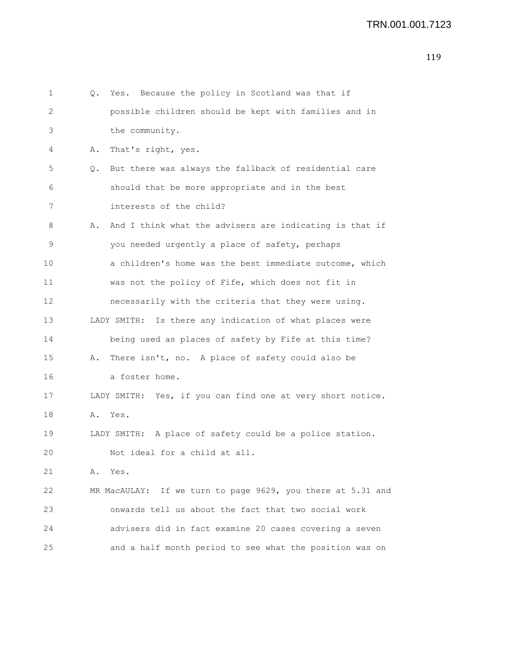| 1  | Yes. Because the policy in Scotland was that if<br>Q.         |
|----|---------------------------------------------------------------|
| 2  | possible children should be kept with families and in         |
| 3  | the community.                                                |
| 4  | That's right, yes.<br>Α.                                      |
| 5  | But there was always the fallback of residential care<br>Q.   |
| 6  | should that be more appropriate and in the best               |
| 7  | interests of the child?                                       |
| 8  | And I think what the advisers are indicating is that if<br>Α. |
| 9  | you needed urgently a place of safety, perhaps                |
| 10 | a children's home was the best immediate outcome, which       |
| 11 | was not the policy of Fife, which does not fit in             |
| 12 | necessarily with the criteria that they were using.           |
| 13 | LADY SMITH: Is there any indication of what places were       |
| 14 | being used as places of safety by Fife at this time?          |
| 15 | There isn't, no. A place of safety could also be<br>Α.        |
| 16 | a foster home.                                                |
| 17 | LADY SMITH: Yes, if you can find one at very short notice.    |
| 18 | Α.<br>Yes.                                                    |
| 19 | LADY SMITH: A place of safety could be a police station.      |
| 20 | Not ideal for a child at all.                                 |
| 21 | Α.<br>Yes.                                                    |
| 22 | MR MacAULAY: If we turn to page 9629, you there at 5.31 and   |
| 23 | onwards tell us about the fact that two social work           |
| 24 | advisers did in fact examine 20 cases covering a seven        |
| 25 | and a half month period to see what the position was on       |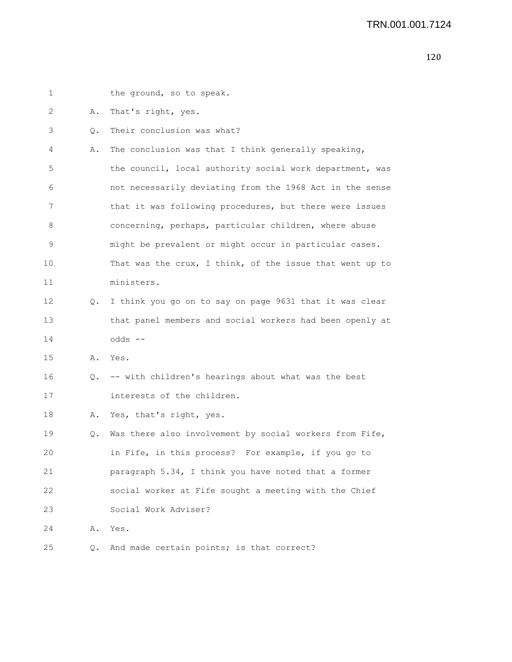| 1  |    | the ground, so to speak.                                 |
|----|----|----------------------------------------------------------|
| 2  | Α. | That's right, yes.                                       |
| 3  | Q. | Their conclusion was what?                               |
| 4  | Α. | The conclusion was that I think generally speaking,      |
| 5  |    | the council, local authority social work department, was |
| 6  |    | not necessarily deviating from the 1968 Act in the sense |
| 7  |    | that it was following procedures, but there were issues  |
| 8  |    | concerning, perhaps, particular children, where abuse    |
| 9  |    | might be prevalent or might occur in particular cases.   |
| 10 |    | That was the crux, I think, of the issue that went up to |
| 11 |    | ministers.                                               |
| 12 | Q. | I think you go on to say on page 9631 that it was clear  |
| 13 |    | that panel members and social workers had been openly at |
| 14 |    | $odds$ --                                                |
| 15 | Α. | Yes.                                                     |
| 16 | Q. | -- with children's hearings about what was the best      |
| 17 |    | interests of the children.                               |
| 18 | Α. | Yes, that's right, yes.                                  |
| 19 | Q. | Was there also involvement by social workers from Fife,  |
| 20 |    | in Fife, in this process? For example, if you go to      |
| 21 |    | paragraph 5.34, I think you have noted that a former     |
| 22 |    | social worker at Fife sought a meeting with the Chief    |
| 23 |    | Social Work Adviser?                                     |
| 24 | Α. | Yes.                                                     |
| 25 | Q. | And made certain points; is that correct?                |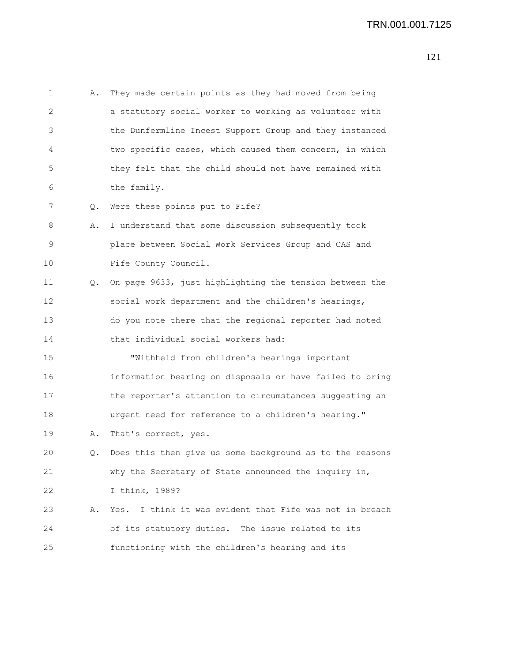```
1 A. They made certain points as they had moved from being
2 a statutory social worker to working as volunteer with
3 the Dunfermline Incest Support Group and they instanced
4 two specific cases, which caused them concern, in which
5 they felt that the child should not have remained with
6 the family.
7 Q. Were these points put to Fife?
8 A. I understand that some discussion subsequently took
9 place between Social Work Services Group and CAS and
10 Fife County Council.
11 Q. On page 9633, just highlighting the tension between the
12 social work department and the children's hearings,
13 do you note there that the regional reporter had noted
14 that individual social workers had:
15 "Withheld from children's hearings important
16 information bearing on disposals or have failed to bring
17 the reporter's attention to circumstances suggesting an
18 urgent need for reference to a children's hearing."
19 A. That's correct, yes.
20 Q. Does this then give us some background as to the reasons
21 why the Secretary of State announced the inquiry in,
22 I think, 1989?
23 A. Yes. I think it was evident that Fife was not in breach
24 of its statutory duties. The issue related to its
25 functioning with the children's hearing and its
```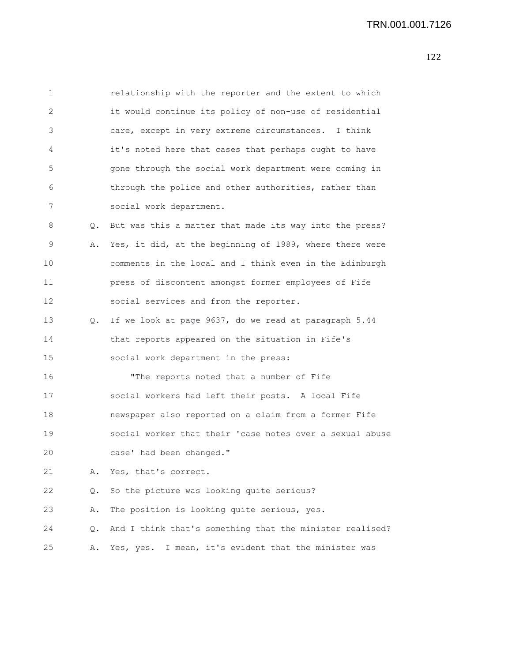| $\mathbf 1$ |    | relationship with the reporter and the extent to which   |
|-------------|----|----------------------------------------------------------|
| 2           |    | it would continue its policy of non-use of residential   |
| 3           |    | care, except in very extreme circumstances. I think      |
| 4           |    | it's noted here that cases that perhaps ought to have    |
| 5           |    | gone through the social work department were coming in   |
| 6           |    | through the police and other authorities, rather than    |
| 7           |    | social work department.                                  |
| 8           | Q. | But was this a matter that made its way into the press?  |
| 9           | Α. | Yes, it did, at the beginning of 1989, where there were  |
| 10          |    | comments in the local and I think even in the Edinburgh  |
| 11          |    | press of discontent amongst former employees of Fife     |
| 12          |    | social services and from the reporter.                   |
| 13          | Q. | If we look at page 9637, do we read at paragraph 5.44    |
| 14          |    | that reports appeared on the situation in Fife's         |
| 15          |    | social work department in the press:                     |
| 16          |    | "The reports noted that a number of Fife                 |
| 17          |    | social workers had left their posts. A local Fife        |
| 18          |    | newspaper also reported on a claim from a former Fife    |
| 19          |    | social worker that their 'case notes over a sexual abuse |
| 20          |    | case' had been changed."                                 |
| 21          | Α. | Yes, that's correct.                                     |
| 22          | Q. | So the picture was looking quite serious?                |
| 23          | Α. | The position is looking quite serious, yes.              |
| 24          | Q. | And I think that's something that the minister realised? |
| 25          | Α. | I mean, it's evident that the minister was<br>Yes, yes.  |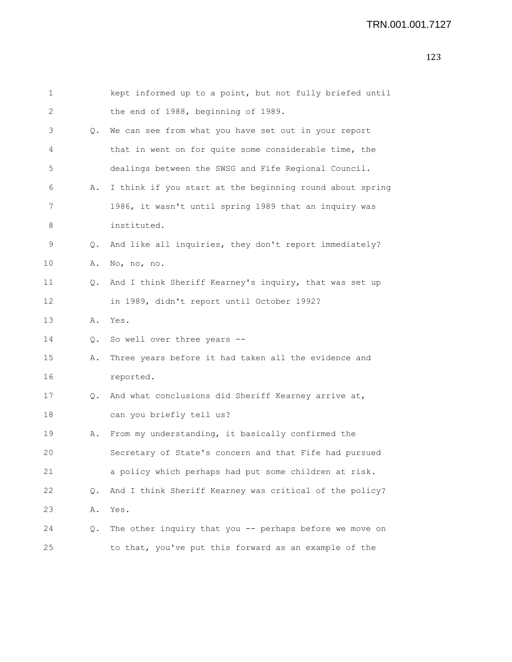| 1  |               | kept informed up to a point, but not fully briefed until |
|----|---------------|----------------------------------------------------------|
| 2  |               | the end of 1988, beginning of 1989.                      |
| 3  |               | Q. We can see from what you have set out in your report  |
| 4  |               | that in went on for quite some considerable time, the    |
| 5  |               | dealings between the SWSG and Fife Regional Council.     |
| 6  | Α.            | I think if you start at the beginning round about spring |
| 7  |               | 1986, it wasn't until spring 1989 that an inquiry was    |
| 8  |               | instituted.                                              |
| 9  | $\circ$ .     | And like all inquiries, they don't report immediately?   |
| 10 | Α.            | No, no, no.                                              |
| 11 | $Q_{\bullet}$ | And I think Sheriff Kearney's inquiry, that was set up   |
| 12 |               | in 1989, didn't report until October 1992?               |
| 13 |               | A. Yes.                                                  |
| 14 | $Q_{\bullet}$ | So well over three years --                              |
| 15 | Α.            | Three years before it had taken all the evidence and     |
| 16 |               | reported.                                                |
| 17 | Q.            | And what conclusions did Sheriff Kearney arrive at,      |
| 18 |               | can you briefly tell us?                                 |
| 19 | Α.            | From my understanding, it basically confirmed the        |
| 20 |               | Secretary of State's concern and that Fife had pursued   |
| 21 |               | a policy which perhaps had put some children at risk.    |
| 22 | Q.            | And I think Sheriff Kearney was critical of the policy?  |
| 23 | Α.            | Yes.                                                     |
| 24 | Q.            | The other inquiry that you -- perhaps before we move on  |
| 25 |               | to that, you've put this forward as an example of the    |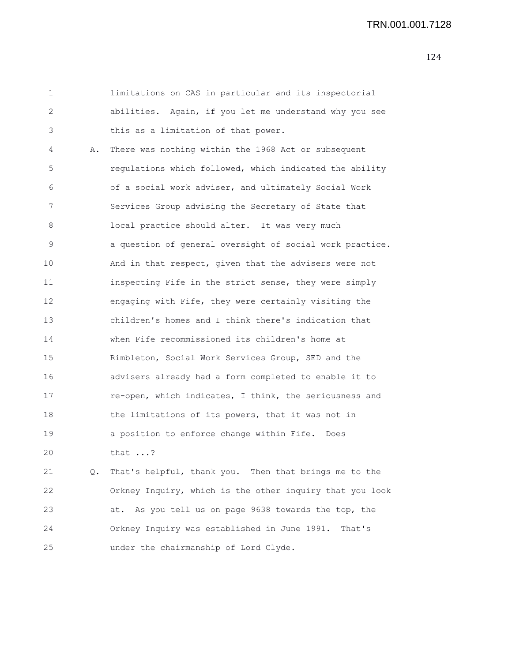1 limitations on CAS in particular and its inspectorial 2 abilities. Again, if you let me understand why you see 3 this as a limitation of that power. 4 A. There was nothing within the 1968 Act or subsequent 5 regulations which followed, which indicated the ability 6 of a social work adviser, and ultimately Social Work 7 Services Group advising the Secretary of State that 8 local practice should alter. It was very much 9 a question of general oversight of social work practice. 10 And in that respect, given that the advisers were not 11 inspecting Fife in the strict sense, they were simply 12 engaging with Fife, they were certainly visiting the 13 children's homes and I think there's indication that 14 when Fife recommissioned its children's home at 15 Rimbleton, Social Work Services Group, SED and the 16 advisers already had a form completed to enable it to 17 re-open, which indicates, I think, the seriousness and 18 the limitations of its powers, that it was not in 19 a position to enforce change within Fife. Does 20 that ...?

21 Q. That's helpful, thank you. Then that brings me to the 22 Orkney Inquiry, which is the other inquiry that you look 23 at. As you tell us on page 9638 towards the top, the 24 Orkney Inquiry was established in June 1991. That's 25 under the chairmanship of Lord Clyde.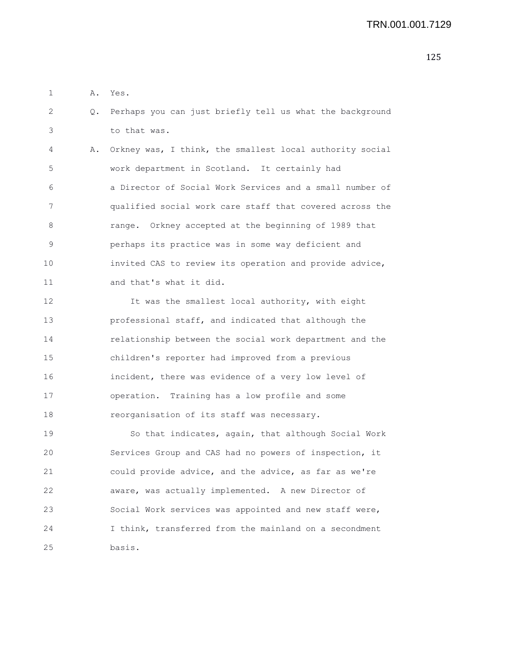1 A. Yes.

2 Q. Perhaps you can just briefly tell us what the background 3 to that was.

4 A. Orkney was, I think, the smallest local authority social 5 work department in Scotland. It certainly had 6 a Director of Social Work Services and a small number of 7 qualified social work care staff that covered across the 8 range. Orkney accepted at the beginning of 1989 that 9 perhaps its practice was in some way deficient and 10 invited CAS to review its operation and provide advice, 11 and that's what it did.

12 It was the smallest local authority, with eight 13 professional staff, and indicated that although the 14 relationship between the social work department and the 15 children's reporter had improved from a previous 16 incident, there was evidence of a very low level of 17 operation. Training has a low profile and some 18 reorganisation of its staff was necessary.

19 So that indicates, again, that although Social Work 20 Services Group and CAS had no powers of inspection, it 21 could provide advice, and the advice, as far as we're 22 aware, was actually implemented. A new Director of 23 Social Work services was appointed and new staff were, 24 I think, transferred from the mainland on a secondment 25 basis.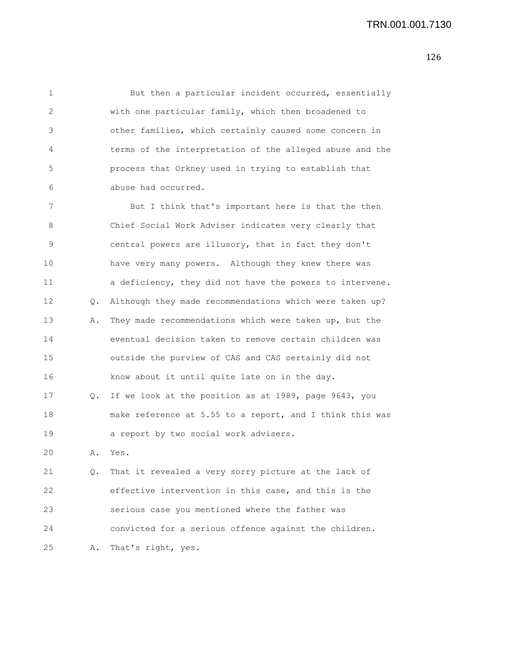1 But then a particular incident occurred, essentially 2 with one particular family, which then broadened to 3 other families, which certainly caused some concern in 4 terms of the interpretation of the alleged abuse and the 5 process that Orkney used in trying to establish that 6 abuse had occurred.

7 But I think that's important here is that the then 8 Chief Social Work Adviser indicates very clearly that 9 central powers are illusory, that in fact they don't 10 have very many powers. Although they knew there was 11 a deficiency, they did not have the powers to intervene. 12 Q. Although they made recommendations which were taken up? 13 A. They made recommendations which were taken up, but the 14 eventual decision taken to remove certain children was 15 outside the purview of CAS and CAS certainly did not 16 know about it until quite late on in the day. 17 Q. If we look at the position as at 1989, page 9643, you 18 make reference at 5.55 to a report, and I think this was 19 a report by two social work advisers.

20 A. Yes.

21 Q. That it revealed a very sorry picture at the lack of 22 effective intervention in this case, and this is the 23 serious case you mentioned where the father was 24 convicted for a serious offence against the children. 25 A. That's right, yes.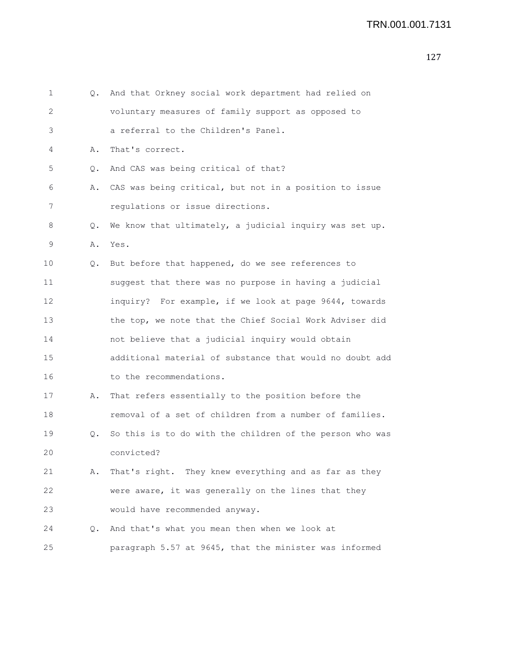```
1 Q. And that Orkney social work department had relied on
2 voluntary measures of family support as opposed to
3 a referral to the Children's Panel.
4 A. That's correct.
5 Q. And CAS was being critical of that?
6 A. CAS was being critical, but not in a position to issue
7 regulations or issue directions.
8 Q. We know that ultimately, a judicial inquiry was set up.
9 A. Yes.
10 Q. But before that happened, do we see references to
11 suggest that there was no purpose in having a judicial
12 inquiry? For example, if we look at page 9644, towards
13 the top, we note that the Chief Social Work Adviser did
14 not believe that a judicial inquiry would obtain
15 additional material of substance that would no doubt add
16 to the recommendations.
17 A. That refers essentially to the position before the
18 removal of a set of children from a number of families.
19 Q. So this is to do with the children of the person who was
20 convicted?
21 A. That's right. They knew everything and as far as they
22 were aware, it was generally on the lines that they
23 would have recommended anyway.
24 Q. And that's what you mean then when we look at
25 paragraph 5.57 at 9645, that the minister was informed
```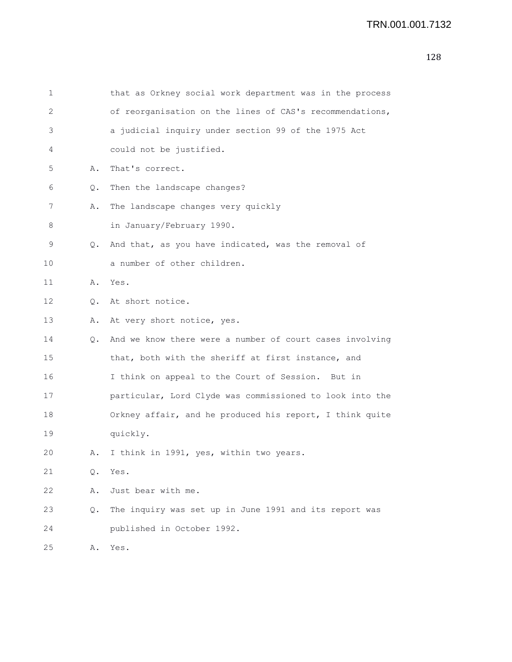| 1  |               | that as Orkney social work department was in the process |
|----|---------------|----------------------------------------------------------|
| 2  |               | of reorganisation on the lines of CAS's recommendations, |
| 3  |               | a judicial inquiry under section 99 of the 1975 Act      |
| 4  |               | could not be justified.                                  |
| 5  | Α.            | That's correct.                                          |
| 6  | Q.            | Then the landscape changes?                              |
| 7  | Α.            | The landscape changes very quickly                       |
| 8  |               | in January/February 1990.                                |
| 9  | Q.            | And that, as you have indicated, was the removal of      |
| 10 |               | a number of other children.                              |
| 11 | Α.            | Yes.                                                     |
| 12 | $Q_{\bullet}$ | At short notice.                                         |
| 13 | Α.            | At very short notice, yes.                               |
| 14 | Q.            | And we know there were a number of court cases involving |
| 15 |               | that, both with the sheriff at first instance, and       |
| 16 |               | I think on appeal to the Court of Session. But in        |
| 17 |               | particular, Lord Clyde was commissioned to look into the |
| 18 |               | Orkney affair, and he produced his report, I think quite |
| 19 |               | quickly.                                                 |
| 20 | Α.            | I think in 1991, yes, within two years.                  |
| 21 | Q.            | Yes.                                                     |
| 22 | Α.            | Just bear with me.                                       |
| 23 | Q.            | The inquiry was set up in June 1991 and its report was   |
| 24 |               | published in October 1992.                               |
| 25 | Α.            | Yes.                                                     |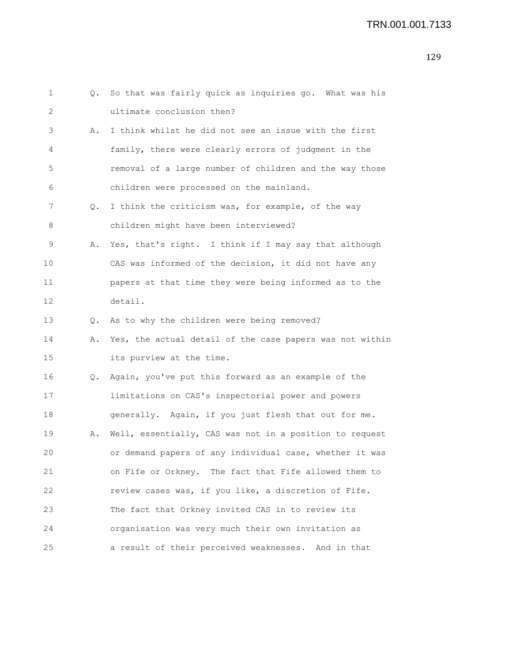| 1  |    | Q. So that was fairly quick as inquiries go. What was his |
|----|----|-----------------------------------------------------------|
| 2  |    | ultimate conclusion then?                                 |
| 3  | Α. | I think whilst he did not see an issue with the first     |
| 4  |    | family, there were clearly errors of judgment in the      |
| 5  |    | removal of a large number of children and the way those   |
| 6  |    | children were processed on the mainland.                  |
| 7  | 0. | I think the criticism was, for example, of the way        |
| 8  |    | children might have been interviewed?                     |
| 9  | Α. | Yes, that's right. I think if I may say that although     |
| 10 |    | CAS was informed of the decision, it did not have any     |
| 11 |    | papers at that time they were being informed as to the    |
| 12 |    | detail.                                                   |
| 13 |    | Q. As to why the children were being removed?             |
| 14 | Α. | Yes, the actual detail of the case papers was not within  |
| 15 |    | its purview at the time.                                  |
| 16 | Q. | Again, you've put this forward as an example of the       |
| 17 |    | limitations on CAS's inspectorial power and powers        |
| 18 |    | generally. Again, if you just flesh that out for me.      |
| 19 | Α. | Well, essentially, CAS was not in a position to request   |
| 20 |    | or demand papers of any individual case, whether it was   |
| 21 |    | on Fife or Orkney. The fact that Fife allowed them to     |
| 22 |    | review cases was, if you like, a discretion of Fife.      |
| 23 |    | The fact that Orkney invited CAS in to review its         |
| 24 |    | organisation was very much their own invitation as        |
| 25 |    | a result of their perceived weaknesses. And in that       |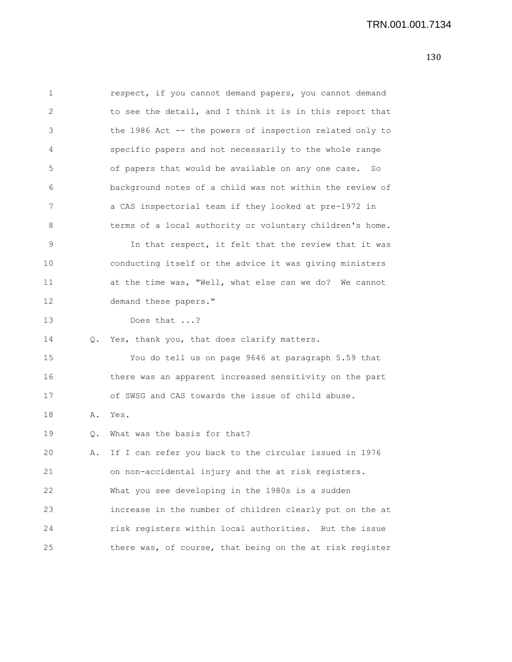| 1  |    | respect, if you cannot demand papers, you cannot demand  |
|----|----|----------------------------------------------------------|
| 2  |    | to see the detail, and I think it is in this report that |
| 3  |    | the 1986 Act -- the powers of inspection related only to |
| 4  |    | specific papers and not necessarily to the whole range   |
| 5  |    | of papers that would be available on any one case.<br>So |
| 6  |    | background notes of a child was not within the review of |
| 7  |    | a CAS inspectorial team if they looked at pre-1972 in    |
| 8  |    | terms of a local authority or voluntary children's home. |
| 9  |    | In that respect, it felt that the review that it was     |
| 10 |    | conducting itself or the advice it was giving ministers  |
| 11 |    | at the time was, "Well, what else can we do? We cannot   |
| 12 |    | demand these papers."                                    |
| 13 |    | Does that ?                                              |
| 14 | Q. | Yes, thank you, that does clarify matters.               |
| 15 |    | You do tell us on page 9646 at paragraph 5.59 that       |
| 16 |    | there was an apparent increased sensitivity on the part  |
| 17 |    | of SWSG and CAS towards the issue of child abuse.        |
| 18 | Α. | Yes.                                                     |
| 19 | Q. | What was the basis for that?                             |
| 20 | Α. | If I can refer you back to the circular issued in 1976   |
| 21 |    | on non-accidental injury and the at risk registers.      |
| 22 |    | What you see developing in the 1980s is a sudden         |
| 23 |    | increase in the number of children clearly put on the at |
| 24 |    | risk registers within local authorities. But the issue   |
| 25 |    | there was, of course, that being on the at risk register |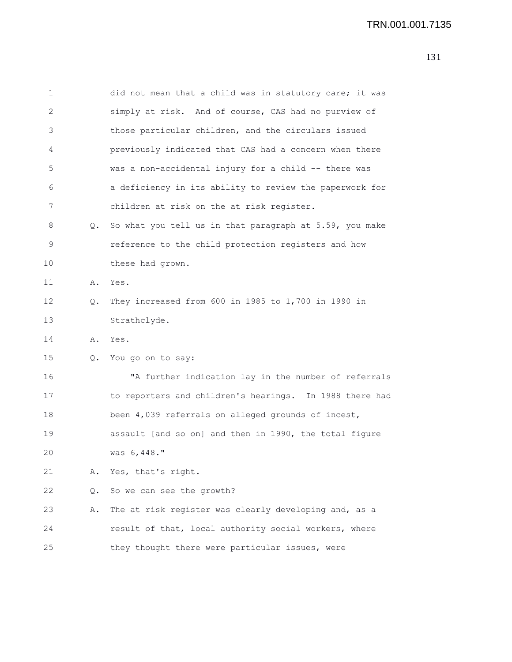| 1  |    | did not mean that a child was in statutory care; it was |
|----|----|---------------------------------------------------------|
| 2  |    | simply at risk. And of course, CAS had no purview of    |
| 3  |    | those particular children, and the circulars issued     |
| 4  |    | previously indicated that CAS had a concern when there  |
| 5  |    | was a non-accidental injury for a child -- there was    |
| 6  |    | a deficiency in its ability to review the paperwork for |
| 7  |    | children at risk on the at risk register.               |
| 8  | Q. | So what you tell us in that paragraph at 5.59, you make |
| 9  |    | reference to the child protection registers and how     |
| 10 |    | these had grown.                                        |
| 11 | Α. | Yes.                                                    |
| 12 | Q. | They increased from 600 in 1985 to 1,700 in 1990 in     |
| 13 |    | Strathclyde.                                            |
| 14 | Α. | Yes.                                                    |
| 15 | Q. | You go on to say:                                       |
| 16 |    | "A further indication lay in the number of referrals    |
| 17 |    | to reporters and children's hearings. In 1988 there had |
| 18 |    | been 4,039 referrals on alleged grounds of incest,      |
| 19 |    | assault [and so on] and then in 1990, the total figure  |
| 20 |    | was 6,448."                                             |
| 21 | Α. | Yes, that's right.                                      |
| 22 | Q. | So we can see the growth?                               |
| 23 | Α. | The at risk register was clearly developing and, as a   |
| 24 |    | result of that, local authority social workers, where   |
| 25 |    | they thought there were particular issues, were         |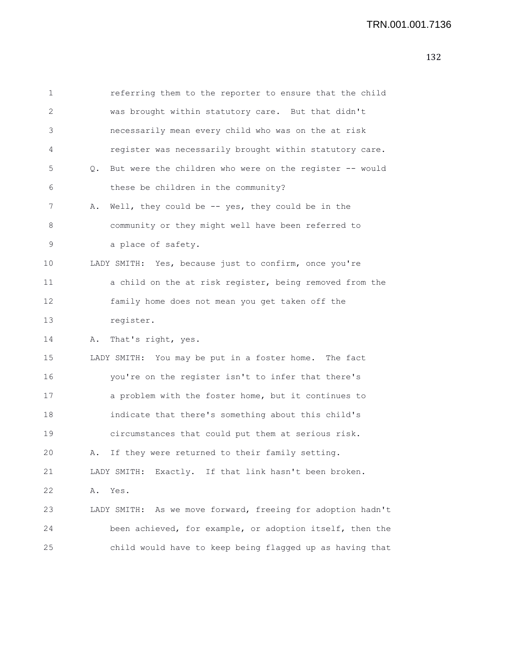| 1  |    | referring them to the reporter to ensure that the child     |
|----|----|-------------------------------------------------------------|
| 2  |    | was brought within statutory care. But that didn't          |
| 3  |    | necessarily mean every child who was on the at risk         |
| 4  |    | register was necessarily brought within statutory care.     |
| 5  | Q. | But were the children who were on the register -- would     |
| 6  |    | these be children in the community?                         |
| 7  | Α. | Well, they could be $-$ yes, they could be in the           |
| 8  |    | community or they might well have been referred to          |
| 9  |    | a place of safety.                                          |
| 10 |    | LADY SMITH: Yes, because just to confirm, once you're       |
| 11 |    | a child on the at risk register, being removed from the     |
| 12 |    | family home does not mean you get taken off the             |
| 13 |    | register.                                                   |
| 14 | Α. | That's right, yes.                                          |
| 15 |    | LADY SMITH: You may be put in a foster home. The fact       |
| 16 |    | you're on the register isn't to infer that there's          |
| 17 |    | a problem with the foster home, but it continues to         |
| 18 |    | indicate that there's something about this child's          |
| 19 |    | circumstances that could put them at serious risk.          |
| 20 | Α. | If they were returned to their family setting.              |
| 21 |    | Exactly. If that link hasn't been broken.<br>LADY SMITH:    |
| 22 | Α. | Yes.                                                        |
| 23 |    | LADY SMITH: As we move forward, freeing for adoption hadn't |
| 24 |    | been achieved, for example, or adoption itself, then the    |
| 25 |    | child would have to keep being flagged up as having that    |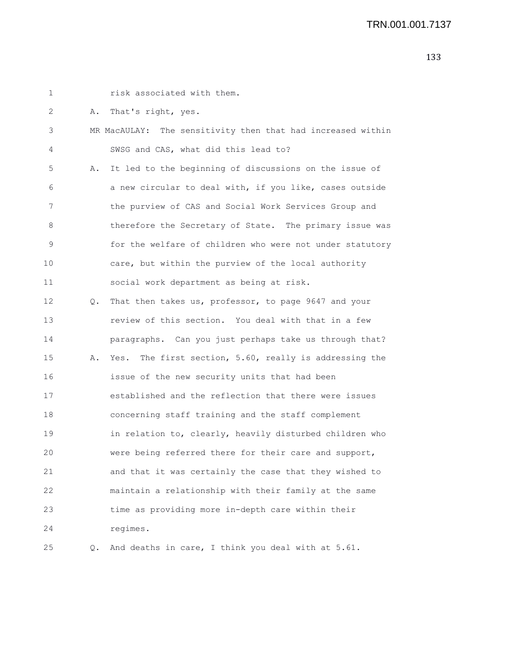1 risk associated with them. 2 A. That's right, yes. 3 MR MacAULAY: The sensitivity then that had increased within 4 SWSG and CAS, what did this lead to? 5 A. It led to the beginning of discussions on the issue of 6 a new circular to deal with, if you like, cases outside 7 the purview of CAS and Social Work Services Group and 8 therefore the Secretary of State. The primary issue was 9 for the welfare of children who were not under statutory 10 care, but within the purview of the local authority 11 social work department as being at risk. 12 Q. That then takes us, professor, to page 9647 and your 13 review of this section. You deal with that in a few 14 paragraphs. Can you just perhaps take us through that? 15 A. Yes. The first section, 5.60, really is addressing the 16 issue of the new security units that had been 17 established and the reflection that there were issues 18 concerning staff training and the staff complement 19 in relation to, clearly, heavily disturbed children who 20 were being referred there for their care and support,

21 and that it was certainly the case that they wished to 22 maintain a relationship with their family at the same 23 time as providing more in-depth care within their 24 regimes.

25 Q. And deaths in care, I think you deal with at 5.61.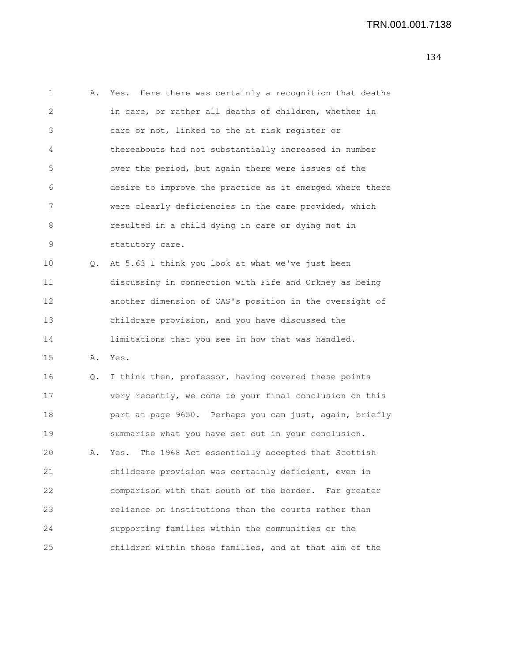1 A. Yes. Here there was certainly a recognition that deaths 2 in care, or rather all deaths of children, whether in 3 care or not, linked to the at risk register or 4 thereabouts had not substantially increased in number 5 over the period, but again there were issues of the 6 desire to improve the practice as it emerged where there 7 were clearly deficiencies in the care provided, which 8 resulted in a child dying in care or dying not in 9 statutory care. 10 Q. At 5.63 I think you look at what we've just been 11 discussing in connection with Fife and Orkney as being 12 another dimension of CAS's position in the oversight of 13 childcare provision, and you have discussed the 14 limitations that you see in how that was handled. 15 A. Yes. 16 Q. I think then, professor, having covered these points 17 very recently, we come to your final conclusion on this 18 part at page 9650. Perhaps you can just, again, briefly

20 A. Yes. The 1968 Act essentially accepted that Scottish 21 childcare provision was certainly deficient, even in 22 comparison with that south of the border. Far greater 23 reliance on institutions than the courts rather than 24 supporting families within the communities or the 25 children within those families, and at that aim of the

19 summarise what you have set out in your conclusion.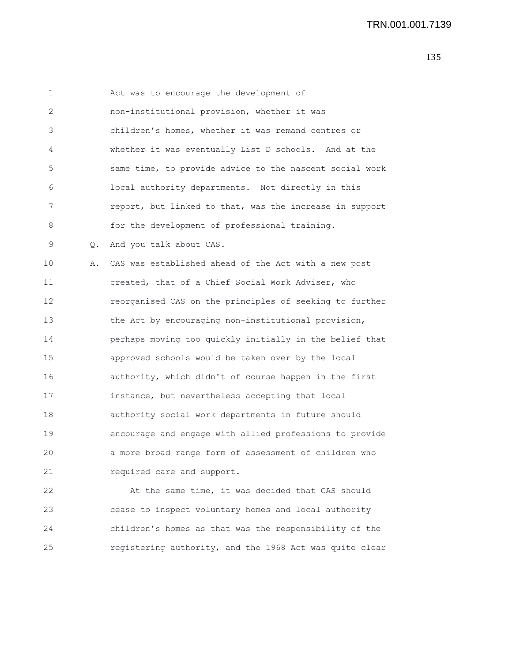| 1  |       | Act was to encourage the development of                 |
|----|-------|---------------------------------------------------------|
| 2  |       | non-institutional provision, whether it was             |
| 3  |       | children's homes, whether it was remand centres or      |
| 4  |       | whether it was eventually List D schools. And at the    |
| 5  |       | same time, to provide advice to the nascent social work |
| 6  |       | local authority departments. Not directly in this       |
| 7  |       | report, but linked to that, was the increase in support |
| 8  |       | for the development of professional training.           |
| 9  | $Q$ . | And you talk about CAS.                                 |
| 10 | Α.    | CAS was established ahead of the Act with a new post    |
| 11 |       | created, that of a Chief Social Work Adviser, who       |
| 12 |       | reorganised CAS on the principles of seeking to further |
| 13 |       | the Act by encouraging non-institutional provision,     |
| 14 |       | perhaps moving too quickly initially in the belief that |
| 15 |       | approved schools would be taken over by the local       |
| 16 |       | authority, which didn't of course happen in the first   |
| 17 |       | instance, but nevertheless accepting that local         |
| 18 |       | authority social work departments in future should      |
| 19 |       | encourage and engage with allied professions to provide |
| 20 |       | a more broad range form of assessment of children who   |
| 21 |       | required care and support.                              |
| 22 |       | At the same time, it was decided that CAS should        |

23 cease to inspect voluntary homes and local authority 24 children's homes as that was the responsibility of the 25 registering authority, and the 1968 Act was quite clear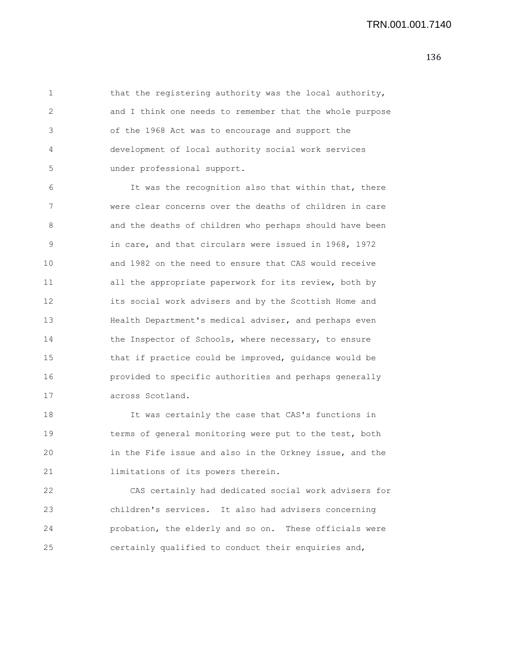1 that the registering authority was the local authority, 2 and I think one needs to remember that the whole purpose 3 of the 1968 Act was to encourage and support the 4 development of local authority social work services 5 under professional support.

6 It was the recognition also that within that, there 7 were clear concerns over the deaths of children in care 8 and the deaths of children who perhaps should have been 9 in care, and that circulars were issued in 1968, 1972 10 and 1982 on the need to ensure that CAS would receive 11 all the appropriate paperwork for its review, both by 12 its social work advisers and by the Scottish Home and 13 Health Department's medical adviser, and perhaps even 14 the Inspector of Schools, where necessary, to ensure 15 that if practice could be improved, guidance would be 16 provided to specific authorities and perhaps generally 17 across Scotland.

18 It was certainly the case that CAS's functions in 19 terms of general monitoring were put to the test, both 20 in the Fife issue and also in the Orkney issue, and the 21 limitations of its powers therein.

22 CAS certainly had dedicated social work advisers for 23 children's services. It also had advisers concerning 24 probation, the elderly and so on. These officials were 25 certainly qualified to conduct their enquiries and,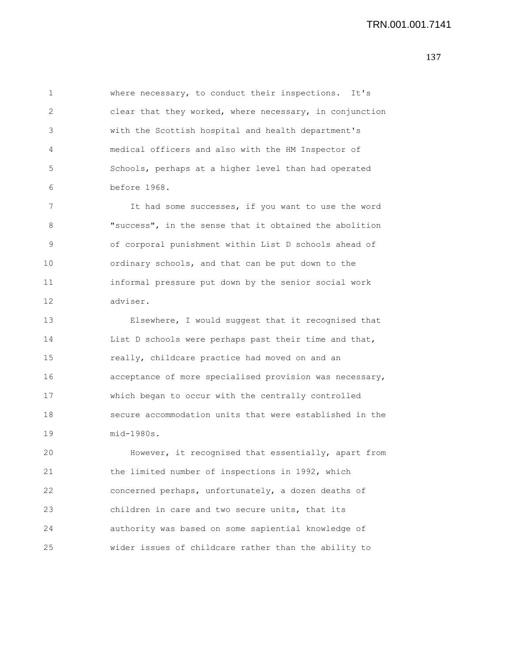1 where necessary, to conduct their inspections. It's 2 clear that they worked, where necessary, in conjunction 3 with the Scottish hospital and health department's 4 medical officers and also with the HM Inspector of 5 Schools, perhaps at a higher level than had operated 6 before 1968.

7 It had some successes, if you want to use the word 8 "success", in the sense that it obtained the abolition 9 of corporal punishment within List D schools ahead of 10 ordinary schools, and that can be put down to the 11 informal pressure put down by the senior social work 12 adviser.

13 Elsewhere, I would suggest that it recognised that 14 List D schools were perhaps past their time and that, 15 really, childcare practice had moved on and an 16 acceptance of more specialised provision was necessary, 17 which began to occur with the centrally controlled 18 secure accommodation units that were established in the 19 mid-1980s.

20 However, it recognised that essentially, apart from 21 the limited number of inspections in 1992, which 22 concerned perhaps, unfortunately, a dozen deaths of 23 children in care and two secure units, that its 24 authority was based on some sapiential knowledge of 25 wider issues of childcare rather than the ability to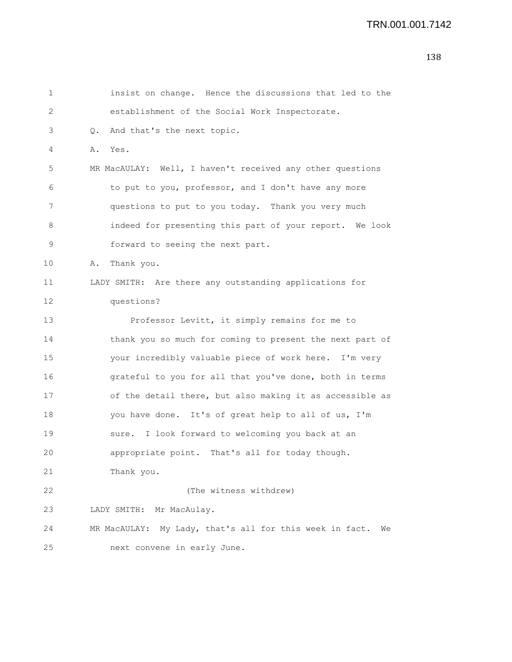```
1 insist on change. Hence the discussions that led to the
2 establishment of the Social Work Inspectorate.
3 Q. And that's the next topic.
4 A. Yes.
5 MR MacAULAY: Well, I haven't received any other questions
6 to put to you, professor, and I don't have any more
7 questions to put to you today. Thank you very much
8 indeed for presenting this part of your report. We look
9 forward to seeing the next part.
10 A. Thank you.
11 LADY SMITH: Are there any outstanding applications for
12 questions?
13 Professor Levitt, it simply remains for me to
14 thank you so much for coming to present the next part of
15 your incredibly valuable piece of work here. I'm very
16 grateful to you for all that you've done, both in terms
17 of the detail there, but also making it as accessible as
18 you have done. It's of great help to all of us, I'm
19 sure. I look forward to welcoming you back at an
20 appropriate point. That's all for today though.
21 Thank you.
22 (The witness withdrew)
23 LADY SMITH: Mr MacAulay.
24 MR MacAULAY: My Lady, that's all for this week in fact. We
25 next convene in early June.
```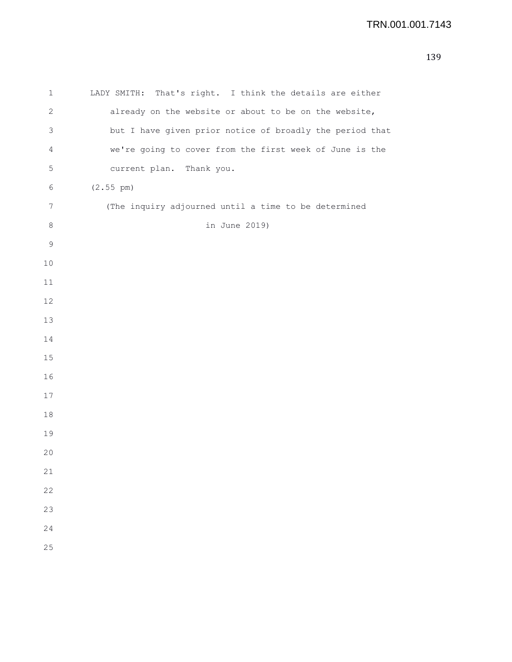| 1              | LADY SMITH: That's right. I think the details are either |
|----------------|----------------------------------------------------------|
| 2              | already on the website or about to be on the website,    |
| 3              | but I have given prior notice of broadly the period that |
| $\overline{4}$ | we're going to cover from the first week of June is the  |
| 5              | current plan. Thank you.                                 |
| 6              | (2.55 pm)                                                |
| 7              | (The inquiry adjourned until a time to be determined     |
| $\,8\,$        | in June 2019)                                            |
| 9              |                                                          |
| 10             |                                                          |
| 11             |                                                          |
| 12             |                                                          |
| $13$           |                                                          |
| 14             |                                                          |
| 15             |                                                          |
| 16             |                                                          |
| 17             |                                                          |
| 18             |                                                          |
| 19             |                                                          |
| 20             |                                                          |
| 21             |                                                          |
| 22             |                                                          |
| 23             |                                                          |
| 24             |                                                          |
| 25             |                                                          |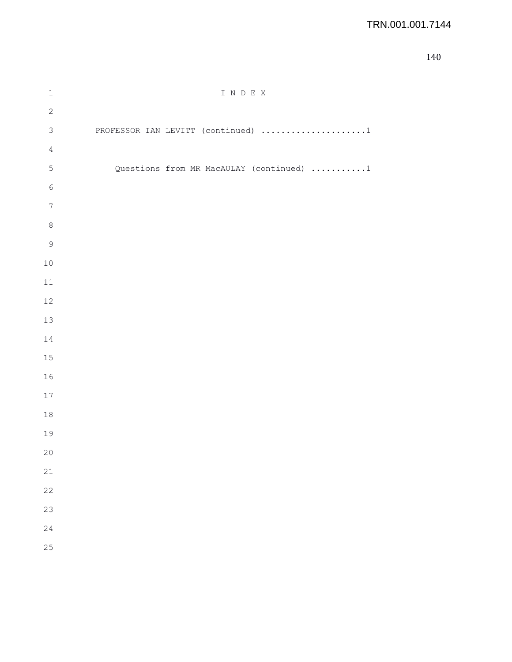## TRN.001.001.7144

| $\mathbbm{1}$    | I N D E X                                |
|------------------|------------------------------------------|
| $\sqrt{2}$       |                                          |
| $\mathfrak{Z}$   | PROFESSOR IAN LEVITT (continued) 1       |
| $\overline{4}$   |                                          |
| $\mathsf S$      | Questions from MR MacAULAY (continued) 1 |
| $\epsilon$       |                                          |
| $\boldsymbol{7}$ |                                          |
| $\,8\,$          |                                          |
| $\mathfrak{g}$   |                                          |
| $10$             |                                          |
| $11\,$           |                                          |
| 12               |                                          |
| 13               |                                          |
| $1\,4$           |                                          |
| 15               |                                          |
| 16               |                                          |
| $17$             |                                          |
| $18\,$           |                                          |
| 19               |                                          |
| $20$             |                                          |
| 21               |                                          |
| 22               |                                          |
| 23               |                                          |
| 24               |                                          |
| 25               |                                          |